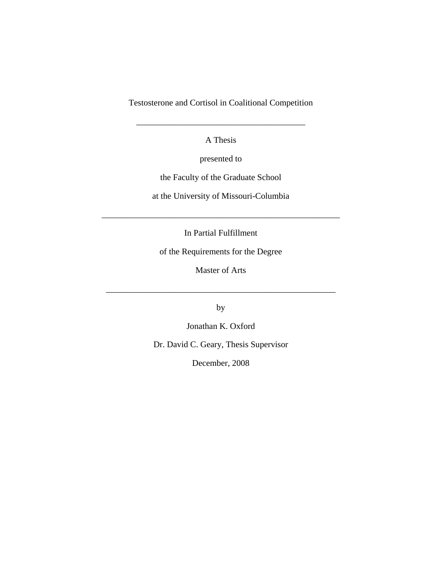Testosterone and Cortisol in Coalitional Competition

A Thesis

\_\_\_\_\_\_\_\_\_\_\_\_\_\_\_\_\_\_\_\_\_\_\_\_\_\_\_\_\_\_\_\_\_\_\_\_\_\_\_

presented to

the Faculty of the Graduate School

at the University of Missouri-Columbia

In Partial Fulfillment

\_\_\_\_\_\_\_\_\_\_\_\_\_\_\_\_\_\_\_\_\_\_\_\_\_\_\_\_\_\_\_\_\_\_\_\_\_\_\_\_\_\_\_\_\_\_\_\_\_\_\_\_\_\_\_

of the Requirements for the Degree

Master of Arts

\_\_\_\_\_\_\_\_\_\_\_\_\_\_\_\_\_\_\_\_\_\_\_\_\_\_\_\_\_\_\_\_\_\_\_\_\_\_\_\_\_\_\_\_\_\_\_\_\_\_\_\_\_

by

Jonathan K. Oxford

Dr. David C. Geary, Thesis Supervisor

December, 2008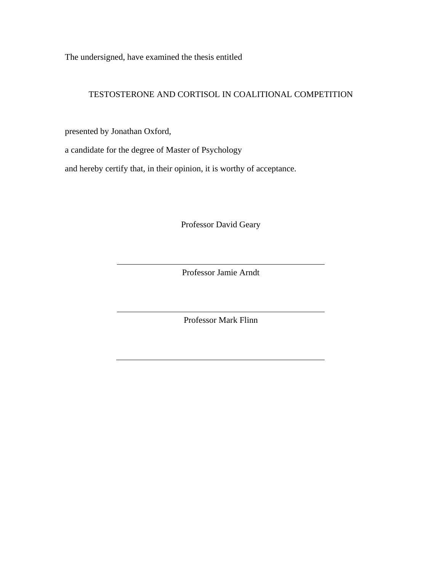The undersigned, have examined the thesis entitled

### TESTOSTERONE AND CORTISOL IN COALITIONAL COMPETITION

presented by Jonathan Oxford,

a candidate for the degree of Master of Psychology

and hereby certify that, in their opinion, it is worthy of acceptance.

Professor David Geary

Professor Jamie Arndt

Professor Mark Flinn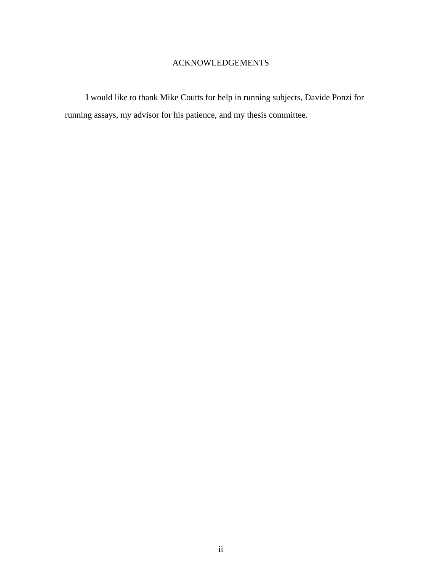## ACKNOWLEDGEMENTS

I would like to thank Mike Coutts for help in running subjects, Davide Ponzi for running assays, my advisor for his patience, and my thesis committee.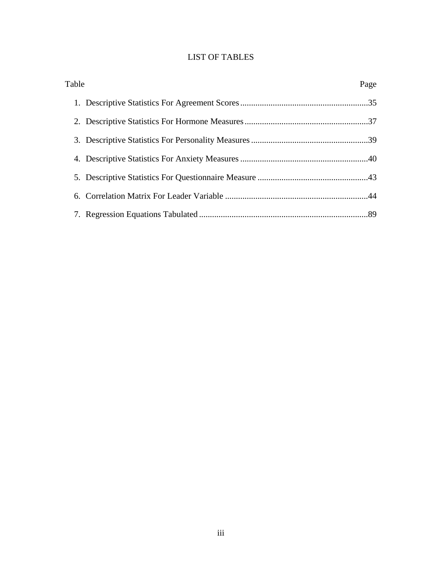## LIST OF TABLES

| Table | Page |
|-------|------|
|       |      |
|       |      |
|       |      |
|       |      |
|       |      |
|       |      |
|       |      |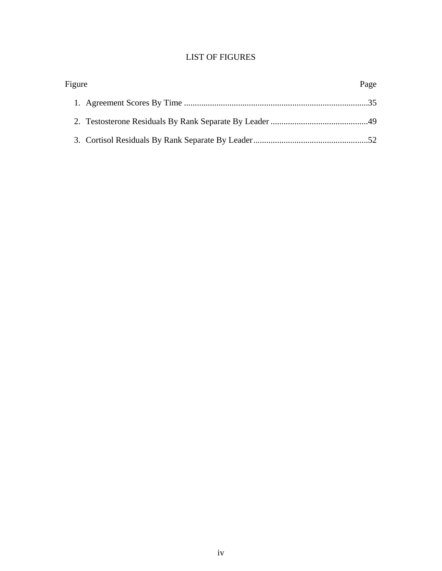## LIST OF FIGURES

| Figure | Page |
|--------|------|
|        |      |
|        |      |
|        |      |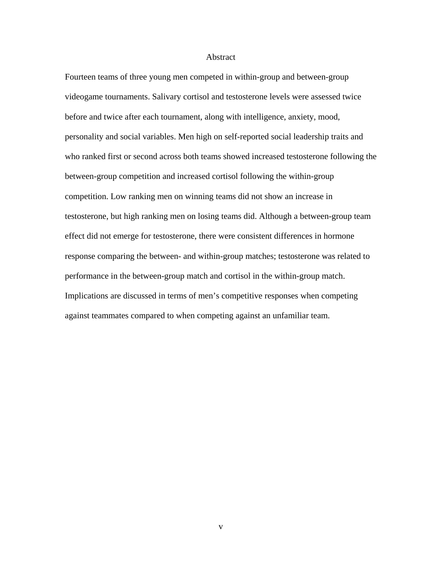#### Abstract

Fourteen teams of three young men competed in within-group and between-group videogame tournaments. Salivary cortisol and testosterone levels were assessed twice before and twice after each tournament, along with intelligence, anxiety, mood, personality and social variables. Men high on self-reported social leadership traits and who ranked first or second across both teams showed increased testosterone following the between-group competition and increased cortisol following the within-group competition. Low ranking men on winning teams did not show an increase in testosterone, but high ranking men on losing teams did. Although a between-group team effect did not emerge for testosterone, there were consistent differences in hormone response comparing the between- and within-group matches; testosterone was related to performance in the between-group match and cortisol in the within-group match. Implications are discussed in terms of men's competitive responses when competing against teammates compared to when competing against an unfamiliar team.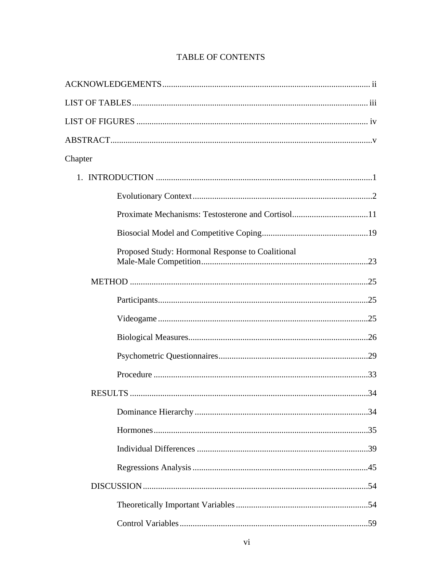| Chapter |                                                  |
|---------|--------------------------------------------------|
|         |                                                  |
|         |                                                  |
|         |                                                  |
|         |                                                  |
|         | Proposed Study: Hormonal Response to Coalitional |
|         |                                                  |
|         |                                                  |
|         |                                                  |
|         |                                                  |
|         |                                                  |
|         |                                                  |
|         |                                                  |
|         |                                                  |
|         |                                                  |
|         |                                                  |
|         |                                                  |
|         |                                                  |
|         |                                                  |
|         |                                                  |

# TABLE OF CONTENTS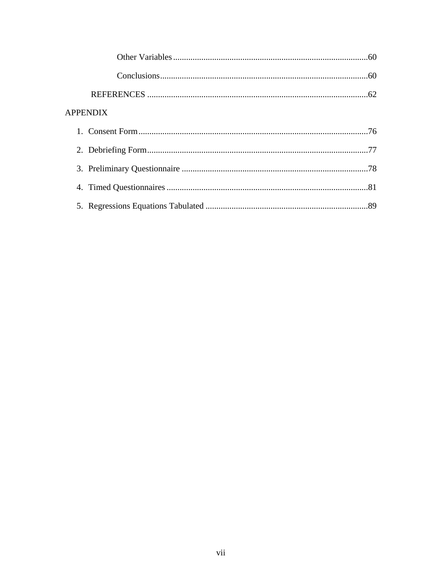| <b>APPENDIX</b> |  |
|-----------------|--|
|                 |  |
|                 |  |
|                 |  |
|                 |  |
|                 |  |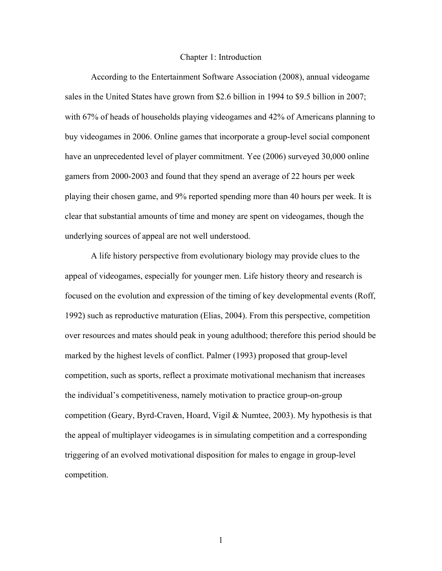#### Chapter 1: Introduction

According to the Entertainment Software Association (2008), annual videogame sales in the United States have grown from \$2.6 billion in 1994 to \$9.5 billion in 2007; with 67% of heads of households playing videogames and 42% of Americans planning to buy videogames in 2006. Online games that incorporate a group-level social component have an unprecedented level of player commitment. Yee (2006) surveyed 30,000 online gamers from 2000-2003 and found that they spend an average of 22 hours per week playing their chosen game, and 9% reported spending more than 40 hours per week. It is clear that substantial amounts of time and money are spent on videogames, though the underlying sources of appeal are not well understood.

A life history perspective from evolutionary biology may provide clues to the appeal of videogames, especially for younger men. Life history theory and research is focused on the evolution and expression of the timing of key developmental events (Roff, 1992) such as reproductive maturation (Elias, 2004). From this perspective, competition over resources and mates should peak in young adulthood; therefore this period should be marked by the highest levels of conflict. Palmer (1993) proposed that group-level competition, such as sports, reflect a proximate motivational mechanism that increases the individual's competitiveness, namely motivation to practice group-on-group competition (Geary, Byrd-Craven, Hoard, Vigil  $\&$  Numtee, 2003). My hypothesis is that the appeal of multiplayer videogames is in simulating competition and a corresponding triggering of an evolved motivational disposition for males to engage in group-level competition.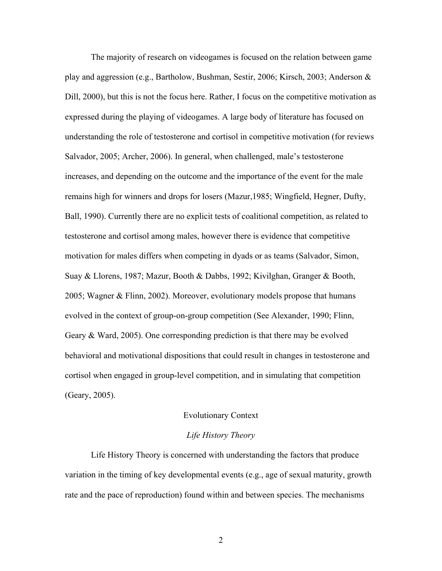The majority of research on videogames is focused on the relation between game play and aggression (e.g., Bartholow, Bushman, Sestir, 2006; Kirsch, 2003; Anderson & Dill, 2000), but this is not the focus here. Rather, I focus on the competitive motivation as expressed during the playing of videogames. A large body of literature has focused on understanding the role of testosterone and cortisol in competitive motivation (for reviews Salvador, 2005; Archer, 2006). In general, when challenged, male's testosterone increases, and depending on the outcome and the importance of the event for the male remains high for winners and drops for losers (Mazur,1985; Wingfield, Hegner, Dufty, Ball, 1990). Currently there are no explicit tests of coalitional competition, as related to testosterone and cortisol among males, however there is evidence that competitive motivation for males differs when competing in dyads or as teams (Salvador, Simon, Suay & Llorens, 1987; Mazur, Booth & Dabbs, 1992; Kivilghan, Granger & Booth, 2005; Wagner & Flinn, 2002). Moreover, evolutionary models propose that humans evolved in the context of group-on-group competition (See Alexander, 1990; Flinn, Geary & Ward, 2005). One corresponding prediction is that there may be evolved behavioral and motivational dispositions that could result in changes in testosterone and cortisol when engaged in group-level competition, and in simulating that competition (Geary, 2005).

#### Evolutionary Context

#### *Life History Theory*

Life History Theory is concerned with understanding the factors that produce variation in the timing of key developmental events (e.g., age of sexual maturity, growth rate and the pace of reproduction) found within and between species. The mechanisms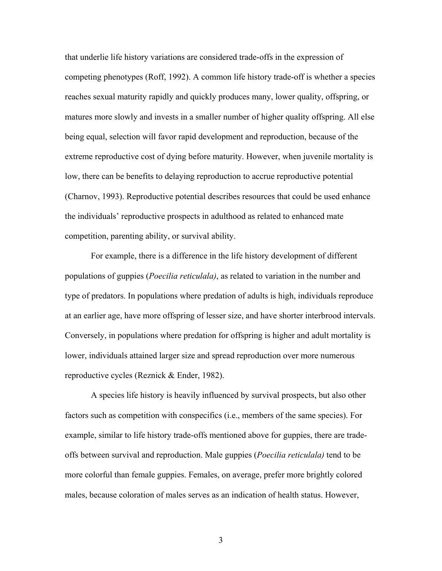that underlie life history variations are considered trade-offs in the expression of competing phenotypes (Roff, 1992). A common life history trade-off is whether a species reaches sexual maturity rapidly and quickly produces many, lower quality, offspring, or matures more slowly and invests in a smaller number of higher quality offspring. All else being equal, selection will favor rapid development and reproduction, because of the extreme reproductive cost of dying before maturity. However, when juvenile mortality is low, there can be benefits to delaying reproduction to accrue reproductive potential (Charnov, 1993). Reproductive potential describes resources that could be used enhance the individuals' reproductive prospects in adulthood as related to enhanced mate competition, parenting ability, or survival ability.

For example, there is a difference in the life history development of different populations of guppies (*Poecilia reticulala)*, as related to variation in the number and type of predators. In populations where predation of adults is high, individuals reproduce at an earlier age, have more offspring of lesser size, and have shorter interbrood intervals. Conversely, in populations where predation for offspring is higher and adult mortality is lower, individuals attained larger size and spread reproduction over more numerous reproductive cycles (Reznick & Ender, 1982).

A species life history is heavily influenced by survival prospects, but also other factors such as competition with conspecifics (i.e., members of the same species). For example, similar to life history trade-offs mentioned above for guppies, there are tradeoffs between survival and reproduction. Male guppies (*Poecilia reticulala)* tend to be more colorful than female guppies. Females, on average, prefer more brightly colored males, because coloration of males serves as an indication of health status. However,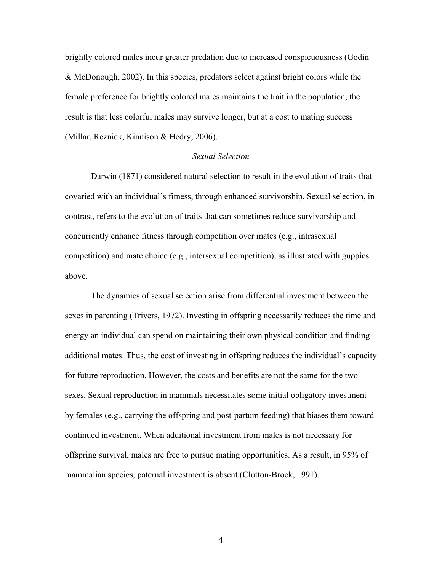brightly colored males incur greater predation due to increased conspicuousness (Godin & McDonough, 2002). In this species, predators select against bright colors while the female preference for brightly colored males maintains the trait in the population, the result is that less colorful males may survive longer, but at a cost to mating success (Millar, Reznick, Kinnison & Hedry, 2006).

### *Sexual Selection*

Darwin (1871) considered natural selection to result in the evolution of traits that covaried with an individual's fitness, through enhanced survivorship. Sexual selection, in contrast, refers to the evolution of traits that can sometimes reduce survivorship and concurrently enhance fitness through competition over mates (e.g., intrasexual competition) and mate choice (e.g., intersexual competition), as illustrated with guppies above.

The dynamics of sexual selection arise from differential investment between the sexes in parenting (Trivers, 1972). Investing in offspring necessarily reduces the time and energy an individual can spend on maintaining their own physical condition and finding additional mates. Thus, the cost of investing in offspring reduces the individual's capacity for future reproduction. However, the costs and benefits are not the same for the two sexes. Sexual reproduction in mammals necessitates some initial obligatory investment by females (e.g., carrying the offspring and post-partum feeding) that biases them toward continued investment. When additional investment from males is not necessary for offspring survival, males are free to pursue mating opportunities. As a result, in 95% of mammalian species, paternal investment is absent (Clutton-Brock, 1991).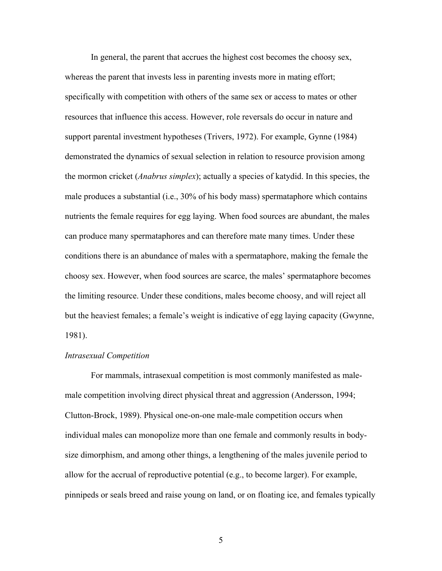In general, the parent that accrues the highest cost becomes the choosy sex, whereas the parent that invests less in parenting invests more in mating effort; specifically with competition with others of the same sex or access to mates or other resources that influence this access. However, role reversals do occur in nature and support parental investment hypotheses (Trivers, 1972). For example, Gynne (1984) demonstrated the dynamics of sexual selection in relation to resource provision among the mormon cricket (*Anabrus simplex*); actually a species of katydid. In this species, the male produces a substantial (i.e., 30% of his body mass) spermataphore which contains nutrients the female requires for egg laying. When food sources are abundant, the males can produce many spermataphores and can therefore mate many times. Under these conditions there is an abundance of males with a spermataphore, making the female the choosy sex. However, when food sources are scarce, the males' spermataphore becomes the limiting resource. Under these conditions, males become choosy, and will reject all but the heaviest females; a female's weight is indicative of egg laying capacity (Gwynne, 1981).

### *Intrasexual Competition*

For mammals, intrasexual competition is most commonly manifested as malemale competition involving direct physical threat and aggression (Andersson, 1994; Clutton-Brock, 1989). Physical one-on-one male-male competition occurs when individual males can monopolize more than one female and commonly results in bodysize dimorphism, and among other things, a lengthening of the males juvenile period to allow for the accrual of reproductive potential (e.g., to become larger). For example, pinnipeds or seals breed and raise young on land, or on floating ice, and females typically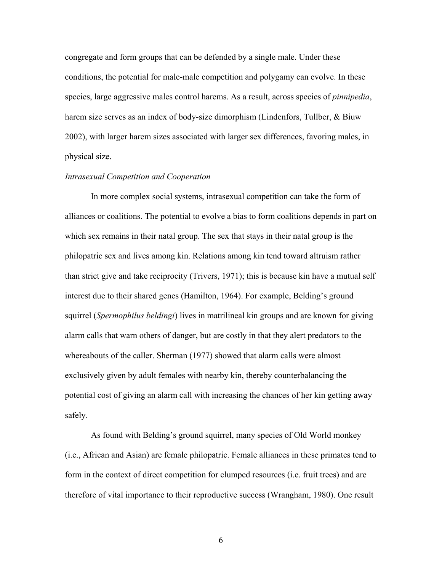congregate and form groups that can be defended by a single male. Under these conditions, the potential for male-male competition and polygamy can evolve. In these species, large aggressive males control harems. As a result, across species of *pinnipedia*, harem size serves as an index of body-size dimorphism (Lindenfors, Tullber, & Biuw 2002), with larger harem sizes associated with larger sex differences, favoring males, in physical size.

### *Intrasexual Competition and Cooperation*

In more complex social systems, intrasexual competition can take the form of alliances or coalitions. The potential to evolve a bias to form coalitions depends in part on which sex remains in their natal group. The sex that stays in their natal group is the philopatric sex and lives among kin. Relations among kin tend toward altruism rather than strict give and take reciprocity (Trivers, 1971); this is because kin have a mutual self interest due to their shared genes (Hamilton, 1964). For example, Belding's ground squirrel (*Spermophilus beldingi*) lives in matrilineal kin groups and are known for giving alarm calls that warn others of danger, but are costly in that they alert predators to the whereabouts of the caller. Sherman (1977) showed that alarm calls were almost exclusively given by adult females with nearby kin, thereby counterbalancing the potential cost of giving an alarm call with increasing the chances of her kin getting away safely.

As found with Belding's ground squirrel, many species of Old World monkey (i.e., African and Asian) are female philopatric. Female alliances in these primates tend to form in the context of direct competition for clumped resources (i.e. fruit trees) and are therefore of vital importance to their reproductive success (Wrangham, 1980). One result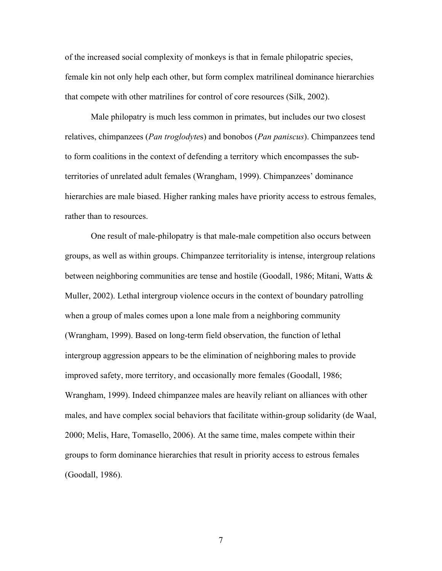of the increased social complexity of monkeys is that in female philopatric species, female kin not only help each other, but form complex matrilineal dominance hierarchies that compete with other matrilines for control of core resources (Silk, 2002).

Male philopatry is much less common in primates, but includes our two closest relatives, chimpanzees (*Pan troglodyte*s) and bonobos (*Pan paniscus*). Chimpanzees tend to form coalitions in the context of defending a territory which encompasses the subterritories of unrelated adult females (Wrangham, 1999). Chimpanzees' dominance hierarchies are male biased. Higher ranking males have priority access to estrous females, rather than to resources.

One result of male-philopatry is that male-male competition also occurs between groups, as well as within groups. Chimpanzee territoriality is intense, intergroup relations between neighboring communities are tense and hostile (Goodall, 1986; Mitani, Watts  $\&$ Muller, 2002). Lethal intergroup violence occurs in the context of boundary patrolling when a group of males comes upon a lone male from a neighboring community (Wrangham, 1999). Based on long-term field observation, the function of lethal intergroup aggression appears to be the elimination of neighboring males to provide improved safety, more territory, and occasionally more females (Goodall, 1986; Wrangham, 1999). Indeed chimpanzee males are heavily reliant on alliances with other males, and have complex social behaviors that facilitate within-group solidarity (de Waal, 2000; Melis, Hare, Tomasello, 2006). At the same time, males compete within their groups to form dominance hierarchies that result in priority access to estrous females (Goodall, 1986).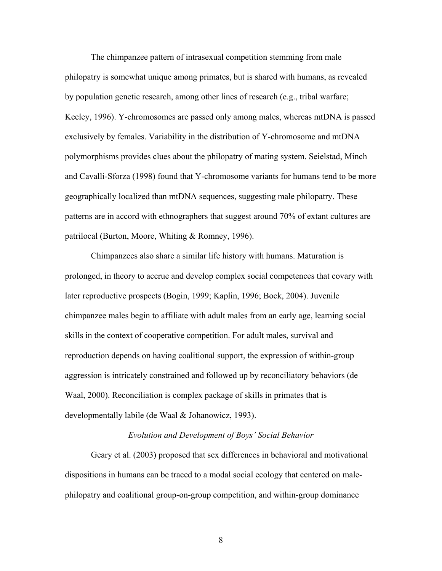The chimpanzee pattern of intrasexual competition stemming from male philopatry is somewhat unique among primates, but is shared with humans, as revealed by population genetic research, among other lines of research (e.g., tribal warfare; Keeley, 1996). Y-chromosomes are passed only among males, whereas mtDNA is passed exclusively by females. Variability in the distribution of Y-chromosome and mtDNA polymorphisms provides clues about the philopatry of mating system. Seielstad, Minch and Cavalli-Sforza (1998) found that Y-chromosome variants for humans tend to be more geographically localized than mtDNA sequences, suggesting male philopatry. These patterns are in accord with ethnographers that suggest around 70% of extant cultures are patrilocal (Burton, Moore, Whiting & Romney, 1996).

Chimpanzees also share a similar life history with humans. Maturation is prolonged, in theory to accrue and develop complex social competences that covary with later reproductive prospects (Bogin, 1999; Kaplin, 1996; Bock, 2004). Juvenile chimpanzee males begin to affiliate with adult males from an early age, learning social skills in the context of cooperative competition. For adult males, survival and reproduction depends on having coalitional support, the expression of within-group aggression is intricately constrained and followed up by reconciliatory behaviors (de Waal, 2000). Reconciliation is complex package of skills in primates that is developmentally labile (de Waal & Johanowicz, 1993).

### *Evolution and Development of Boys' Social Behavior*

Geary et al. (2003) proposed that sex differences in behavioral and motivational dispositions in humans can be traced to a modal social ecology that centered on malephilopatry and coalitional group-on-group competition, and within-group dominance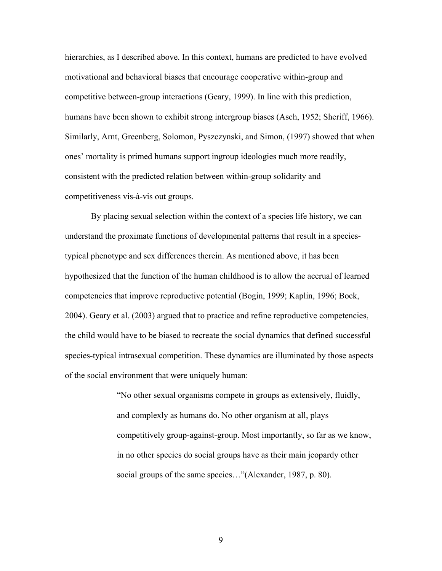hierarchies, as I described above. In this context, humans are predicted to have evolved motivational and behavioral biases that encourage cooperative within-group and competitive between-group interactions (Geary, 1999). In line with this prediction, humans have been shown to exhibit strong intergroup biases (Asch, 1952; Sheriff, 1966). Similarly, Arnt, Greenberg, Solomon, Pyszczynski, and Simon, (1997) showed that when ones' mortality is primed humans support ingroup ideologies much more readily, consistent with the predicted relation between within-group solidarity and competitiveness vis-à-vis out groups.

By placing sexual selection within the context of a species life history, we can understand the proximate functions of developmental patterns that result in a speciestypical phenotype and sex differences therein. As mentioned above, it has been hypothesized that the function of the human childhood is to allow the accrual of learned competencies that improve reproductive potential (Bogin, 1999; Kaplin, 1996; Bock, 2004). Geary et al. (2003) argued that to practice and refine reproductive competencies, the child would have to be biased to recreate the social dynamics that defined successful species-typical intrasexual competition. These dynamics are illuminated by those aspects of the social environment that were uniquely human:

> "No other sexual organisms compete in groups as extensively, fluidly, and complexly as humans do. No other organism at all, plays competitively group-against-group. Most importantly, so far as we know, in no other species do social groups have as their main jeopardy other social groups of the same species..."(Alexander, 1987, p. 80).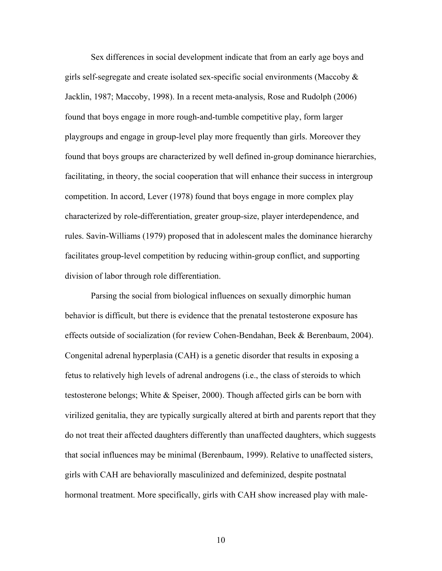Sex differences in social development indicate that from an early age boys and girls self-segregate and create isolated sex-specific social environments (Maccoby  $\&$ Jacklin, 1987; Maccoby, 1998). In a recent meta-analysis, Rose and Rudolph (2006) found that boys engage in more rough-and-tumble competitive play, form larger playgroups and engage in group-level play more frequently than girls. Moreover they found that boys groups are characterized by well defined in-group dominance hierarchies, facilitating, in theory, the social cooperation that will enhance their success in intergroup competition. In accord, Lever (1978) found that boys engage in more complex play characterized by role-differentiation, greater group-size, player interdependence, and rules. Savin-Williams (1979) proposed that in adolescent males the dominance hierarchy facilitates group-level competition by reducing within-group conflict, and supporting division of labor through role differentiation.

Parsing the social from biological influences on sexually dimorphic human behavior is difficult, but there is evidence that the prenatal testosterone exposure has effects outside of socialization (for review Cohen-Bendahan, Beek & Berenbaum, 2004). Congenital adrenal hyperplasia (CAH) is a genetic disorder that results in exposing a fetus to relatively high levels of adrenal androgens (i.e., the class of steroids to which testosterone belongs; White & Speiser, 2000). Though affected girls can be born with virilized genitalia, they are typically surgically altered at birth and parents report that they do not treat their affected daughters differently than unaffected daughters, which suggests that social influences may be minimal (Berenbaum, 1999). Relative to unaffected sisters, girls with CAH are behaviorally masculinized and defeminized, despite postnatal hormonal treatment. More specifically, girls with CAH show increased play with male-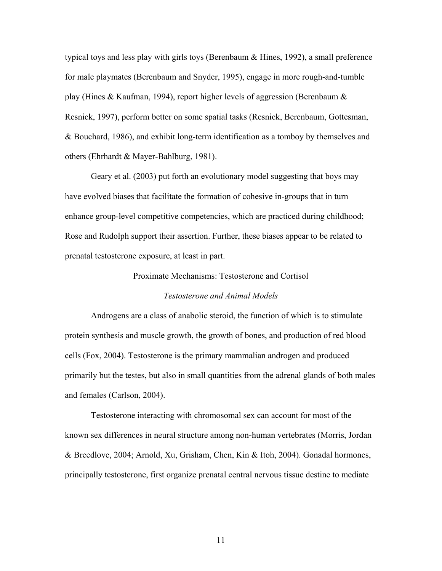typical toys and less play with girls toys (Berenbaum & Hines, 1992), a small preference for male playmates (Berenbaum and Snyder, 1995), engage in more rough-and-tumble play (Hines & Kaufman, 1994), report higher levels of aggression (Berenbaum & Resnick, 1997), perform better on some spatial tasks (Resnick, Berenbaum, Gottesman, & Bouchard, 1986), and exhibit long-term identification as a tomboy by themselves and others (Ehrhardt & Mayer-Bahlburg, 1981).

 Geary et al. (2003) put forth an evolutionary model suggesting that boys may have evolved biases that facilitate the formation of cohesive in-groups that in turn enhance group-level competitive competencies, which are practiced during childhood; Rose and Rudolph support their assertion. Further, these biases appear to be related to prenatal testosterone exposure, at least in part.

#### Proximate Mechanisms: Testosterone and Cortisol

#### *Testosterone and Animal Models*

Androgens are a class of anabolic steroid, the function of which is to stimulate protein synthesis and muscle growth, the growth of bones, and production of red blood cells (Fox, 2004). Testosterone is the primary mammalian androgen and produced primarily but the testes, but also in small quantities from the adrenal glands of both males and females (Carlson, 2004).

Testosterone interacting with chromosomal sex can account for most of the known sex differences in neural structure among non-human vertebrates (Morris, Jordan & Breedlove, 2004; Arnold, Xu, Grisham, Chen, Kin & Itoh, 2004). Gonadal hormones, principally testosterone, first organize prenatal central nervous tissue destine to mediate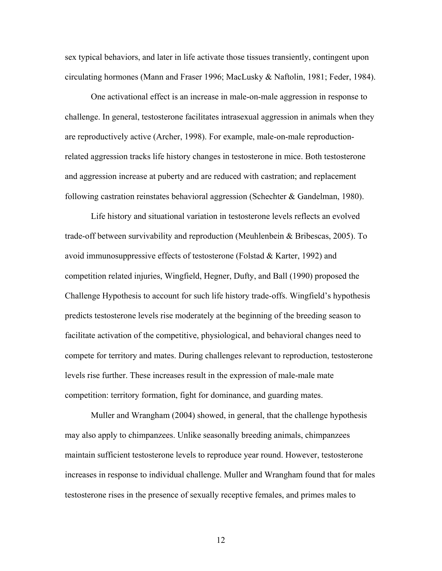sex typical behaviors, and later in life activate those tissues transiently, contingent upon circulating hormones (Mann and Fraser 1996; MacLusky & Naftolin, 1981; Feder, 1984).

One activational effect is an increase in male-on-male aggression in response to challenge. In general, testosterone facilitates intrasexual aggression in animals when they are reproductively active (Archer, 1998). For example, male-on-male reproductionrelated aggression tracks life history changes in testosterone in mice. Both testosterone and aggression increase at puberty and are reduced with castration; and replacement following castration reinstates behavioral aggression (Schechter & Gandelman, 1980).

Life history and situational variation in testosterone levels reflects an evolved trade-off between survivability and reproduction (Meuhlenbein & Bribescas, 2005). To avoid immunosuppressive effects of testosterone (Folstad  $&$  Karter, 1992) and competition related injuries, Wingfield, Hegner, Dufty, and Ball (1990) proposed the Challenge Hypothesis to account for such life history trade-offs. Wingfield's hypothesis predicts testosterone levels rise moderately at the beginning of the breeding season to facilitate activation of the competitive, physiological, and behavioral changes need to compete for territory and mates. During challenges relevant to reproduction, testosterone levels rise further. These increases result in the expression of male-male mate competition: territory formation, fight for dominance, and guarding mates.

Muller and Wrangham (2004) showed, in general, that the challenge hypothesis may also apply to chimpanzees. Unlike seasonally breeding animals, chimpanzees maintain sufficient testosterone levels to reproduce year round. However, testosterone increases in response to individual challenge. Muller and Wrangham found that for males testosterone rises in the presence of sexually receptive females, and primes males to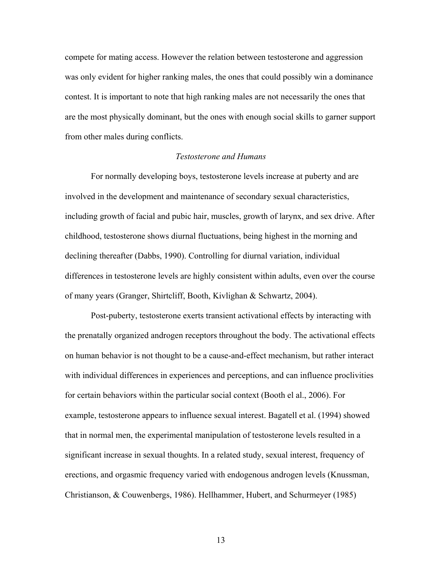compete for mating access. However the relation between testosterone and aggression was only evident for higher ranking males, the ones that could possibly win a dominance contest. It is important to note that high ranking males are not necessarily the ones that are the most physically dominant, but the ones with enough social skills to garner support from other males during conflicts.

## *Testosterone and Humans*

For normally developing boys, testosterone levels increase at puberty and are involved in the development and maintenance of secondary sexual characteristics, including growth of facial and pubic hair, muscles, growth of larynx, and sex drive. After childhood, testosterone shows diurnal fluctuations, being highest in the morning and declining thereafter (Dabbs, 1990). Controlling for diurnal variation, individual differences in testosterone levels are highly consistent within adults, even over the course of many years (Granger, Shirtcliff, Booth, Kivlighan & Schwartz, 2004).

Post-puberty, testosterone exerts transient activational effects by interacting with the prenatally organized androgen receptors throughout the body. The activational effects on human behavior is not thought to be a cause-and-effect mechanism, but rather interact with individual differences in experiences and perceptions, and can influence proclivities for certain behaviors within the particular social context (Booth el al., 2006). For example, testosterone appears to influence sexual interest. Bagatell et al. (1994) showed that in normal men, the experimental manipulation of testosterone levels resulted in a significant increase in sexual thoughts. In a related study, sexual interest, frequency of erections, and orgasmic frequency varied with endogenous androgen levels (Knussman, Christianson, & Couwenbergs, 1986). Hellhammer, Hubert, and Schurmeyer (1985)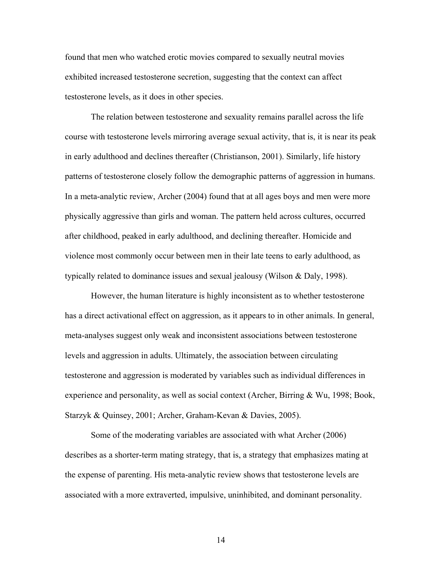found that men who watched erotic movies compared to sexually neutral movies exhibited increased testosterone secretion, suggesting that the context can affect testosterone levels, as it does in other species.

The relation between testosterone and sexuality remains parallel across the life course with testosterone levels mirroring average sexual activity, that is, it is near its peak in early adulthood and declines thereafter (Christianson, 2001). Similarly, life history patterns of testosterone closely follow the demographic patterns of aggression in humans. In a meta-analytic review, Archer (2004) found that at all ages boys and men were more physically aggressive than girls and woman. The pattern held across cultures, occurred after childhood, peaked in early adulthood, and declining thereafter. Homicide and violence most commonly occur between men in their late teens to early adulthood, as typically related to dominance issues and sexual jealousy (Wilson  $\&$  Daly, 1998).

However, the human literature is highly inconsistent as to whether testosterone has a direct activational effect on aggression, as it appears to in other animals. In general, meta-analyses suggest only weak and inconsistent associations between testosterone levels and aggression in adults. Ultimately, the association between circulating testosterone and aggression is moderated by variables such as individual differences in experience and personality, as well as social context (Archer, Birring & Wu, 1998; Book, Starzyk & Quinsey, 2001; Archer, Graham-Kevan & Davies, 2005).

Some of the moderating variables are associated with what Archer (2006) describes as a shorter-term mating strategy, that is, a strategy that emphasizes mating at the expense of parenting. His meta-analytic review shows that testosterone levels are associated with a more extraverted, impulsive, uninhibited, and dominant personality.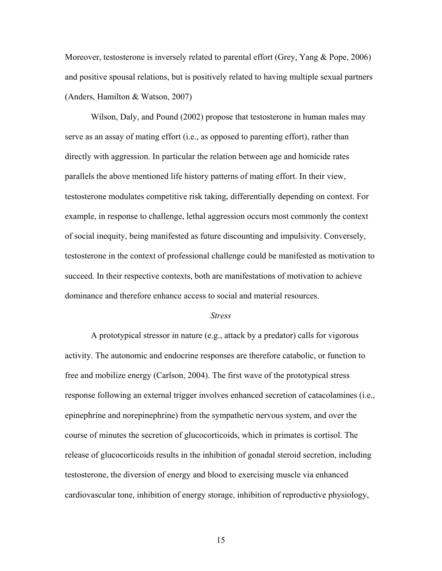Moreover, testosterone is inversely related to parental effort (Grey, Yang & Pope, 2006) and positive spousal relations, but is positively related to having multiple sexual partners (Anders, Hamilton & Watson, 2007)

Wilson, Daly, and Pound (2002) propose that testosterone in human males may serve as an assay of mating effort (i.e., as opposed to parenting effort), rather than directly with aggression. In particular the relation between age and homicide rates parallels the above mentioned life history patterns of mating effort. In their view, testosterone modulates competitive risk taking, differentially depending on context. For example, in response to challenge, lethal aggression occurs most commonly the context of social inequity, being manifested as future discounting and impulsivity. Conversely, testosterone in the context of professional challenge could be manifested as motivation to succeed. In their respective contexts, both are manifestations of motivation to achieve dominance and therefore enhance access to social and material resources.

#### *Stress*

A prototypical stressor in nature (e.g., attack by a predator) calls for vigorous activity. The autonomic and endocrine responses are therefore catabolic, or function to free and mobilize energy (Carlson, 2004). The first wave of the prototypical stress response following an external trigger involves enhanced secretion of catacolamines (i.e., epinephrine and norepinephrine) from the sympathetic nervous system, and over the course of minutes the secretion of glucocorticoids, which in primates is cortisol. The release of glucocorticoids results in the inhibition of gonadal steroid secretion, including testosterone, the diversion of energy and blood to exercising muscle via enhanced cardiovascular tone, inhibition of energy storage, inhibition of reproductive physiology,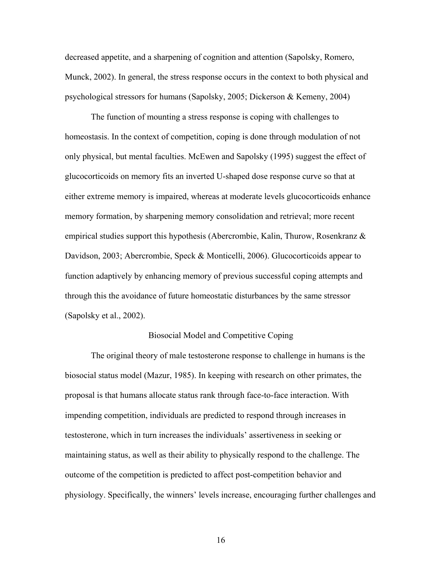decreased appetite, and a sharpening of cognition and attention (Sapolsky, Romero, Munck, 2002). In general, the stress response occurs in the context to both physical and psychological stressors for humans (Sapolsky, 2005; Dickerson & Kemeny, 2004)

The function of mounting a stress response is coping with challenges to homeostasis. In the context of competition, coping is done through modulation of not only physical, but mental faculties. McEwen and Sapolsky (1995) suggest the effect of glucocorticoids on memory fits an inverted U-shaped dose response curve so that at either extreme memory is impaired, whereas at moderate levels glucocorticoids enhance memory formation, by sharpening memory consolidation and retrieval; more recent empirical studies support this hypothesis (Abercrombie, Kalin, Thurow, Rosenkranz & Davidson, 2003; Abercrombie, Speck & Monticelli, 2006). Glucocorticoids appear to function adaptively by enhancing memory of previous successful coping attempts and through this the avoidance of future homeostatic disturbances by the same stressor (Sapolsky et al., 2002).

### Biosocial Model and Competitive Coping

The original theory of male testosterone response to challenge in humans is the biosocial status model (Mazur, 1985). In keeping with research on other primates, the proposal is that humans allocate status rank through face-to-face interaction. With impending competition, individuals are predicted to respond through increases in testosterone, which in turn increases the individuals' assertiveness in seeking or maintaining status, as well as their ability to physically respond to the challenge. The outcome of the competition is predicted to affect post-competition behavior and physiology. Specifically, the winners' levels increase, encouraging further challenges and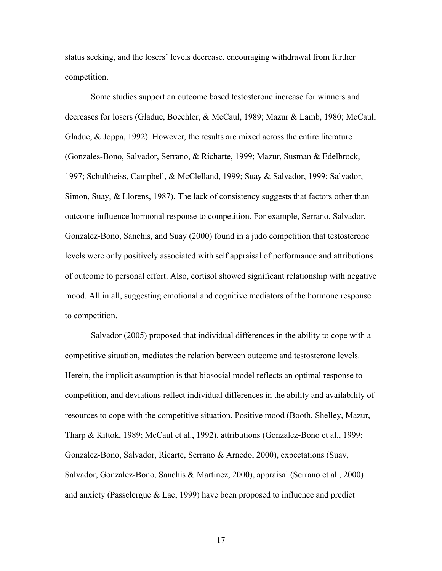status seeking, and the losers' levels decrease, encouraging withdrawal from further competition.

Some studies support an outcome based testosterone increase for winners and decreases for losers (Gladue, Boechler, & McCaul, 1989; Mazur & Lamb, 1980; McCaul, Gladue, & Joppa, 1992). However, the results are mixed across the entire literature (Gonzales-Bono, Salvador, Serrano, & Richarte, 1999; Mazur, Susman & Edelbrock, 1997; Schultheiss, Campbell, & McClelland, 1999; Suay & Salvador, 1999; Salvador, Simon, Suay, & Llorens, 1987). The lack of consistency suggests that factors other than outcome influence hormonal response to competition. For example, Serrano, Salvador, Gonzalez-Bono, Sanchis, and Suay (2000) found in a judo competition that testosterone levels were only positively associated with self appraisal of performance and attributions of outcome to personal effort. Also, cortisol showed significant relationship with negative mood. All in all, suggesting emotional and cognitive mediators of the hormone response to competition.

Salvador (2005) proposed that individual differences in the ability to cope with a competitive situation, mediates the relation between outcome and testosterone levels. Herein, the implicit assumption is that biosocial model reflects an optimal response to competition, and deviations reflect individual differences in the ability and availability of resources to cope with the competitive situation. Positive mood (Booth, Shelley, Mazur, Tharp & Kittok, 1989; McCaul et al., 1992), attributions (Gonzalez-Bono et al., 1999; Gonzalez-Bono, Salvador, Ricarte, Serrano & Arnedo, 2000), expectations (Suay, Salvador, Gonzalez-Bono, Sanchis & Martinez, 2000), appraisal (Serrano et al., 2000) and anxiety (Passelergue & Lac, 1999) have been proposed to influence and predict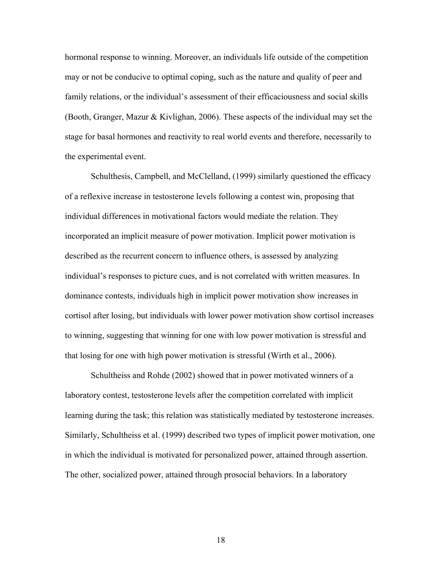hormonal response to winning. Moreover, an individuals life outside of the competition may or not be conducive to optimal coping, such as the nature and quality of peer and family relations, or the individual's assessment of their efficaciousness and social skills (Booth, Granger, Mazur & Kivlighan, 2006). These aspects of the individual may set the stage for basal hormones and reactivity to real world events and therefore, necessarily to the experimental event.

Schulthesis, Campbell, and McClelland, (1999) similarly questioned the efficacy of a reflexive increase in testosterone levels following a contest win, proposing that individual differences in motivational factors would mediate the relation. They incorporated an implicit measure of power motivation. Implicit power motivation is described as the recurrent concern to influence others, is assessed by analyzing individual's responses to picture cues, and is not correlated with written measures. In dominance contests, individuals high in implicit power motivation show increases in cortisol after losing, but individuals with lower power motivation show cortisol increases to winning, suggesting that winning for one with low power motivation is stressful and that losing for one with high power motivation is stressful (Wirth et al., 2006).

Schultheiss and Rohde (2002) showed that in power motivated winners of a laboratory contest, testosterone levels after the competition correlated with implicit learning during the task; this relation was statistically mediated by testosterone increases. Similarly, Schultheiss et al. (1999) described two types of implicit power motivation, one in which the individual is motivated for personalized power, attained through assertion. The other, socialized power, attained through prosocial behaviors. In a laboratory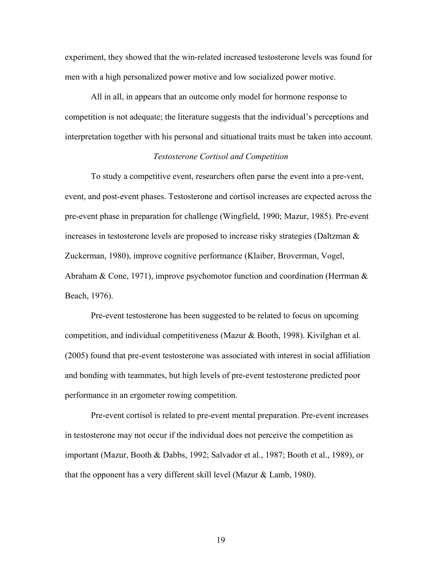experiment, they showed that the win-related increased testosterone levels was found for men with a high personalized power motive and low socialized power motive.

All in all, in appears that an outcome only model for hormone response to competition is not adequate; the literature suggests that the individual's perceptions and interpretation together with his personal and situational traits must be taken into account.

### *Testosterone Cortisol and Competition*

To study a competitive event, researchers often parse the event into a pre-vent, event, and post-event phases. Testosterone and cortisol increases are expected across the pre-event phase in preparation for challenge (Wingfield, 1990; Mazur, 1985). Pre-event increases in testosterone levels are proposed to increase risky strategies (Daltzman & Zuckerman, 1980), improve cognitive performance (Klaiber, Broverman, Vogel, Abraham & Cone, 1971), improve psychomotor function and coordination (Herrman  $\&$ Beach, 1976).

Pre-event testosterone has been suggested to be related to focus on upcoming competition, and individual competitiveness (Mazur & Booth, 1998). Kivilghan et al. (2005) found that pre-event testosterone was associated with interest in social affiliation and bonding with teammates, but high levels of pre-event testosterone predicted poor performance in an ergometer rowing competition.

Pre-event cortisol is related to pre-event mental preparation. Pre-event increases in testosterone may not occur if the individual does not perceive the competition as important (Mazur, Booth & Dabbs, 1992; Salvador et al., 1987; Booth et al., 1989), or that the opponent has a very different skill level (Mazur & Lamb, 1980).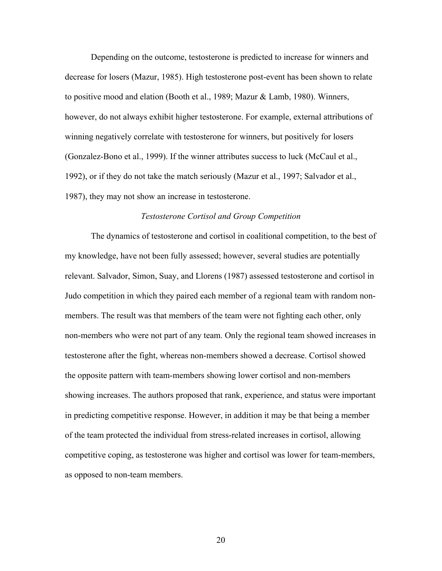Depending on the outcome, testosterone is predicted to increase for winners and decrease for losers (Mazur, 1985). High testosterone post-event has been shown to relate to positive mood and elation (Booth et al., 1989; Mazur & Lamb, 1980). Winners, however, do not always exhibit higher testosterone. For example, external attributions of winning negatively correlate with testosterone for winners, but positively for losers (Gonzalez-Bono et al., 1999). If the winner attributes success to luck (McCaul et al., 1992), or if they do not take the match seriously (Mazur et al., 1997; Salvador et al., 1987), they may not show an increase in testosterone.

#### *Testosterone Cortisol and Group Competition*

The dynamics of testosterone and cortisol in coalitional competition, to the best of my knowledge, have not been fully assessed; however, several studies are potentially relevant. Salvador, Simon, Suay, and Llorens (1987) assessed testosterone and cortisol in Judo competition in which they paired each member of a regional team with random nonmembers. The result was that members of the team were not fighting each other, only non-members who were not part of any team. Only the regional team showed increases in testosterone after the fight, whereas non-members showed a decrease. Cortisol showed the opposite pattern with team-members showing lower cortisol and non-members showing increases. The authors proposed that rank, experience, and status were important in predicting competitive response. However, in addition it may be that being a member of the team protected the individual from stress-related increases in cortisol, allowing competitive coping, as testosterone was higher and cortisol was lower for team-members, as opposed to non-team members.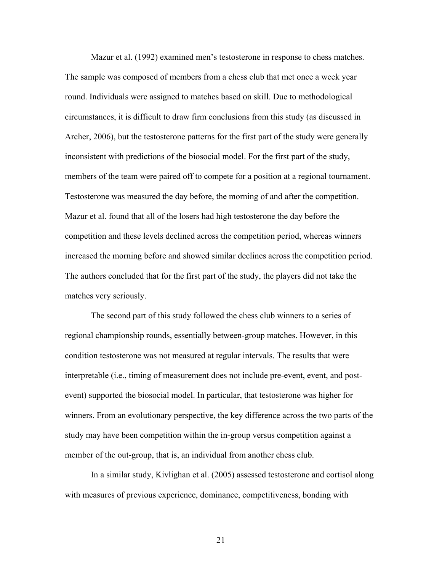Mazur et al. (1992) examined men's testosterone in response to chess matches. The sample was composed of members from a chess club that met once a week year round. Individuals were assigned to matches based on skill. Due to methodological circumstances, it is difficult to draw firm conclusions from this study (as discussed in Archer, 2006), but the testosterone patterns for the first part of the study were generally inconsistent with predictions of the biosocial model. For the first part of the study, members of the team were paired off to compete for a position at a regional tournament. Testosterone was measured the day before, the morning of and after the competition. Mazur et al. found that all of the losers had high testosterone the day before the competition and these levels declined across the competition period, whereas winners increased the morning before and showed similar declines across the competition period. The authors concluded that for the first part of the study, the players did not take the matches very seriously.

The second part of this study followed the chess club winners to a series of regional championship rounds, essentially between-group matches. However, in this condition testosterone was not measured at regular intervals. The results that were interpretable (i.e., timing of measurement does not include pre-event, event, and postevent) supported the biosocial model. In particular, that testosterone was higher for winners. From an evolutionary perspective, the key difference across the two parts of the study may have been competition within the in-group versus competition against a member of the out-group, that is, an individual from another chess club.

In a similar study, Kivlighan et al. (2005) assessed testosterone and cortisol along with measures of previous experience, dominance, competitiveness, bonding with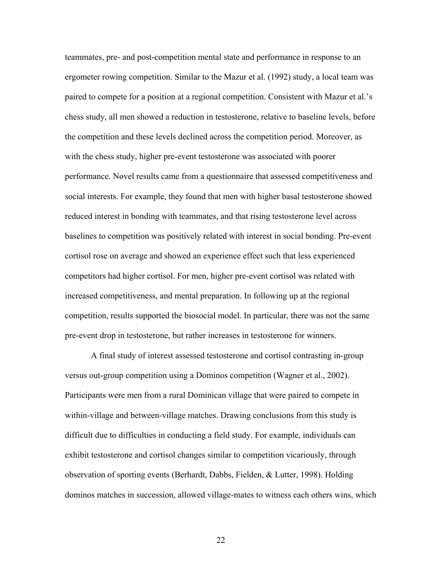teammates, pre- and post-competition mental state and performance in response to an ergometer rowing competition. Similar to the Mazur et al. (1992) study, a local team was paired to compete for a position at a regional competition. Consistent with Mazur et al.'s chess study, all men showed a reduction in testosterone, relative to baseline levels, before the competition and these levels declined across the competition period. Moreover, as with the chess study, higher pre-event testosterone was associated with poorer performance. Novel results came from a questionnaire that assessed competitiveness and social interests. For example, they found that men with higher basal testosterone showed reduced interest in bonding with teammates, and that rising testosterone level across baselines to competition was positively related with interest in social bonding. Pre-event cortisol rose on average and showed an experience effect such that less experienced competitors had higher cortisol. For men, higher pre-event cortisol was related with increased competitiveness, and mental preparation. In following up at the regional competition, results supported the biosocial model. In particular, there was not the same pre-event drop in testosterone, but rather increases in testosterone for winners.

A final study of interest assessed testosterone and cortisol contrasting in-group versus out-group competition using a Dominos competition (Wagner et al., 2002). Participants were men from a rural Dominican village that were paired to compete in within-village and between-village matches. Drawing conclusions from this study is difficult due to difficulties in conducting a field study. For example, individuals can exhibit testosterone and cortisol changes similar to competition vicariously, through observation of sporting events (Berhardt, Dabbs, Fielden, & Lutter, 1998). Holding dominos matches in succession, allowed village-mates to witness each others wins, which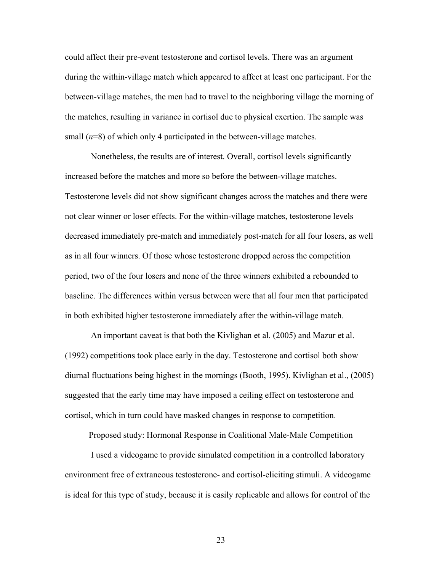could affect their pre-event testosterone and cortisol levels. There was an argument during the within-village match which appeared to affect at least one participant. For the between-village matches, the men had to travel to the neighboring village the morning of the matches, resulting in variance in cortisol due to physical exertion. The sample was small (*n*=8) of which only 4 participated in the between-village matches.

Nonetheless, the results are of interest. Overall, cortisol levels significantly increased before the matches and more so before the between-village matches. Testosterone levels did not show significant changes across the matches and there were not clear winner or loser effects. For the within-village matches, testosterone levels decreased immediately pre-match and immediately post-match for all four losers, as well as in all four winners. Of those whose testosterone dropped across the competition period, two of the four losers and none of the three winners exhibited a rebounded to baseline. The differences within versus between were that all four men that participated in both exhibited higher testosterone immediately after the within-village match.

An important caveat is that both the Kivlighan et al. (2005) and Mazur et al. (1992) competitions took place early in the day. Testosterone and cortisol both show diurnal fluctuations being highest in the mornings (Booth, 1995). Kivlighan et al., (2005) suggested that the early time may have imposed a ceiling effect on testosterone and cortisol, which in turn could have masked changes in response to competition.

Proposed study: Hormonal Response in Coalitional Male-Male Competition

I used a videogame to provide simulated competition in a controlled laboratory environment free of extraneous testosterone- and cortisol-eliciting stimuli. A videogame is ideal for this type of study, because it is easily replicable and allows for control of the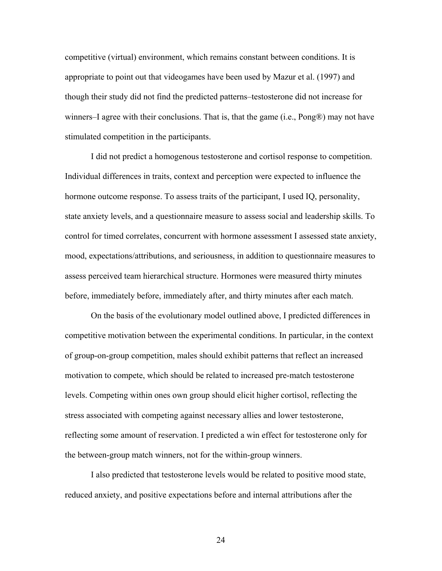competitive (virtual) environment, which remains constant between conditions. It is appropriate to point out that videogames have been used by Mazur et al. (1997) and though their study did not find the predicted patterns–testosterone did not increase for winners–I agree with their conclusions. That is, that the game (i.e., Pong®) may not have stimulated competition in the participants.

I did not predict a homogenous testosterone and cortisol response to competition. Individual differences in traits, context and perception were expected to influence the hormone outcome response. To assess traits of the participant, I used IQ, personality, state anxiety levels, and a questionnaire measure to assess social and leadership skills. To control for timed correlates, concurrent with hormone assessment I assessed state anxiety, mood, expectations/attributions, and seriousness, in addition to questionnaire measures to assess perceived team hierarchical structure. Hormones were measured thirty minutes before, immediately before, immediately after, and thirty minutes after each match.

On the basis of the evolutionary model outlined above, I predicted differences in competitive motivation between the experimental conditions. In particular, in the context of group-on-group competition, males should exhibit patterns that reflect an increased motivation to compete, which should be related to increased pre-match testosterone levels. Competing within ones own group should elicit higher cortisol, reflecting the stress associated with competing against necessary allies and lower testosterone, reflecting some amount of reservation. I predicted a win effect for testosterone only for the between-group match winners, not for the within-group winners.

 I also predicted that testosterone levels would be related to positive mood state, reduced anxiety, and positive expectations before and internal attributions after the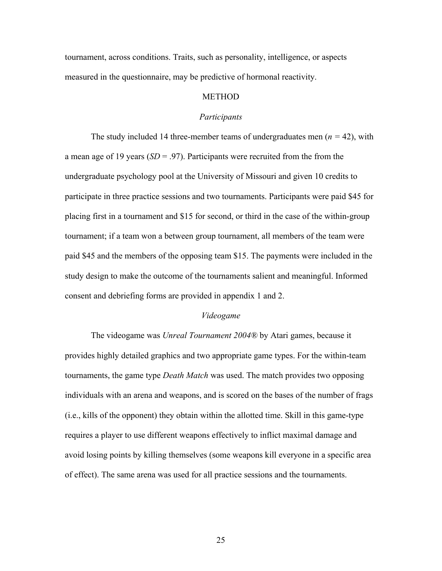tournament, across conditions. Traits, such as personality, intelligence, or aspects measured in the questionnaire, may be predictive of hormonal reactivity.

#### **METHOD**

#### *Participants*

The study included 14 three-member teams of undergraduates men (*n =* 42), with a mean age of 19 years (*SD* = .97). Participants were recruited from the from the undergraduate psychology pool at the University of Missouri and given 10 credits to participate in three practice sessions and two tournaments. Participants were paid \$45 for placing first in a tournament and \$15 for second, or third in the case of the within-group tournament; if a team won a between group tournament, all members of the team were paid \$45 and the members of the opposing team \$15. The payments were included in the study design to make the outcome of the tournaments salient and meaningful. Informed consent and debriefing forms are provided in appendix 1 and 2.

#### *Videogame*

The videogame was *Unreal Tournament 2004®* by Atari games, because it provides highly detailed graphics and two appropriate game types. For the within-team tournaments, the game type *Death Match* was used. The match provides two opposing individuals with an arena and weapons, and is scored on the bases of the number of frags (i.e., kills of the opponent) they obtain within the allotted time. Skill in this game-type requires a player to use different weapons effectively to inflict maximal damage and avoid losing points by killing themselves (some weapons kill everyone in a specific area of effect). The same arena was used for all practice sessions and the tournaments.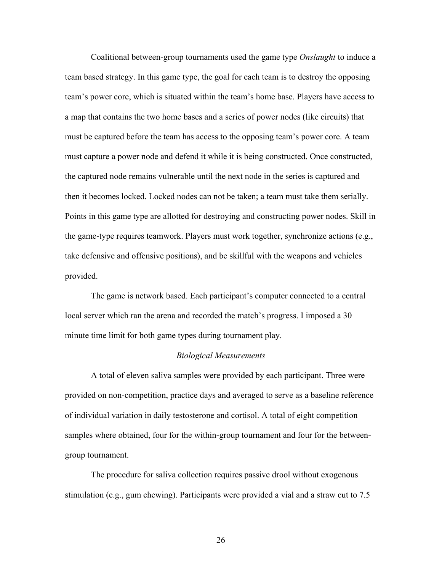Coalitional between-group tournaments used the game type *Onslaught* to induce a team based strategy. In this game type, the goal for each team is to destroy the opposing team's power core, which is situated within the team's home base. Players have access to a map that contains the two home bases and a series of power nodes (like circuits) that must be captured before the team has access to the opposing team's power core. A team must capture a power node and defend it while it is being constructed. Once constructed, the captured node remains vulnerable until the next node in the series is captured and then it becomes locked. Locked nodes can not be taken; a team must take them serially. Points in this game type are allotted for destroying and constructing power nodes. Skill in the game-type requires teamwork. Players must work together, synchronize actions (e.g., take defensive and offensive positions), and be skillful with the weapons and vehicles provided.

The game is network based. Each participant's computer connected to a central local server which ran the arena and recorded the match's progress. I imposed a 30 minute time limit for both game types during tournament play.

#### *Biological Measurements*

A total of eleven saliva samples were provided by each participant. Three were provided on non-competition, practice days and averaged to serve as a baseline reference of individual variation in daily testosterone and cortisol. A total of eight competition samples where obtained, four for the within-group tournament and four for the betweengroup tournament.

The procedure for saliva collection requires passive drool without exogenous stimulation (e.g., gum chewing). Participants were provided a vial and a straw cut to 7.5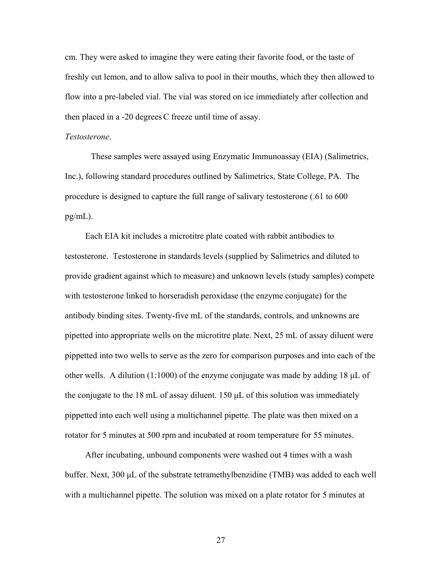cm. They were asked to imagine they were eating their favorite food, or the taste of freshly cut lemon, and to allow saliva to pool in their mouths, which they then allowed to flow into a pre-labeled vial. The vial was stored on ice immediately after collection and then placed in a -20 degrees C freeze until time of assay.

#### *Testosterone*.

These samples were assayed using Enzymatic Immunoassay (EIA) (Salimetrics, Inc.), following standard procedures outlined by Salimetrics, State College, PA. The procedure is designed to capture the full range of salivary testosterone (.61 to 600 pg/mL).

 Each EIA kit includes a microtitre plate coated with rabbit antibodies to testosterone. Testosterone in standards levels (supplied by Salimetrics and diluted to provide gradient against which to measure) and unknown levels (study samples) compete with testosterone linked to horseradish peroxidase (the enzyme conjugate) for the antibody binding sites. Twenty-five mL of the standards, controls, and unknowns are pipetted into appropriate wells on the microtitre plate. Next, 25 mL of assay diluent were pippetted into two wells to serve as the zero for comparison purposes and into each of the other wells. A dilution (1:1000) of the enzyme conjugate was made by adding 18 μL of the conjugate to the 18 mL of assay diluent. 150 μL of this solution was immediately pippetted into each well using a multichannel pipette. The plate was then mixed on a rotator for 5 minutes at 500 rpm and incubated at room temperature for 55 minutes.

 After incubating, unbound components were washed out 4 times with a wash buffer. Next, 300 μL of the substrate tetramethylbenzidine (TMB) was added to each well with a multichannel pipette. The solution was mixed on a plate rotator for 5 minutes at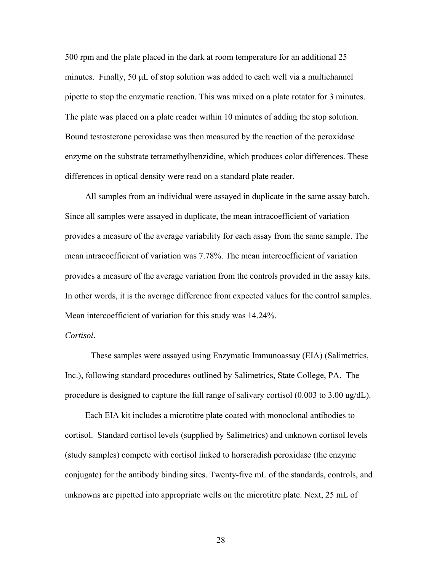500 rpm and the plate placed in the dark at room temperature for an additional 25 minutes. Finally, 50 μL of stop solution was added to each well via a multichannel pipette to stop the enzymatic reaction. This was mixed on a plate rotator for 3 minutes. The plate was placed on a plate reader within 10 minutes of adding the stop solution. Bound testosterone peroxidase was then measured by the reaction of the peroxidase enzyme on the substrate tetramethylbenzidine, which produces color differences. These differences in optical density were read on a standard plate reader.

 All samples from an individual were assayed in duplicate in the same assay batch. Since all samples were assayed in duplicate, the mean intracoefficient of variation provides a measure of the average variability for each assay from the same sample. The mean intracoefficient of variation was 7.78%. The mean intercoefficient of variation provides a measure of the average variation from the controls provided in the assay kits. In other words, it is the average difference from expected values for the control samples. Mean intercoefficient of variation for this study was 14.24%.

### *Cortisol*.

These samples were assayed using Enzymatic Immunoassay (EIA) (Salimetrics, Inc.), following standard procedures outlined by Salimetrics, State College, PA. The procedure is designed to capture the full range of salivary cortisol (0.003 to 3.00 ug/dL).

 Each EIA kit includes a microtitre plate coated with monoclonal antibodies to cortisol. Standard cortisol levels (supplied by Salimetrics) and unknown cortisol levels (study samples) compete with cortisol linked to horseradish peroxidase (the enzyme conjugate) for the antibody binding sites. Twenty-five mL of the standards, controls, and unknowns are pipetted into appropriate wells on the microtitre plate. Next, 25 mL of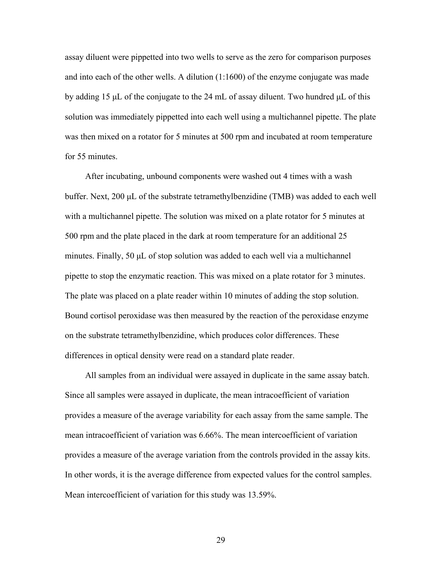assay diluent were pippetted into two wells to serve as the zero for comparison purposes and into each of the other wells. A dilution (1:1600) of the enzyme conjugate was made by adding 15 μL of the conjugate to the 24 mL of assay diluent. Two hundred μL of this solution was immediately pippetted into each well using a multichannel pipette. The plate was then mixed on a rotator for 5 minutes at 500 rpm and incubated at room temperature for 55 minutes.

 After incubating, unbound components were washed out 4 times with a wash buffer. Next, 200 μL of the substrate tetramethylbenzidine (TMB) was added to each well with a multichannel pipette. The solution was mixed on a plate rotator for 5 minutes at 500 rpm and the plate placed in the dark at room temperature for an additional 25 minutes. Finally, 50 μL of stop solution was added to each well via a multichannel pipette to stop the enzymatic reaction. This was mixed on a plate rotator for 3 minutes. The plate was placed on a plate reader within 10 minutes of adding the stop solution. Bound cortisol peroxidase was then measured by the reaction of the peroxidase enzyme on the substrate tetramethylbenzidine, which produces color differences. These differences in optical density were read on a standard plate reader.

 All samples from an individual were assayed in duplicate in the same assay batch. Since all samples were assayed in duplicate, the mean intracoefficient of variation provides a measure of the average variability for each assay from the same sample. The mean intracoefficient of variation was 6.66%. The mean intercoefficient of variation provides a measure of the average variation from the controls provided in the assay kits. In other words, it is the average difference from expected values for the control samples. Mean intercoefficient of variation for this study was 13.59%.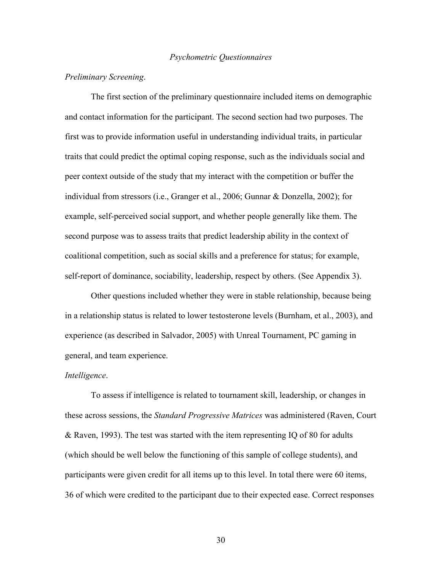#### *Psychometric Questionnaires*

### *Preliminary Screening*.

The first section of the preliminary questionnaire included items on demographic and contact information for the participant. The second section had two purposes. The first was to provide information useful in understanding individual traits, in particular traits that could predict the optimal coping response, such as the individuals social and peer context outside of the study that my interact with the competition or buffer the individual from stressors (i.e., Granger et al., 2006; Gunnar & Donzella, 2002); for example, self-perceived social support, and whether people generally like them. The second purpose was to assess traits that predict leadership ability in the context of coalitional competition, such as social skills and a preference for status; for example, self-report of dominance, sociability, leadership, respect by others. (See Appendix 3).

Other questions included whether they were in stable relationship, because being in a relationship status is related to lower testosterone levels (Burnham, et al., 2003), and experience (as described in Salvador, 2005) with Unreal Tournament, PC gaming in general, and team experience.

#### *Intelligence*.

To assess if intelligence is related to tournament skill, leadership, or changes in these across sessions, the *Standard Progressive Matrices* was administered (Raven, Court & Raven, 1993). The test was started with the item representing IQ of 80 for adults (which should be well below the functioning of this sample of college students), and participants were given credit for all items up to this level. In total there were 60 items, 36 of which were credited to the participant due to their expected ease. Correct responses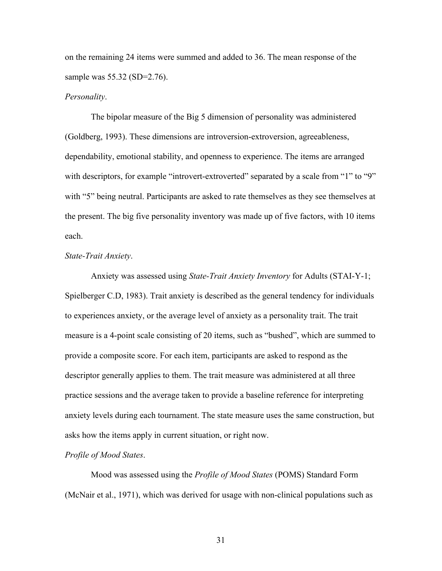on the remaining 24 items were summed and added to 36. The mean response of the sample was 55.32 (SD=2.76).

#### *Personality*.

The bipolar measure of the Big 5 dimension of personality was administered (Goldberg, 1993). These dimensions are introversion-extroversion, agreeableness, dependability, emotional stability, and openness to experience. The items are arranged with descriptors, for example "introvert-extroverted" separated by a scale from "1" to "9" with "5" being neutral. Participants are asked to rate themselves as they see themselves at the present. The big five personality inventory was made up of five factors, with 10 items each.

#### *State-Trait Anxiety*.

Anxiety was assessed using *State-Trait Anxiety Inventory* for Adults (STAI-Y-1; Spielberger C.D, 1983). Trait anxiety is described as the general tendency for individuals to experiences anxiety, or the average level of anxiety as a personality trait. The trait measure is a 4-point scale consisting of 20 items, such as "bushed", which are summed to provide a composite score. For each item, participants are asked to respond as the descriptor generally applies to them. The trait measure was administered at all three practice sessions and the average taken to provide a baseline reference for interpreting anxiety levels during each tournament. The state measure uses the same construction, but asks how the items apply in current situation, or right now.

### *Profile of Mood States*.

Mood was assessed using the *Profile of Mood States* (POMS) Standard Form (McNair et al., 1971), which was derived for usage with non-clinical populations such as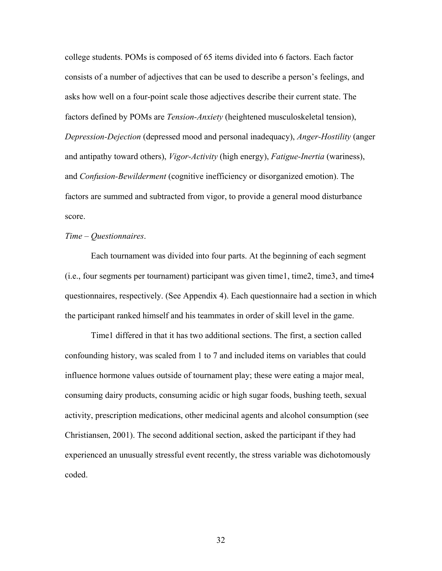college students. POMs is composed of 65 items divided into 6 factors. Each factor consists of a number of adjectives that can be used to describe a person's feelings, and asks how well on a four-point scale those adjectives describe their current state. The factors defined by POMs are *Tension-Anxiety* (heightened musculoskeletal tension), *Depression-Dejection* (depressed mood and personal inadequacy), *Anger-Hostility* (anger and antipathy toward others), *Vigor-Activity* (high energy), *Fatigue-Inertia* (wariness), and *Confusion-Bewilderment* (cognitive inefficiency or disorganized emotion). The factors are summed and subtracted from vigor, to provide a general mood disturbance score.

## *Time – Questionnaires*.

Each tournament was divided into four parts. At the beginning of each segment (i.e., four segments per tournament) participant was given time1, time2, time3, and time4 questionnaires, respectively. (See Appendix 4). Each questionnaire had a section in which the participant ranked himself and his teammates in order of skill level in the game.

Time1 differed in that it has two additional sections. The first, a section called confounding history, was scaled from 1 to 7 and included items on variables that could influence hormone values outside of tournament play; these were eating a major meal, consuming dairy products, consuming acidic or high sugar foods, bushing teeth, sexual activity, prescription medications, other medicinal agents and alcohol consumption (see Christiansen, 2001). The second additional section, asked the participant if they had experienced an unusually stressful event recently, the stress variable was dichotomously coded.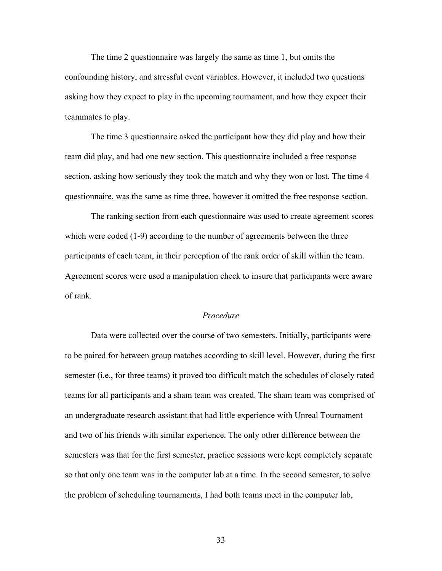The time 2 questionnaire was largely the same as time 1, but omits the confounding history, and stressful event variables. However, it included two questions asking how they expect to play in the upcoming tournament, and how they expect their teammates to play.

The time 3 questionnaire asked the participant how they did play and how their team did play, and had one new section. This questionnaire included a free response section, asking how seriously they took the match and why they won or lost. The time 4 questionnaire, was the same as time three, however it omitted the free response section.

The ranking section from each questionnaire was used to create agreement scores which were coded (1-9) according to the number of agreements between the three participants of each team, in their perception of the rank order of skill within the team. Agreement scores were used a manipulation check to insure that participants were aware of rank.

# *Procedure*

Data were collected over the course of two semesters. Initially, participants were to be paired for between group matches according to skill level. However, during the first semester (i.e., for three teams) it proved too difficult match the schedules of closely rated teams for all participants and a sham team was created. The sham team was comprised of an undergraduate research assistant that had little experience with Unreal Tournament and two of his friends with similar experience. The only other difference between the semesters was that for the first semester, practice sessions were kept completely separate so that only one team was in the computer lab at a time. In the second semester, to solve the problem of scheduling tournaments, I had both teams meet in the computer lab,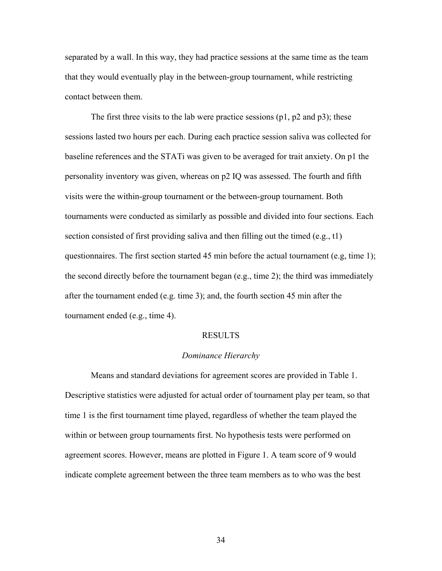separated by a wall. In this way, they had practice sessions at the same time as the team that they would eventually play in the between-group tournament, while restricting contact between them.

The first three visits to the lab were practice sessions (p1, p2 and p3); these sessions lasted two hours per each. During each practice session saliva was collected for baseline references and the STATi was given to be averaged for trait anxiety. On p1 the personality inventory was given, whereas on p2 IQ was assessed. The fourth and fifth visits were the within-group tournament or the between-group tournament. Both tournaments were conducted as similarly as possible and divided into four sections. Each section consisted of first providing saliva and then filling out the timed (e.g., t1) questionnaires. The first section started 45 min before the actual tournament (e.g, time 1); the second directly before the tournament began (e.g., time 2); the third was immediately after the tournament ended (e.g. time 3); and, the fourth section 45 min after the tournament ended (e.g., time 4).

#### RESULTS

### *Dominance Hierarchy*

 Means and standard deviations for agreement scores are provided in Table 1. Descriptive statistics were adjusted for actual order of tournament play per team, so that time 1 is the first tournament time played, regardless of whether the team played the within or between group tournaments first. No hypothesis tests were performed on agreement scores. However, means are plotted in Figure 1. A team score of 9 would indicate complete agreement between the three team members as to who was the best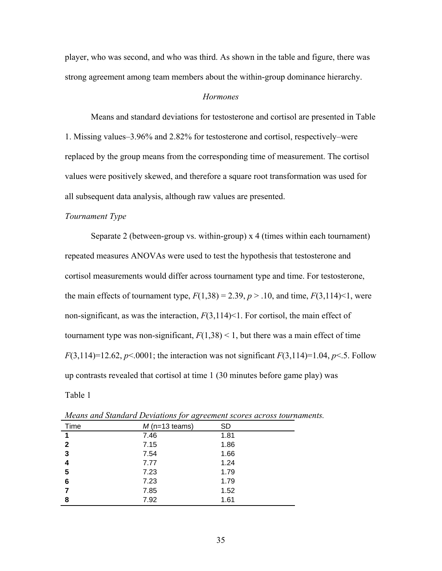player, who was second, and who was third. As shown in the table and figure, there was strong agreement among team members about the within-group dominance hierarchy.

#### *Hormones*

Means and standard deviations for testosterone and cortisol are presented in Table 1. Missing values–3.96% and 2.82% for testosterone and cortisol, respectively–were replaced by the group means from the corresponding time of measurement. The cortisol values were positively skewed, and therefore a square root transformation was used for all subsequent data analysis, although raw values are presented.

### *Tournament Type*

Separate 2 (between-group vs. within-group) x 4 (times within each tournament) repeated measures ANOVAs were used to test the hypothesis that testosterone and cortisol measurements would differ across tournament type and time. For testosterone, the main effects of tournament type,  $F(1,38) = 2.39$ ,  $p > .10$ , and time,  $F(3,114) < 1$ , were non-significant, as was the interaction, *F*(3,114)<1. For cortisol, the main effect of tournament type was non-significant,  $F(1,38) < 1$ , but there was a main effect of time *F*(3,114)=12.62, *p*<.0001; the interaction was not significant *F*(3,114)=1.04, *p*<.5. Follow up contrasts revealed that cortisol at time 1 (30 minutes before game play) was Table 1

| Time         | $M$ (n=13 teams) | <b>SD</b> |
|--------------|------------------|-----------|
| 1            | 7.46             | 1.81      |
| $\mathbf{2}$ | 7.15             | 1.86      |
| 3            | 7.54             | 1.66      |
| 4            | 7.77             | 1.24      |
| 5            | 7.23             | 1.79      |
| 6            | 7.23             | 1.79      |
|              | 7.85             | 1.52      |
| 8            | 7.92             | 1.61      |

*Means and Standard Deviations for agreement scores across tournaments.*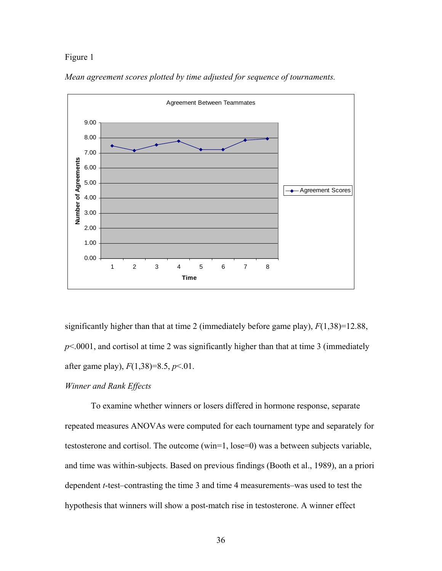# Figure 1



*Mean agreement scores plotted by time adjusted for sequence of tournaments.* 

significantly higher than that at time 2 (immediately before game play), *F*(1,38)=12.88,  $p$ <.0001, and cortisol at time 2 was significantly higher than that at time 3 (immediately after game play), *F*(1,38)=8.5, *p*<.01.

# *Winner and Rank Effects*

To examine whether winners or losers differed in hormone response, separate repeated measures ANOVAs were computed for each tournament type and separately for testosterone and cortisol. The outcome (win=1, lose=0) was a between subjects variable, and time was within-subjects. Based on previous findings (Booth et al., 1989), an a priori dependent *t*-test–contrasting the time 3 and time 4 measurements–was used to test the hypothesis that winners will show a post-match rise in testosterone. A winner effect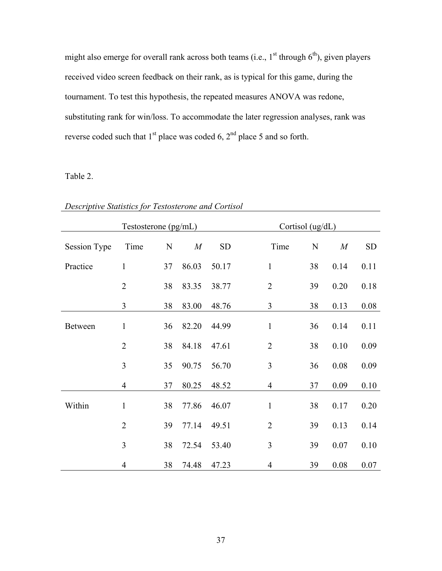might also emerge for overall rank across both teams (i.e.,  $1^{st}$  through  $6^{th}$ ), given players received video screen feedback on their rank, as is typical for this game, during the tournament. To test this hypothesis, the repeated measures ANOVA was redone, substituting rank for win/loss. To accommodate the later regression analyses, rank was reverse coded such that  $1<sup>st</sup>$  place was coded 6,  $2<sup>nd</sup>$  place 5 and so forth.

# Table 2.

|                     | Testosterone (pg/mL) |             |       |           | Cortisol (ug/dL) |             |      |           |
|---------------------|----------------------|-------------|-------|-----------|------------------|-------------|------|-----------|
| <b>Session Type</b> | Time                 | $\mathbf N$ | M     | <b>SD</b> | Time             | $\mathbf N$ | M    | <b>SD</b> |
| Practice            | $\mathbf{1}$         | 37          | 86.03 | 50.17     | $\mathbf{1}$     | 38          | 0.14 | 0.11      |
|                     | $\overline{2}$       | 38          | 83.35 | 38.77     | $\overline{2}$   | 39          | 0.20 | 0.18      |
|                     | 3                    | 38          | 83.00 | 48.76     | $\overline{3}$   | 38          | 0.13 | 0.08      |
| Between             | $\mathbf{1}$         | 36          | 82.20 | 44.99     | $\mathbf{1}$     | 36          | 0.14 | 0.11      |
|                     | $\overline{2}$       | 38          | 84.18 | 47.61     | $\overline{2}$   | 38          | 0.10 | 0.09      |
|                     | $\overline{3}$       | 35          | 90.75 | 56.70     | 3                | 36          | 0.08 | 0.09      |
|                     | $\overline{4}$       | 37          | 80.25 | 48.52     | $\overline{4}$   | 37          | 0.09 | 0.10      |
| Within              | $\mathbf{1}$         | 38          | 77.86 | 46.07     | $\mathbf{1}$     | 38          | 0.17 | 0.20      |
|                     | $\overline{2}$       | 39          | 77.14 | 49.51     | $\overline{2}$   | 39          | 0.13 | 0.14      |
|                     | 3                    | 38          | 72.54 | 53.40     | 3                | 39          | 0.07 | 0.10      |
|                     | $\overline{4}$       | 38          | 74.48 | 47.23     | $\overline{4}$   | 39          | 0.08 | 0.07      |

*Descriptive Statistics for Testosterone and Cortisol*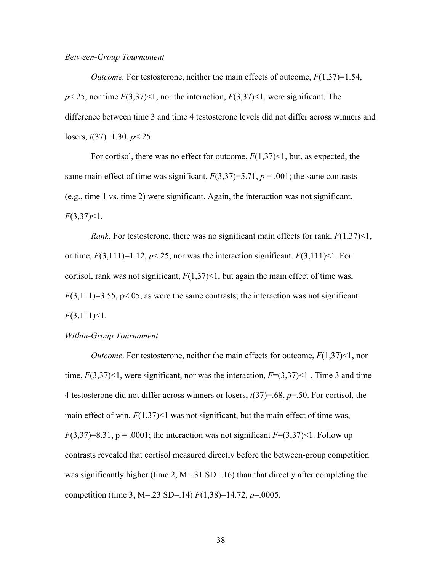### *Between-Group Tournament*

*Outcome.* For testosterone, neither the main effects of outcome,  $F(1,37)=1.54$ ,  $p$ <.25, nor time  $F(3,37)$  < 1, nor the interaction,  $F(3,37)$  < 1, were significant. The difference between time 3 and time 4 testosterone levels did not differ across winners and losers, *t*(37)=1.30, *p*<.25.

For cortisol, there was no effect for outcome, *F*(1,37)<1, but, as expected, the same main effect of time was significant,  $F(3,37)=5.71$ ,  $p = .001$ ; the same contrasts (e.g., time 1 vs. time 2) were significant. Again, the interaction was not significant. *F*(3,37)<1.

*Rank*. For testosterone, there was no significant main effects for rank, *F*(1,37)<1, or time,  $F(3,111)=1.12$ ,  $p<.25$ , nor was the interaction significant.  $F(3,111)$  < 1. For cortisol, rank was not significant,  $F(1,37)$  < 1, but again the main effect of time was,  $F(3,111)=3.55$ ,  $p<0.05$ , as were the same contrasts; the interaction was not significant *F*(3,111)<1.

### *Within-Group Tournament*

*Outcome*. For testosterone, neither the main effects for outcome, *F*(1,37)<1, nor time,  $F(3,37)$  < 1, were significant, nor was the interaction,  $F=(3,37)$  < 1. Time 3 and time 4 testosterone did not differ across winners or losers, *t*(37)=.68, *p*=.50. For cortisol, the main effect of win,  $F(1,37)$  as not significant, but the main effect of time was,  $F(3,37)=8.31$ ,  $p = .0001$ ; the interaction was not significant  $F=(3,37)$  < 1. Follow up contrasts revealed that cortisol measured directly before the between-group competition was significantly higher (time 2, M=.31 SD=.16) than that directly after completing the competition (time 3, M=.23 SD=.14) *F*(1,38)=14.72, *p*=.0005.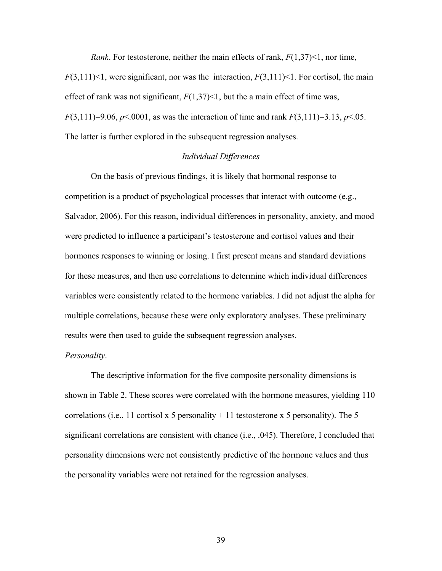*Rank*. For testosterone, neither the main effects of rank, *F*(1,37)<1, nor time,

 $F(3,111)$  < 1, were significant, nor was the interaction,  $F(3,111)$  < 1. For cortisol, the main effect of rank was not significant,  $F(1,37)$  < 1, but the a main effect of time was, *F*(3,111)=9.06, *p*<.0001, as was the interaction of time and rank *F*(3,111)=3.13, *p*<.05. The latter is further explored in the subsequent regression analyses.

## *Individual Differences*

On the basis of previous findings, it is likely that hormonal response to competition is a product of psychological processes that interact with outcome (e.g., Salvador, 2006). For this reason, individual differences in personality, anxiety, and mood were predicted to influence a participant's testosterone and cortisol values and their hormones responses to winning or losing. I first present means and standard deviations for these measures, and then use correlations to determine which individual differences variables were consistently related to the hormone variables. I did not adjust the alpha for multiple correlations, because these were only exploratory analyses. These preliminary results were then used to guide the subsequent regression analyses.

### *Personality*.

The descriptive information for the five composite personality dimensions is shown in Table 2. These scores were correlated with the hormone measures, yielding 110 correlations (i.e., 11 cortisol x 5 personality  $+11$  testosterone x 5 personality). The 5 significant correlations are consistent with chance (i.e., .045). Therefore, I concluded that personality dimensions were not consistently predictive of the hormone values and thus the personality variables were not retained for the regression analyses.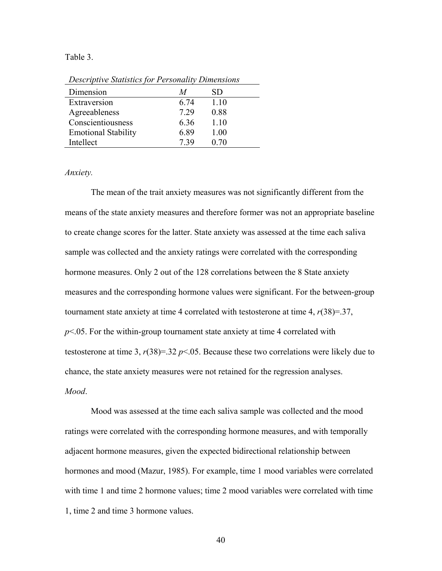#### Table 3.

*Descriptive Statistics for Personality Dimensions*

| Dimension                  | M    | SD   |
|----------------------------|------|------|
| Extraversion               | 6.74 | 1.10 |
| Agreeableness              | 7.29 | 0.88 |
| Conscientiousness          | 6.36 | 1.10 |
| <b>Emotional Stability</b> | 6.89 | 1.00 |
| Intellect                  | 739  | 0.70 |

*Anxiety.* 

The mean of the trait anxiety measures was not significantly different from the means of the state anxiety measures and therefore former was not an appropriate baseline to create change scores for the latter. State anxiety was assessed at the time each saliva sample was collected and the anxiety ratings were correlated with the corresponding hormone measures. Only 2 out of the 128 correlations between the 8 State anxiety measures and the corresponding hormone values were significant. For the between-group tournament state anxiety at time 4 correlated with testosterone at time 4,  $r(38)=37$ ,  $p<.05$ . For the within-group tournament state anxiety at time 4 correlated with testosterone at time 3,  $r(38)=32 \ p<0.05$ . Because these two correlations were likely due to chance, the state anxiety measures were not retained for the regression analyses. *Mood*.

Mood was assessed at the time each saliva sample was collected and the mood ratings were correlated with the corresponding hormone measures, and with temporally adjacent hormone measures, given the expected bidirectional relationship between hormones and mood (Mazur, 1985). For example, time 1 mood variables were correlated with time 1 and time 2 hormone values; time 2 mood variables were correlated with time 1, time 2 and time 3 hormone values.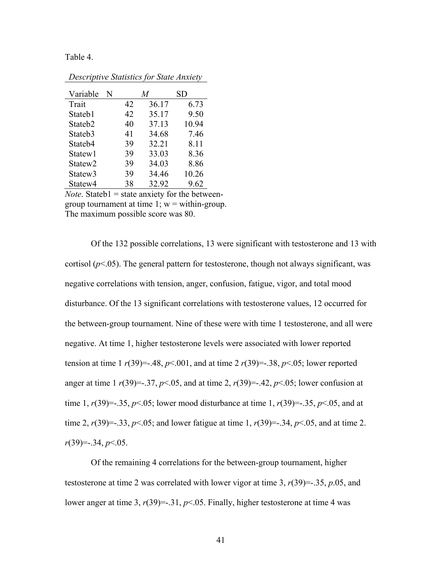Table 4.

| Variable            | N |    | M     | SD    |
|---------------------|---|----|-------|-------|
| Trait               |   | 42 | 36.17 | 6.73  |
| Stateb1             |   | 42 | 35.17 | 9.50  |
| Stateb <sub>2</sub> |   | 40 | 37.13 | 10.94 |
| Stateb <sub>3</sub> |   | 41 | 34.68 | 7.46  |
| Stateb4             |   | 39 | 32.21 | 8.11  |
| Statew1             |   | 39 | 33.03 | 8.36  |
| Statew <sub>2</sub> |   | 39 | 34.03 | 8.86  |
| Statew <sub>3</sub> |   | 39 | 34.46 | 10.26 |
| Statew4             |   | 38 | 32.92 | 9.62  |

*Descriptive Statistics for State Anxiety*

*Note*. Stateb1 = state anxiety for the betweengroup tournament at time  $1$ ;  $w =$  within-group. The maximum possible score was 80.

Of the 132 possible correlations, 13 were significant with testosterone and 13 with cortisol  $(p<.05)$ . The general pattern for testosterone, though not always significant, was negative correlations with tension, anger, confusion, fatigue, vigor, and total mood disturbance. Of the 13 significant correlations with testosterone values, 12 occurred for the between-group tournament. Nine of these were with time 1 testosterone, and all were negative. At time 1, higher testosterone levels were associated with lower reported tension at time 1  $r(39) = -0.48$ ,  $p < 0.001$ , and at time 2  $r(39) = -0.38$ ,  $p < 0.05$ ; lower reported anger at time 1  $r(39) = -0.37$ ,  $p < 0.05$ , and at time 2,  $r(39) = -0.42$ ,  $p < 0.05$ ; lower confusion at time 1,  $r(39) = -0.35$ ,  $p < 0.05$ ; lower mood disturbance at time 1,  $r(39) = -0.35$ ,  $p < 0.05$ , and at time 2,  $r(39) = -33$ ,  $p < 05$ ; and lower fatigue at time 1,  $r(39) = -34$ ,  $p < 05$ , and at time 2. *r*(39)=-.34, *p*<.05.

Of the remaining 4 correlations for the between-group tournament, higher testosterone at time 2 was correlated with lower vigor at time 3, *r*(39)=-.35, *p*.05, and lower anger at time 3,  $r(39) = -31$ ,  $p < 05$ . Finally, higher testosterone at time 4 was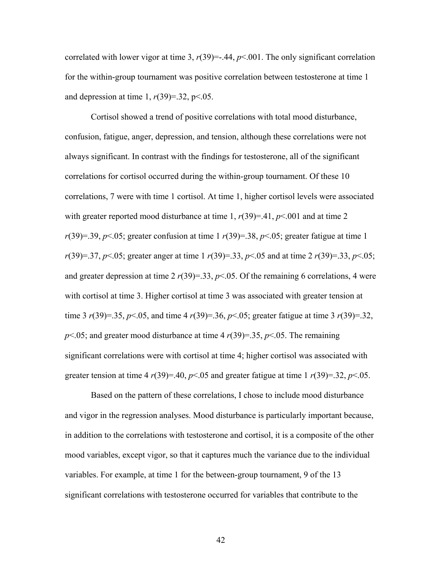correlated with lower vigor at time 3,  $r(39) = -0.44$ ,  $p \le 0.001$ . The only significant correlation for the within-group tournament was positive correlation between testosterone at time 1 and depression at time 1,  $r(39)=32$ ,  $p<0.05$ .

Cortisol showed a trend of positive correlations with total mood disturbance, confusion, fatigue, anger, depression, and tension, although these correlations were not always significant. In contrast with the findings for testosterone, all of the significant correlations for cortisol occurred during the within-group tournament. Of these 10 correlations, 7 were with time 1 cortisol. At time 1, higher cortisol levels were associated with greater reported mood disturbance at time 1,  $r(39)=.41$ ,  $p<.001$  and at time 2  $r(39)=39, p<.05$ ; greater confusion at time 1  $r(39)=38, p<.05$ ; greater fatigue at time 1 *r*(39)=.37, *p*<.05; greater anger at time 1 *r*(39)=.33, *p*<.05 and at time 2 *r*(39)=.33, *p*<.05; and greater depression at time 2  $r(39)=33$ ,  $p<0.05$ . Of the remaining 6 correlations, 4 were with cortisol at time 3. Higher cortisol at time 3 was associated with greater tension at time 3 *r*(39)=.35, *p*<.05, and time 4 *r*(39)=.36, *p*<.05; greater fatigue at time 3 *r*(39)=.32,  $p$ <.05; and greater mood disturbance at time 4  $r(39)=35$ ,  $p$ <.05. The remaining significant correlations were with cortisol at time 4; higher cortisol was associated with greater tension at time 4  $r(39)=.40$ ,  $p<.05$  and greater fatigue at time 1  $r(39)=.32$ ,  $p<.05$ .

Based on the pattern of these correlations, I chose to include mood disturbance and vigor in the regression analyses. Mood disturbance is particularly important because, in addition to the correlations with testosterone and cortisol, it is a composite of the other mood variables, except vigor, so that it captures much the variance due to the individual variables. For example, at time 1 for the between-group tournament, 9 of the 13 significant correlations with testosterone occurred for variables that contribute to the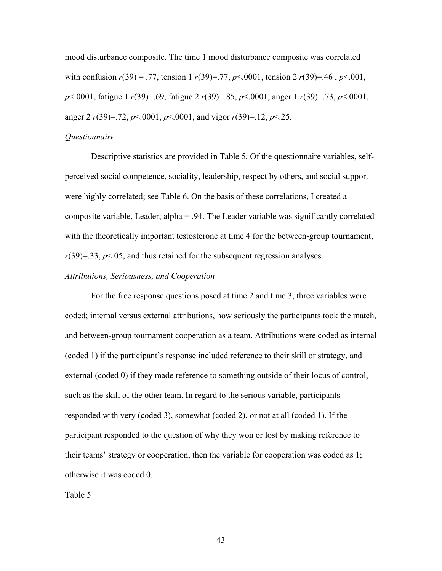mood disturbance composite. The time 1 mood disturbance composite was correlated with confusion *r*(39) = .77, tension 1 *r*(39)=.77, *p*<.0001, tension 2 *r*(39)=.46 , *p*<.001, *p*<.0001, fatigue 1 *r*(39)=.69, fatigue 2 *r*(39)=.85, *p*<.0001, anger 1 *r*(39)=.73, *p*<.0001, anger 2 *r*(39)=.72, *p*<.0001, *p*<.0001, and vigor *r*(39)=.12, *p*<.25.

# *Questionnaire.*

Descriptive statistics are provided in Table 5*.* Of the questionnaire variables, selfperceived social competence, sociality, leadership, respect by others, and social support were highly correlated; see Table 6. On the basis of these correlations, I created a composite variable, Leader; alpha = .94. The Leader variable was significantly correlated with the theoretically important testosterone at time 4 for the between-group tournament,  $r(39)=33$ ,  $p<05$ , and thus retained for the subsequent regression analyses.

### *Attributions, Seriousness, and Cooperation*

For the free response questions posed at time 2 and time 3, three variables were coded; internal versus external attributions, how seriously the participants took the match, and between-group tournament cooperation as a team. Attributions were coded as internal (coded 1) if the participant's response included reference to their skill or strategy, and external (coded 0) if they made reference to something outside of their locus of control, such as the skill of the other team. In regard to the serious variable, participants responded with very (coded 3), somewhat (coded 2), or not at all (coded 1). If the participant responded to the question of why they won or lost by making reference to their teams' strategy or cooperation, then the variable for cooperation was coded as 1; otherwise it was coded 0.

Table 5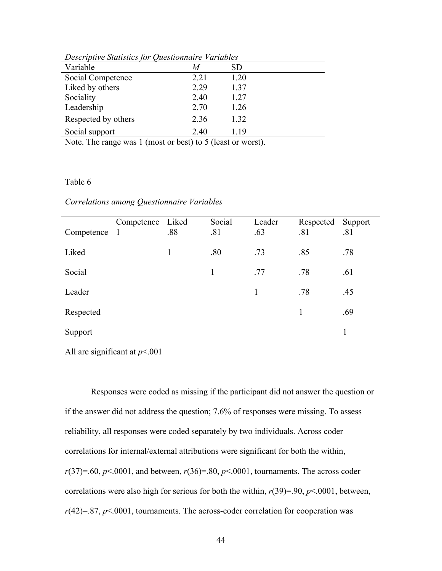| Descriptive statistics for Questionnaire Variables |      |      |  |  |  |
|----------------------------------------------------|------|------|--|--|--|
| Variable                                           | M    | SD   |  |  |  |
| Social Competence                                  | 2.21 | 1.20 |  |  |  |
| Liked by others                                    | 2.29 | 1.37 |  |  |  |
| Sociality                                          | 2.40 | 1.27 |  |  |  |
| Leadership                                         | 2.70 | 1.26 |  |  |  |
| Respected by others                                | 2.36 | 1.32 |  |  |  |
| Social support                                     | 2.40 | 1.19 |  |  |  |

*Descriptive Statistics for Questionnaire Variables*

Note. The range was 1 (most or best) to 5 (least or worst).

# Table 6

| Correlations among Questionnaire Variables |  |  |
|--------------------------------------------|--|--|
|--------------------------------------------|--|--|

|              | Competence | Liked | Social | Leader       | Respected | Support |
|--------------|------------|-------|--------|--------------|-----------|---------|
| Competence 1 |            | .88   | .81    | .63          | .81       | .81     |
| Liked        |            | 1     | .80    | .73          | .85       | .78     |
| Social       |            |       | 1      | .77          | .78       | .61     |
| Leader       |            |       |        | $\mathbf{1}$ | .78       | .45     |
| Respected    |            |       |        |              | 1         | .69     |
| Support      |            |       |        |              |           | 1       |

All are significant at *p*<.001

Responses were coded as missing if the participant did not answer the question or if the answer did not address the question; 7.6% of responses were missing. To assess reliability, all responses were coded separately by two individuals. Across coder correlations for internal/external attributions were significant for both the within, *r*(37)=.60, *p*<.0001, and between, *r*(36)=.80, *p*<.0001, tournaments. The across coder correlations were also high for serious for both the within, *r*(39)=.90, *p*<.0001, between,  $r(42)=.87, p<.0001$ , tournaments. The across-coder correlation for cooperation was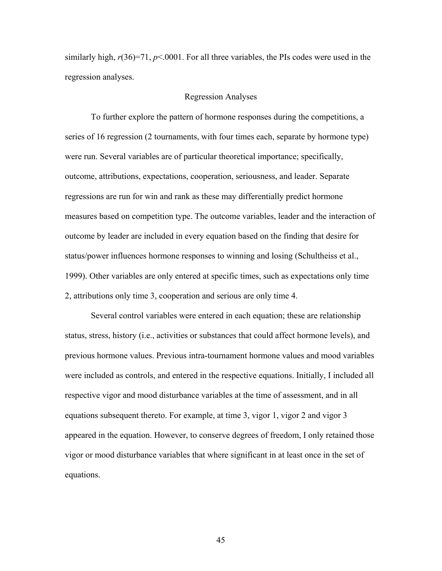similarly high,  $r(36)=71$ ,  $p<0001$ . For all three variables, the PIs codes were used in the regression analyses.

### Regression Analyses

To further explore the pattern of hormone responses during the competitions, a series of 16 regression (2 tournaments, with four times each, separate by hormone type) were run. Several variables are of particular theoretical importance; specifically, outcome, attributions, expectations, cooperation, seriousness, and leader. Separate regressions are run for win and rank as these may differentially predict hormone measures based on competition type. The outcome variables, leader and the interaction of outcome by leader are included in every equation based on the finding that desire for status/power influences hormone responses to winning and losing (Schultheiss et al., 1999). Other variables are only entered at specific times, such as expectations only time 2, attributions only time 3, cooperation and serious are only time 4.

Several control variables were entered in each equation; these are relationship status, stress, history (i.e., activities or substances that could affect hormone levels), and previous hormone values. Previous intra-tournament hormone values and mood variables were included as controls, and entered in the respective equations. Initially, I included all respective vigor and mood disturbance variables at the time of assessment, and in all equations subsequent thereto. For example, at time 3, vigor 1, vigor 2 and vigor 3 appeared in the equation. However, to conserve degrees of freedom, I only retained those vigor or mood disturbance variables that where significant in at least once in the set of equations.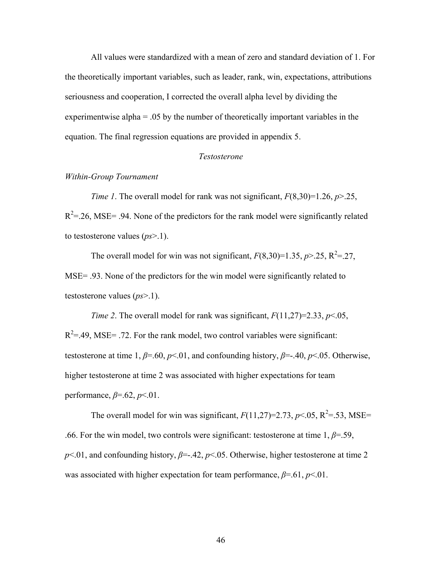All values were standardized with a mean of zero and standard deviation of 1. For the theoretically important variables, such as leader, rank, win, expectations, attributions seriousness and cooperation, I corrected the overall alpha level by dividing the experimentwise alpha = .05 by the number of theoretically important variables in the equation. The final regression equations are provided in appendix 5.

# *Testosterone*

# *Within-Group Tournament*

*Time 1*. The overall model for rank was not significant, *F*(8,30)=1.26, *p*>.25,  $R^2$ =.26, MSE= .94. None of the predictors for the rank model were significantly related to testosterone values (*ps*>.1).

The overall model for win was not significant,  $F(8,30)=1.35$ ,  $p > 0.25$ ,  $R^2 = 0.27$ , MSE= .93. None of the predictors for the win model were significantly related to testosterone values (*ps*>.1).

*Time 2.* The overall model for rank was significant,  $F(11,27)=2.33$ ,  $p<.05$ ,  $R^2 = .49$ , MSE = .72. For the rank model, two control variables were significant: testosterone at time 1,  $\beta$ =.60,  $p$ <.01, and confounding history,  $\beta$ =-.40,  $p$ <.05. Otherwise, higher testosterone at time 2 was associated with higher expectations for team performance, *β*=.62, *p*<.01.

The overall model for win was significant,  $F(11,27)=2.73$ ,  $p<.05$ ,  $R^2=.53$ , MSE= .66. For the win model, two controls were significant: testosterone at time  $1, \beta = .59$ , *p*<.01, and confounding history,  $β = .42$ ,  $p < .05$ . Otherwise, higher testosterone at time 2 was associated with higher expectation for team performance,  $\beta = .61$ ,  $p < .01$ .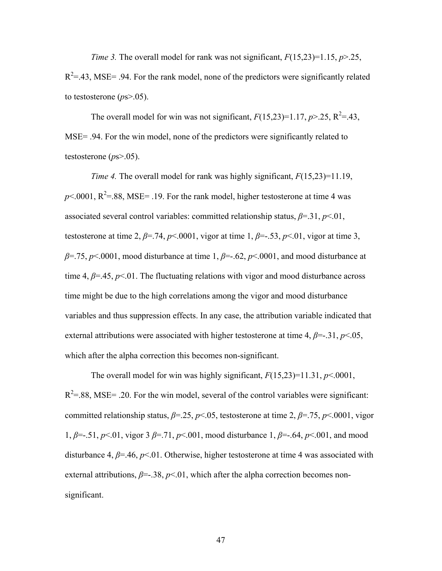*Time 3.* The overall model for rank was not significant, *F*(15,23)=1.15, *p*>.25,

 $R^2$ =.43, MSE= .94. For the rank model, none of the predictors were significantly related to testosterone (*p*s>.05).

The overall model for win was not significant,  $F(15,23)=1.17$ ,  $p > 0.25$ ,  $R^2=0.43$ , MSE= .94. For the win model, none of the predictors were significantly related to testosterone (*p*s>.05).

*Time 4.* The overall model for rank was highly significant, *F*(15,23)=11.19,  $p$ <.0001,  $R^2$ =.88, MSE= .19. For the rank model, higher testosterone at time 4 was associated several control variables: committed relationship status,  $\beta = 31$ ,  $p < 01$ , testosterone at time 2,  $\beta$ =.74,  $p$ <.0001, vigor at time 1,  $\beta$ =-.53,  $p$ <.01, vigor at time 3, *β*=.75, *p*<.0001, mood disturbance at time 1, *β*=-.62, *p*<.0001, and mood disturbance at time 4,  $\beta$ =.45,  $p$ <.01. The fluctuating relations with vigor and mood disturbance across time might be due to the high correlations among the vigor and mood disturbance variables and thus suppression effects. In any case, the attribution variable indicated that external attributions were associated with higher testosterone at time 4,  $\beta$ =-.31,  $p$ <.05, which after the alpha correction this becomes non-significant.

The overall model for win was highly significant,  $F(15,23)=11.31, p<.0001$ ,  $R^2 = .88$ , MSE= .20. For the win model, several of the control variables were significant: committed relationship status, *β*=.25, *p*<.05, testosterone at time 2, *β*=.75, *p*<.0001, vigor 1, *β*=-.51, *p*<.01, vigor 3 *β*=.71, *p*<.001, mood disturbance 1, *β*=-.64, *p*<.001, and mood disturbance 4, *β*=.46, *p*<.01. Otherwise, higher testosterone at time 4 was associated with external attributions,  $\beta = 0.38$ ,  $p < 0.01$ , which after the alpha correction becomes nonsignificant.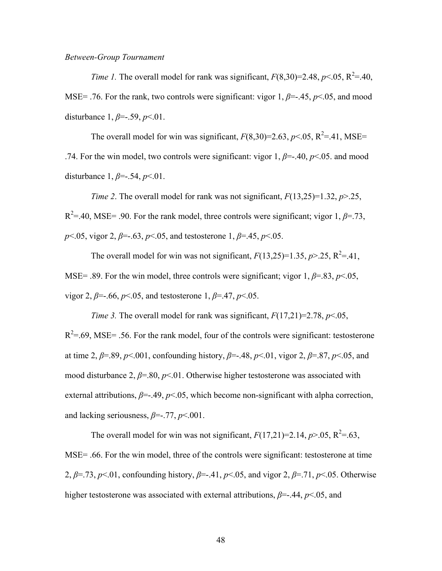### *Between-Group Tournament*

*Time 1.* The overall model for rank was significant,  $F(8,30)=2.48$ ,  $p<.05$ ,  $R^2=40$ , MSE= .76. For the rank, two controls were significant: vigor 1, *β*=-.45, *p*<.05, and mood disturbance 1, *β*=-.59, *p*<.01.

The overall model for win was significant,  $F(8,30)=2.63, p<.05, R^2=.41, MSE=$ .74. For the win model, two controls were significant: vigor  $1, \beta = -10, \gamma \le 0.05$ . and mood disturbance 1, *β*=-.54, *p*<.01.

*Time 2.* The overall model for rank was not significant,  $F(13,25)=1.32$ ,  $p>25$ ,  $R^2 = 0.40$ , MSE = .90. For the rank model, three controls were significant; vigor 1,  $\beta = 0.73$ , *p* ≤.05, vigor 2, *β* = −.63, *p* ≤.05, and testosterone 1, *β* = −.45, *p* ≤.05.

The overall model for win was not significant,  $F(13,25)=1.35$ ,  $p > 0.25$ ,  $R^2=0.41$ , MSE= .89. For the win model, three controls were significant; vigor 1,  $\beta$ =.83,  $p$ <.05, vigor 2, *β*=-.66, *p*<.05, and testosterone 1, *β*=.47, *p*<.05.

*Time 3.* The overall model for rank was significant, *F*(17,21)=2.78, *p*<.05,  $R^2 = .69$ , MSE= .56. For the rank model, four of the controls were significant: testosterone at time 2,  $\beta$ =.89,  $p$ <.001, confounding history,  $\beta$ =-.48,  $p$ <.01, vigor 2,  $\beta$ =.87,  $p$ <.05, and mood disturbance 2, *β*=.80, *p*<.01. Otherwise higher testosterone was associated with external attributions,  $\beta = -149$ ,  $p < 05$ , which become non-significant with alpha correction, and lacking seriousness, *β*=-.77, *p*<.001.

The overall model for win was not significant,  $F(17,21)=2.14$ ,  $p>0.05$ ,  $R^2=0.63$ , MSE= .66. For the win model, three of the controls were significant: testosterone at time 2, *β*=.73, *p*<.01, confounding history, *β*=-.41, *p*<.05, and vigor 2, *β*=.71, *p*<.05. Otherwise higher testosterone was associated with external attributions, *β*=-.44, *p*<.05, and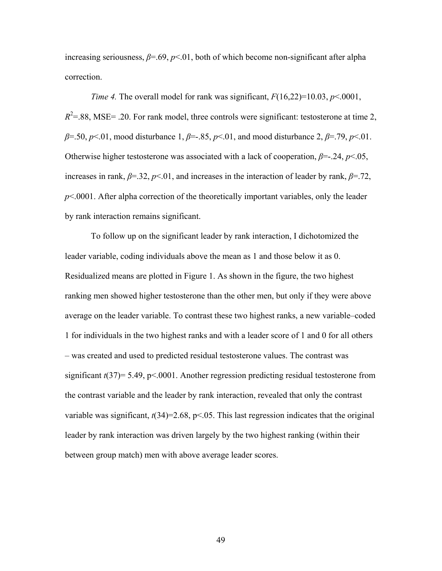increasing seriousness,  $\beta$ =.69,  $p$ <.01, both of which become non-significant after alpha correction.

*Time 4.* The overall model for rank was significant,  $F(16,22)=10.03$ ,  $p<0001$ ,  $R^2$ =.88, MSE= .20. For rank model, three controls were significant: testosterone at time 2, *β*=.50, *p*<.01, mood disturbance 1, *β*=-.85, *p*<.01, and mood disturbance 2, *β*=.79, *p*<.01. Otherwise higher testosterone was associated with a lack of cooperation, *β*=-.24, *p*<.05, increases in rank,  $\beta = 32$ ,  $p < 01$ , and increases in the interaction of leader by rank,  $\beta = 72$ ,  $p$ <.0001. After alpha correction of the theoretically important variables, only the leader by rank interaction remains significant.

 To follow up on the significant leader by rank interaction, I dichotomized the leader variable, coding individuals above the mean as 1 and those below it as 0. Residualized means are plotted in Figure 1. As shown in the figure, the two highest ranking men showed higher testosterone than the other men, but only if they were above average on the leader variable. To contrast these two highest ranks, a new variable–coded 1 for individuals in the two highest ranks and with a leader score of 1 and 0 for all others – was created and used to predicted residual testosterone values. The contrast was significant *t*(37)= 5.49, p<.0001. Another regression predicting residual testosterone from the contrast variable and the leader by rank interaction, revealed that only the contrast variable was significant,  $t(34)=2.68$ ,  $p<05$ . This last regression indicates that the original leader by rank interaction was driven largely by the two highest ranking (within their between group match) men with above average leader scores.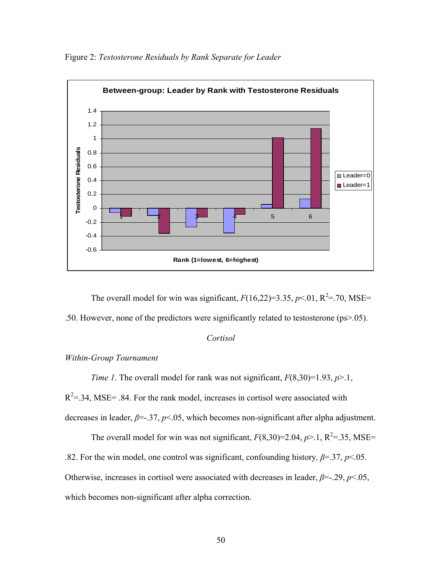

Figure 2: *Testosterone Residuals by Rank Separate for Leader*

The overall model for win was significant,  $F(16,22)=3.35, p<0.1, R<sup>2</sup>=.70, MSE=$ .50. However, none of the predictors were significantly related to testosterone (ps>.05).

# *Cortisol*

# *Within-Group Tournament*

*Time 1*. The overall model for rank was not significant, *F*(8,30)=1.93, *p*>.1,

 $R<sup>2</sup>=34$ , MSE= .84. For the rank model, increases in cortisol were associated with

decreases in leader, *β*=-.37, *p*<.05, which becomes non-significant after alpha adjustment.

The overall model for win was not significant,  $F(8,30)=2.04$ ,  $p>1$ ,  $R^2=.35$ , MSE= .82. For the win model, one control was significant, confounding history,  $\beta = 37$ ,  $p < 05$ . Otherwise, increases in cortisol were associated with decreases in leader,  $\beta = -29$ ,  $p < 05$ , which becomes non-significant after alpha correction.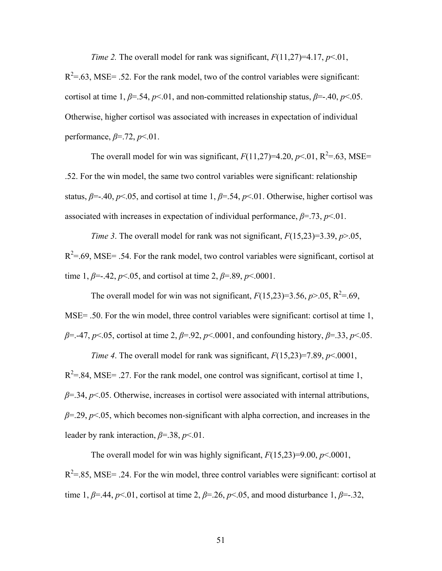*Time 2.* The overall model for rank was significant,  $F(11,27)=4.17, p<0.01$ ,

 $R^2 = .63$ , MSE= .52. For the rank model, two of the control variables were significant: cortisol at time 1,  $\beta$ =.54,  $\beta$ <.01, and non-committed relationship status,  $\beta$ =-.40,  $\beta$ <.05. Otherwise, higher cortisol was associated with increases in expectation of individual performance, *β*=.72, *p*<.01.

The overall model for win was significant,  $F(11,27)=4.20, p<.01, R<sup>2</sup>=.63, MSE=$ .52. For the win model, the same two control variables were significant: relationship status,  $\beta$ =-.40,  $p$ <.05, and cortisol at time 1,  $\beta$ =.54,  $p$ <.01. Otherwise, higher cortisol was associated with increases in expectation of individual performance,  $\beta = .73$ ,  $p < .01$ .

*Time 3*. The overall model for rank was not significant, *F*(15,23)=3.39, *p*>.05,  $R^2 = .69$ , MSE= .54. For the rank model, two control variables were significant, cortisol at time 1,  $\beta$ =-.42,  $p$ <.05, and cortisol at time 2,  $\beta$ =.89,  $p$ <.0001.

The overall model for win was not significant,  $F(15,23)=3.56, p>0.05, R^2=.69$ , MSE= .50. For the win model, three control variables were significant: cortisol at time 1, *β*=.-47, *p*<.05, cortisol at time 2, *β*=.92, *p*<.0001, and confounding history, *β*=.33, *p*<.05.

*Time 4*. The overall model for rank was significant, *F*(15,23)=7.89, *p*<.0001,  $R^2 = .84$ , MSE= .27. For the rank model, one control was significant, cortisol at time 1, *β*=.34, *p*<.05. Otherwise, increases in cortisol were associated with internal attributions, *β*=.29, *p*<.05, which becomes non-significant with alpha correction, and increases in the leader by rank interaction, *β*=.38, *p*<.01.

The overall model for win was highly significant,  $F(15,23)=9.00, p<.0001,$  $R^2$ =.85, MSE= .24. For the win model, three control variables were significant: cortisol at time 1,  $\beta$ =.44,  $p$ <.01, cortisol at time 2,  $\beta$ =.26,  $p$ <.05, and mood disturbance 1,  $\beta$ =-.32,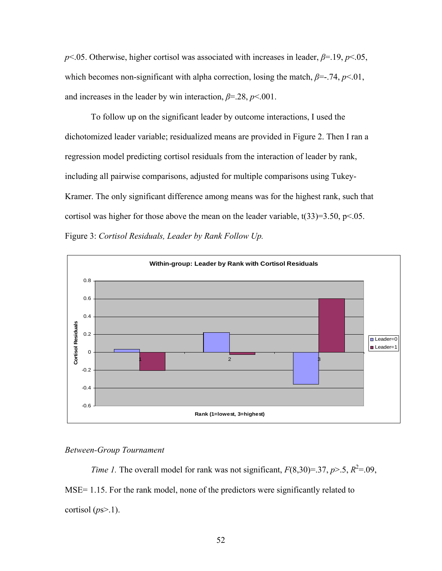*p*<.05. Otherwise, higher cortisol was associated with increases in leader, *β*=.19, *p*<.05, which becomes non-significant with alpha correction, losing the match,  $\beta = -174$ ,  $p < 01$ , and increases in the leader by win interaction,  $\beta = 28$ ,  $p < 001$ .

To follow up on the significant leader by outcome interactions, I used the dichotomized leader variable; residualized means are provided in Figure 2. Then I ran a regression model predicting cortisol residuals from the interaction of leader by rank, including all pairwise comparisons, adjusted for multiple comparisons using Tukey-Kramer. The only significant difference among means was for the highest rank, such that cortisol was higher for those above the mean on the leader variable,  $t(33)=3.50$ ,  $p<.05$ . Figure 3: *Cortisol Residuals, Leader by Rank Follow Up.*



### *Between-Group Tournament*

*Time 1.* The overall model for rank was not significant,  $F(8,30)=37$ ,  $p>0.5$ ,  $R^2=0.09$ , MSE= 1.15. For the rank model, none of the predictors were significantly related to cortisol (*p*s>.1).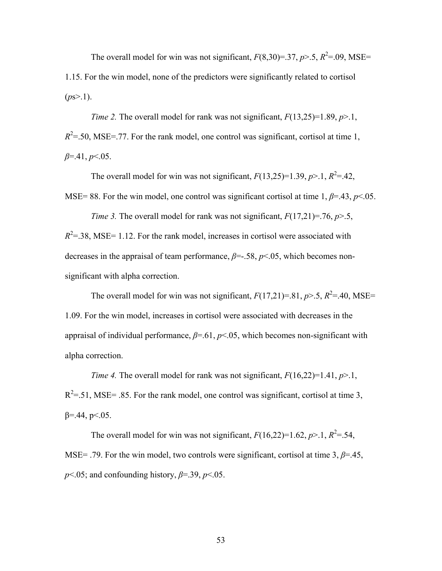The overall model for win was not significant,  $F(8,30)=37$ ,  $p > .5$ ,  $R^2=0.09$ , MSE= 1.15. For the win model, none of the predictors were significantly related to cortisol  $(ps>1)$ .

*Time 2.* The overall model for rank was not significant,  $F(13,25)=1.89, p>1$ ,  $R^2$ =.50, MSE=.77. For the rank model, one control was significant, cortisol at time 1, *β*=.41, *p*<.05.

The overall model for win was not significant,  $F(13,25)=1.39, p>1, R^2=.42$ , MSE= 88. For the win model, one control was significant cortisol at time 1,  $\beta$ =.43,  $p$ <.05.

*Time 3.* The overall model for rank was not significant,  $F(17,21)=76$ ,  $p>5$ ,  $R<sup>2</sup>=38$ , MSE= 1.12. For the rank model, increases in cortisol were associated with decreases in the appraisal of team performance, *β*=-.58, *p*<.05, which becomes nonsignificant with alpha correction.

The overall model for win was not significant,  $F(17,21)=.81$ ,  $p > .5$ ,  $R^2 = .40$ , MSE= 1.09. For the win model, increases in cortisol were associated with decreases in the appraisal of individual performance, *β*=.61, *p*<.05, which becomes non-significant with alpha correction.

*Time 4.* The overall model for rank was not significant,  $F(16,22)=1.41, p>1$ ,  $R^2$ =.51, MSE= .85. For the rank model, one control was significant, cortisol at time 3,  $β = 44$ ,  $p < 05$ .

The overall model for win was not significant,  $F(16,22)=1.62$ ,  $p>1$ ,  $R^2=.54$ , MSE= .79. For the win model, two controls were significant, cortisol at time 3,  $\beta$ =.45,  $p<05$ ; and confounding history,  $\beta$ =.39,  $p<05$ .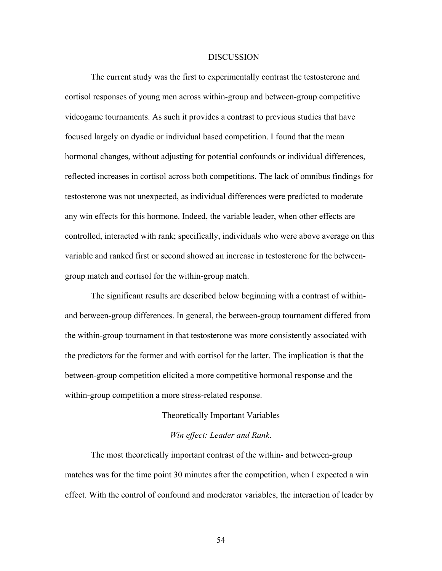#### **DISCUSSION**

The current study was the first to experimentally contrast the testosterone and cortisol responses of young men across within-group and between-group competitive videogame tournaments. As such it provides a contrast to previous studies that have focused largely on dyadic or individual based competition. I found that the mean hormonal changes, without adjusting for potential confounds or individual differences, reflected increases in cortisol across both competitions. The lack of omnibus findings for testosterone was not unexpected, as individual differences were predicted to moderate any win effects for this hormone. Indeed, the variable leader, when other effects are controlled, interacted with rank; specifically, individuals who were above average on this variable and ranked first or second showed an increase in testosterone for the betweengroup match and cortisol for the within-group match.

The significant results are described below beginning with a contrast of withinand between-group differences. In general, the between-group tournament differed from the within-group tournament in that testosterone was more consistently associated with the predictors for the former and with cortisol for the latter. The implication is that the between-group competition elicited a more competitive hormonal response and the within-group competition a more stress-related response.

#### Theoretically Important Variables

### *Win effect: Leader and Rank*.

The most theoretically important contrast of the within- and between-group matches was for the time point 30 minutes after the competition, when I expected a win effect. With the control of confound and moderator variables, the interaction of leader by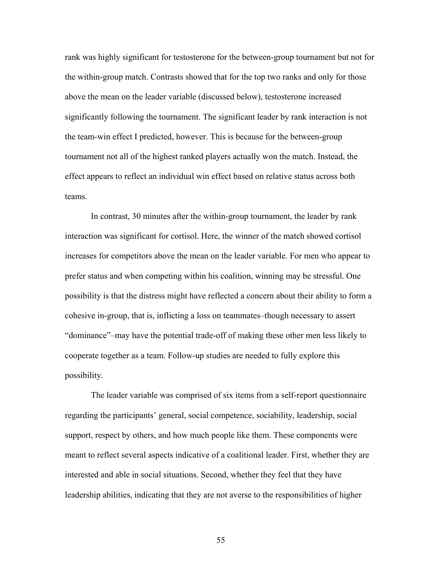rank was highly significant for testosterone for the between-group tournament but not for the within-group match. Contrasts showed that for the top two ranks and only for those above the mean on the leader variable (discussed below), testosterone increased significantly following the tournament. The significant leader by rank interaction is not the team-win effect I predicted, however. This is because for the between-group tournament not all of the highest ranked players actually won the match. Instead, the effect appears to reflect an individual win effect based on relative status across both teams.

In contrast, 30 minutes after the within-group tournament, the leader by rank interaction was significant for cortisol. Here, the winner of the match showed cortisol increases for competitors above the mean on the leader variable. For men who appear to prefer status and when competing within his coalition, winning may be stressful. One possibility is that the distress might have reflected a concern about their ability to form a cohesive in-group, that is, inflicting a loss on teammates–though necessary to assert "dominance"–may have the potential trade-off of making these other men less likely to cooperate together as a team. Follow-up studies are needed to fully explore this possibility.

The leader variable was comprised of six items from a self-report questionnaire regarding the participants' general, social competence, sociability, leadership, social support, respect by others, and how much people like them. These components were meant to reflect several aspects indicative of a coalitional leader. First, whether they are interested and able in social situations. Second, whether they feel that they have leadership abilities, indicating that they are not averse to the responsibilities of higher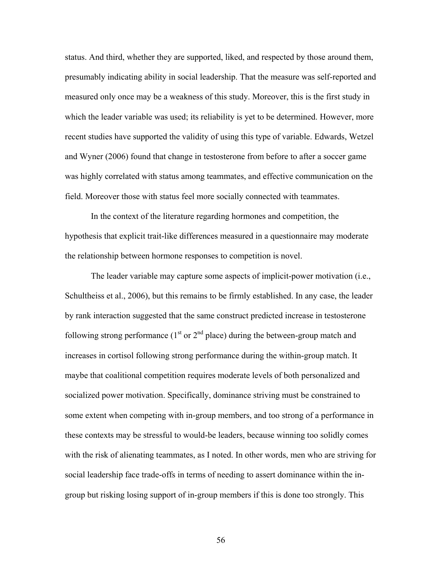status. And third, whether they are supported, liked, and respected by those around them, presumably indicating ability in social leadership. That the measure was self-reported and measured only once may be a weakness of this study. Moreover, this is the first study in which the leader variable was used; its reliability is yet to be determined. However, more recent studies have supported the validity of using this type of variable. Edwards, Wetzel and Wyner (2006) found that change in testosterone from before to after a soccer game was highly correlated with status among teammates, and effective communication on the field. Moreover those with status feel more socially connected with teammates.

In the context of the literature regarding hormones and competition, the hypothesis that explicit trait-like differences measured in a questionnaire may moderate the relationship between hormone responses to competition is novel.

The leader variable may capture some aspects of implicit-power motivation (i.e., Schultheiss et al., 2006), but this remains to be firmly established. In any case, the leader by rank interaction suggested that the same construct predicted increase in testosterone following strong performance  $(1<sup>st</sup>$  or  $2<sup>nd</sup>$  place) during the between-group match and increases in cortisol following strong performance during the within-group match. It maybe that coalitional competition requires moderate levels of both personalized and socialized power motivation. Specifically, dominance striving must be constrained to some extent when competing with in-group members, and too strong of a performance in these contexts may be stressful to would-be leaders, because winning too solidly comes with the risk of alienating teammates, as I noted. In other words, men who are striving for social leadership face trade-offs in terms of needing to assert dominance within the ingroup but risking losing support of in-group members if this is done too strongly. This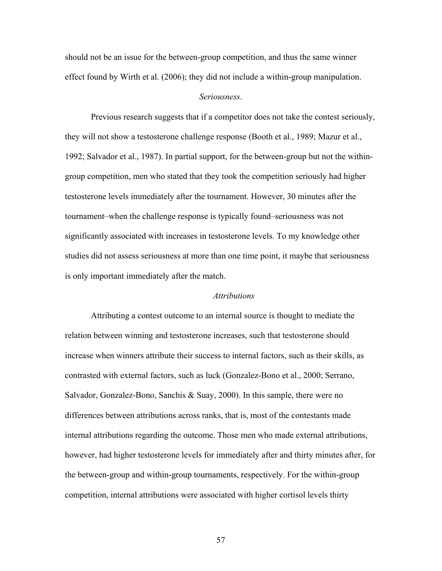should not be an issue for the between-group competition, and thus the same winner effect found by Wirth et al. (2006); they did not include a within-group manipulation.

### *Seriousness*.

Previous research suggests that if a competitor does not take the contest seriously, they will not show a testosterone challenge response (Booth et al., 1989; Mazur et al., 1992; Salvador et al., 1987). In partial support, for the between-group but not the withingroup competition, men who stated that they took the competition seriously had higher testosterone levels immediately after the tournament. However, 30 minutes after the tournament–when the challenge response is typically found–seriousness was not significantly associated with increases in testosterone levels. To my knowledge other studies did not assess seriousness at more than one time point, it maybe that seriousness is only important immediately after the match.

## *Attributions*

Attributing a contest outcome to an internal source is thought to mediate the relation between winning and testosterone increases, such that testosterone should increase when winners attribute their success to internal factors, such as their skills, as contrasted with external factors, such as luck (Gonzalez-Bono et al., 2000; Serrano, Salvador, Gonzalez-Bono, Sanchis & Suay, 2000). In this sample, there were no differences between attributions across ranks, that is, most of the contestants made internal attributions regarding the outcome. Those men who made external attributions, however, had higher testosterone levels for immediately after and thirty minutes after, for the between-group and within-group tournaments, respectively. For the within-group competition, internal attributions were associated with higher cortisol levels thirty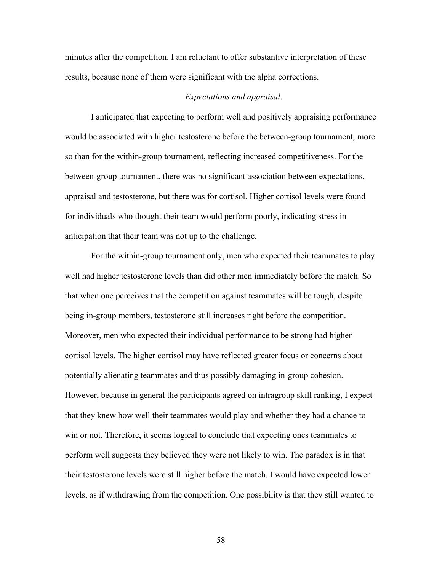minutes after the competition. I am reluctant to offer substantive interpretation of these results, because none of them were significant with the alpha corrections.

# *Expectations and appraisal*.

I anticipated that expecting to perform well and positively appraising performance would be associated with higher testosterone before the between-group tournament, more so than for the within-group tournament, reflecting increased competitiveness. For the between-group tournament, there was no significant association between expectations, appraisal and testosterone, but there was for cortisol. Higher cortisol levels were found for individuals who thought their team would perform poorly, indicating stress in anticipation that their team was not up to the challenge.

For the within-group tournament only, men who expected their teammates to play well had higher testosterone levels than did other men immediately before the match. So that when one perceives that the competition against teammates will be tough, despite being in-group members, testosterone still increases right before the competition. Moreover, men who expected their individual performance to be strong had higher cortisol levels. The higher cortisol may have reflected greater focus or concerns about potentially alienating teammates and thus possibly damaging in-group cohesion. However, because in general the participants agreed on intragroup skill ranking, I expect that they knew how well their teammates would play and whether they had a chance to win or not. Therefore, it seems logical to conclude that expecting ones teammates to perform well suggests they believed they were not likely to win. The paradox is in that their testosterone levels were still higher before the match. I would have expected lower levels, as if withdrawing from the competition. One possibility is that they still wanted to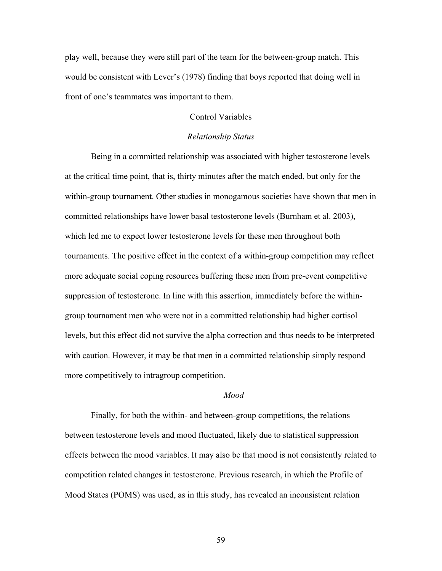play well, because they were still part of the team for the between-group match. This would be consistent with Lever's (1978) finding that boys reported that doing well in front of one's teammates was important to them.

## Control Variables

#### *Relationship Status*

Being in a committed relationship was associated with higher testosterone levels at the critical time point, that is, thirty minutes after the match ended, but only for the within-group tournament. Other studies in monogamous societies have shown that men in committed relationships have lower basal testosterone levels (Burnham et al. 2003), which led me to expect lower testosterone levels for these men throughout both tournaments. The positive effect in the context of a within-group competition may reflect more adequate social coping resources buffering these men from pre-event competitive suppression of testosterone. In line with this assertion, immediately before the withingroup tournament men who were not in a committed relationship had higher cortisol levels, but this effect did not survive the alpha correction and thus needs to be interpreted with caution. However, it may be that men in a committed relationship simply respond more competitively to intragroup competition.

### *Mood*

Finally, for both the within- and between-group competitions, the relations between testosterone levels and mood fluctuated, likely due to statistical suppression effects between the mood variables. It may also be that mood is not consistently related to competition related changes in testosterone. Previous research, in which the Profile of Mood States (POMS) was used, as in this study, has revealed an inconsistent relation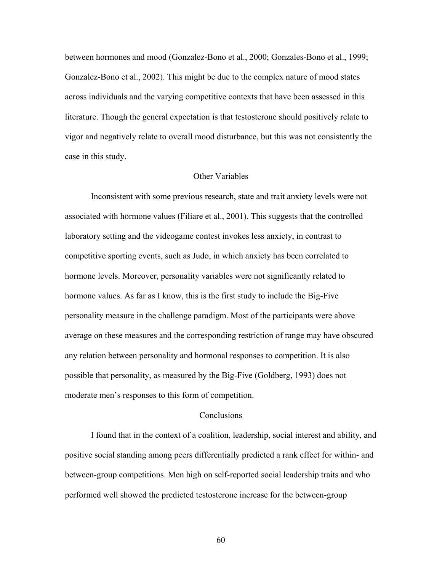between hormones and mood (Gonzalez-Bono et al., 2000; Gonzales-Bono et al., 1999; Gonzalez-Bono et al., 2002). This might be due to the complex nature of mood states across individuals and the varying competitive contexts that have been assessed in this literature. Though the general expectation is that testosterone should positively relate to vigor and negatively relate to overall mood disturbance, but this was not consistently the case in this study.

### Other Variables

Inconsistent with some previous research, state and trait anxiety levels were not associated with hormone values (Filiare et al., 2001). This suggests that the controlled laboratory setting and the videogame contest invokes less anxiety, in contrast to competitive sporting events, such as Judo, in which anxiety has been correlated to hormone levels. Moreover, personality variables were not significantly related to hormone values. As far as I know, this is the first study to include the Big-Five personality measure in the challenge paradigm. Most of the participants were above average on these measures and the corresponding restriction of range may have obscured any relation between personality and hormonal responses to competition. It is also possible that personality, as measured by the Big-Five (Goldberg, 1993) does not moderate men's responses to this form of competition.

#### **Conclusions**

 I found that in the context of a coalition, leadership, social interest and ability, and positive social standing among peers differentially predicted a rank effect for within- and between-group competitions. Men high on self-reported social leadership traits and who performed well showed the predicted testosterone increase for the between-group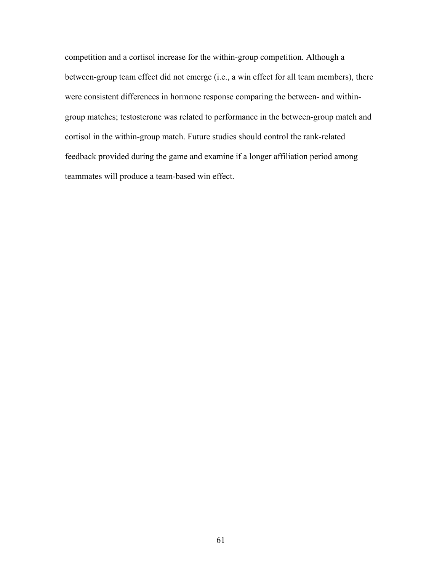competition and a cortisol increase for the within-group competition. Although a between-group team effect did not emerge (i.e., a win effect for all team members), there were consistent differences in hormone response comparing the between- and withingroup matches; testosterone was related to performance in the between-group match and cortisol in the within-group match. Future studies should control the rank-related feedback provided during the game and examine if a longer affiliation period among teammates will produce a team-based win effect.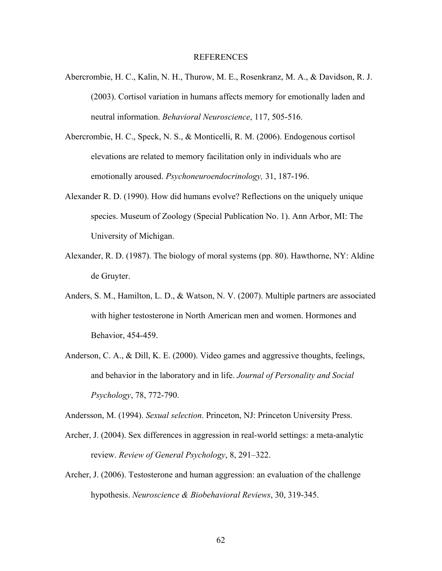#### REFERENCES

- Abercrombie, H. C., Kalin, N. H., Thurow, M. E., Rosenkranz, M. A., & Davidson, R. J. (2003). Cortisol variation in humans affects memory for emotionally laden and neutral information. *Behavioral Neuroscience*, 117, 505-516.
- Abercrombie, H. C., Speck, N. S., & Monticelli, R. M. (2006). Endogenous cortisol elevations are related to memory facilitation only in individuals who are emotionally aroused. *Psychoneuroendocrinology,* 31, 187-196.
- Alexander R. D. (1990). How did humans evolve? Reflections on the uniquely unique species. Museum of Zoology (Special Publication No. 1). Ann Arbor, MI: The University of Michigan.
- Alexander, R. D. (1987). The biology of moral systems (pp. 80). Hawthorne, NY: Aldine de Gruyter.
- Anders, S. M., Hamilton, L. D., & Watson, N. V. (2007). Multiple partners are associated with higher testosterone in North American men and women. Hormones and Behavior, 454-459.
- Anderson, C. A., & Dill, K. E. (2000). Video games and aggressive thoughts, feelings, and behavior in the laboratory and in life. *Journal of Personality and Social Psychology*, 78, 772-790.

Andersson, M. (1994). *Sexual selection*. Princeton, NJ: Princeton University Press.

- Archer, J. (2004). Sex differences in aggression in real-world settings: a meta-analytic review. *Review of General Psychology*, 8, 291–322.
- Archer, J. (2006). Testosterone and human aggression: an evaluation of the challenge hypothesis. *Neuroscience & Biobehavioral Reviews*, 30, 319-345.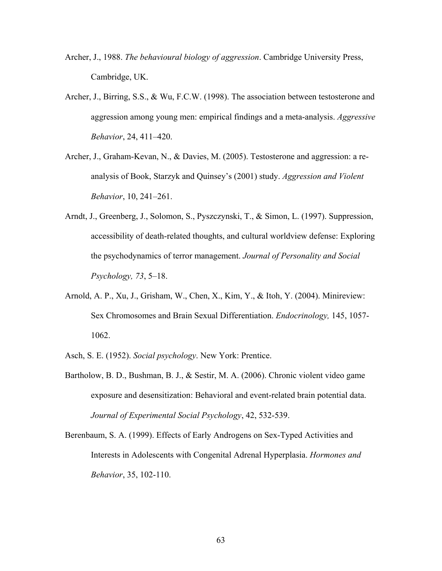- Archer, J., 1988. *The behavioural biology of aggression*. Cambridge University Press, Cambridge, UK.
- Archer, J., Birring, S.S., & Wu, F.C.W. (1998). The association between testosterone and aggression among young men: empirical findings and a meta-analysis. *Aggressive Behavior*, 24, 411–420.
- Archer, J., Graham-Kevan, N., & Davies, M. (2005). Testosterone and aggression: a reanalysis of Book, Starzyk and Quinsey's (2001) study. *Aggression and Violent Behavior*, 10, 241–261.
- Arndt, J., Greenberg, J., Solomon, S., Pyszczynski, T., & Simon, L. (1997). Suppression, accessibility of death-related thoughts, and cultural worldview defense: Exploring the psychodynamics of terror management. *Journal of Personality and Social Psychology, 73*, 5–18.
- Arnold, A. P., Xu, J., Grisham, W., Chen, X., Kim, Y., & Itoh, Y. (2004). Minireview: Sex Chromosomes and Brain Sexual Differentiation. *Endocrinology,* 145, 1057- 1062.
- Asch, S. E. (1952). *Social psychology*. New York: Prentice.
- Bartholow, B. D., Bushman, B. J., & Sestir, M. A. (2006). Chronic violent video game exposure and desensitization: Behavioral and event-related brain potential data. *Journal of Experimental Social Psychology*, 42, 532-539.
- Berenbaum, S. A. (1999). Effects of Early Androgens on Sex-Typed Activities and Interests in Adolescents with Congenital Adrenal Hyperplasia. *Hormones and Behavior*, 35, 102-110.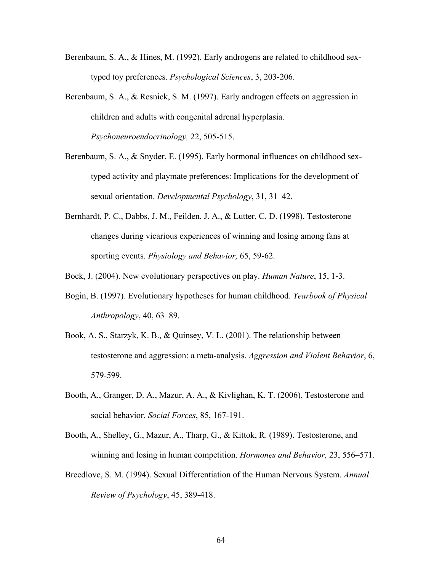- Berenbaum, S. A., & Hines, M. (1992). Early androgens are related to childhood sextyped toy preferences. *Psychological Sciences*, 3, 203-206.
- Berenbaum, S. A., & Resnick, S. M. (1997). Early androgen effects on aggression in children and adults with congenital adrenal hyperplasia. *Psychoneuroendocrinology,* 22, 505-515.
- Berenbaum, S. A., & Snyder, E. (1995). Early hormonal influences on childhood sextyped activity and playmate preferences: Implications for the development of sexual orientation. *Developmental Psychology*, 31, 31–42.
- Bernhardt, P. C., Dabbs, J. M., Feilden, J. A., & Lutter, C. D. (1998). Testosterone changes during vicarious experiences of winning and losing among fans at sporting events. *Physiology and Behavior,* 65, 59-62.
- Bock, J. (2004). New evolutionary perspectives on play. *Human Nature*, 15, 1-3.
- Bogin, B. (1997). Evolutionary hypotheses for human childhood. *Yearbook of Physical Anthropology*, 40, 63–89.
- Book, A. S., Starzyk, K. B., & Quinsey, V. L. (2001). The relationship between testosterone and aggression: a meta-analysis. *Aggression and Violent Behavior*, 6, 579-599.
- Booth, A., Granger, D. A., Mazur, A. A., & Kivlighan, K. T. (2006). Testosterone and social behavior. *Social Forces*, 85, 167-191.
- Booth, A., Shelley, G., Mazur, A., Tharp, G., & Kittok, R. (1989). Testosterone, and winning and losing in human competition. *Hormones and Behavior,* 23, 556–571.
- Breedlove, S. M. (1994). Sexual Differentiation of the Human Nervous System. *Annual Review of Psychology*, 45, 389-418.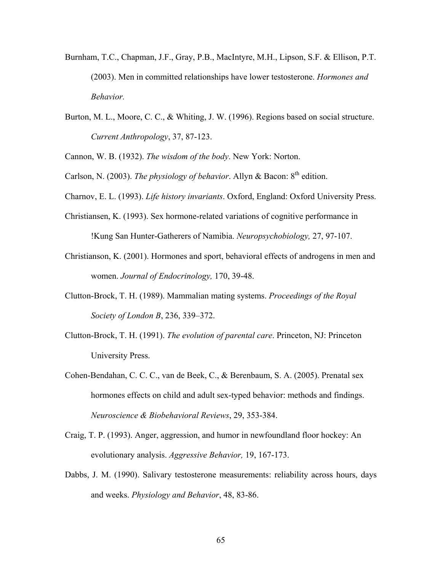- Burnham, T.C., Chapman, J.F., Gray, P.B., MacIntyre, M.H., Lipson, S.F. & Ellison, P.T. (2003). Men in committed relationships have lower testosterone. *Hormones and Behavior.*
- Burton, M. L., Moore, C. C., & Whiting, J. W. (1996). Regions based on social structure. *Current Anthropology*, 37, 87-123.
- Cannon, W. B. (1932). *The wisdom of the body*. New York: Norton.
- Carlson, N. (2003). *The physiology of behavior*. Allyn & Bacon: 8<sup>th</sup> edition.
- Charnov, E. L. (1993). *Life history invariants*. Oxford, England: Oxford University Press.
- Christiansen, K. (1993). Sex hormone-related variations of cognitive performance in !Kung San Hunter-Gatherers of Namibia. *Neuropsychobiology,* 27, 97-107.
- Christianson, K. (2001). Hormones and sport, behavioral effects of androgens in men and women. *Journal of Endocrinology,* 170, 39-48.
- Clutton-Brock, T. H. (1989). Mammalian mating systems. *Proceedings of the Royal Society of London B*, 236, 339–372.
- Clutton-Brock, T. H. (1991). *The evolution of parental care*. Princeton, NJ: Princeton University Press.
- Cohen-Bendahan, C. C. C., van de Beek, C., & Berenbaum, S. A. (2005). Prenatal sex hormones effects on child and adult sex-typed behavior: methods and findings. *Neuroscience & Biobehavioral Reviews*, 29, 353-384.
- Craig, T. P. (1993). Anger, aggression, and humor in newfoundland floor hockey: An evolutionary analysis. *Aggressive Behavior,* 19, 167-173.
- Dabbs, J. M. (1990). Salivary testosterone measurements: reliability across hours, days and weeks. *Physiology and Behavior*, 48, 83-86.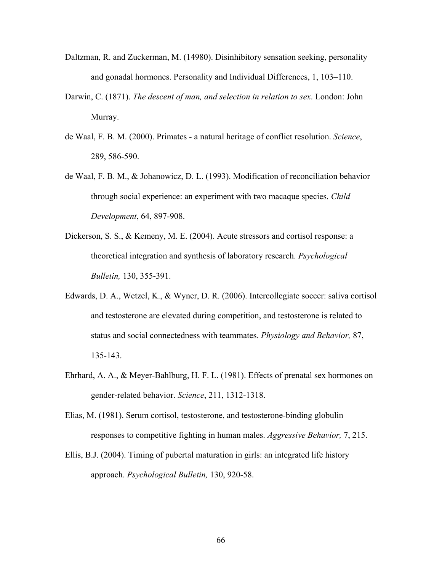- Daltzman, R. and Zuckerman, M. (14980). Disinhibitory sensation seeking, personality and gonadal hormones. Personality and Individual Differences, 1, 103–110.
- Darwin, C. (1871). *The descent of man, and selection in relation to sex*. London: John Murray.
- de Waal, F. B. M. (2000). Primates a natural heritage of conflict resolution. *Science*, 289, 586-590.
- de Waal, F. B. M., & Johanowicz, D. L. (1993). Modification of reconciliation behavior through social experience: an experiment with two macaque species. *Child Development*, 64, 897-908.
- Dickerson, S. S., & Kemeny, M. E. (2004). Acute stressors and cortisol response: a theoretical integration and synthesis of laboratory research. *Psychological Bulletin,* 130, 355-391.
- Edwards, D. A., Wetzel, K., & Wyner, D. R. (2006). Intercollegiate soccer: saliva cortisol and testosterone are elevated during competition, and testosterone is related to status and social connectedness with teammates. *Physiology and Behavior,* 87, 135-143.
- Ehrhard, A. A., & Meyer-Bahlburg, H. F. L. (1981). Effects of prenatal sex hormones on gender-related behavior. *Science*, 211, 1312-1318.
- Elias, M. (1981). Serum cortisol, testosterone, and testosterone-binding globulin responses to competitive fighting in human males. *Aggressive Behavior,* 7, 215.
- Ellis, B.J. (2004). Timing of pubertal maturation in girls: an integrated life history approach. *Psychological Bulletin,* 130, 920-58.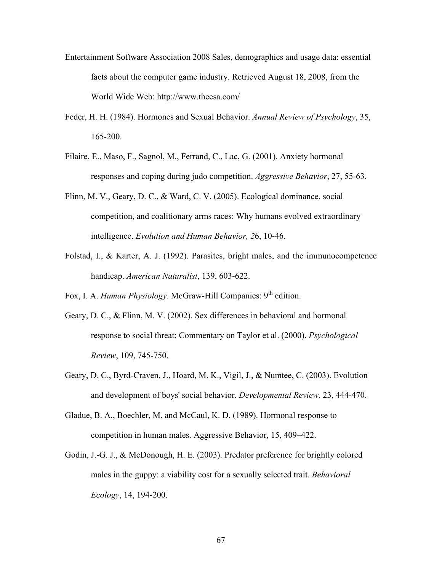- Entertainment Software Association 2008 Sales, demographics and usage data: essential facts about the computer game industry. Retrieved August 18, 2008, from the World Wide Web: http://www.theesa.com/
- Feder, H. H. (1984). Hormones and Sexual Behavior. *Annual Review of Psychology*, 35, 165-200.
- Filaire, E., Maso, F., Sagnol, M., Ferrand, C., Lac, G. (2001). Anxiety hormonal responses and coping during judo competition. *Aggressive Behavior*, 27, 55-63.
- Flinn, M. V., Geary, D. C., & Ward, C. V. (2005). Ecological dominance, social competition, and coalitionary arms races: Why humans evolved extraordinary intelligence. *Evolution and Human Behavior, 2*6, 10-46.
- Folstad, I., & Karter, A. J. (1992). Parasites, bright males, and the immunocompetence handicap. *American Naturalist*, 139, 603-622.
- Fox, I. A. *Human Physiology*. McGraw-Hill Companies: 9<sup>th</sup> edition.
- Geary, D. C., & Flinn, M. V. (2002). Sex differences in behavioral and hormonal response to social threat: Commentary on Taylor et al. (2000). *Psychological Review*, 109, 745-750.
- Geary, D. C., Byrd-Craven, J., Hoard, M. K., Vigil, J., & Numtee, C. (2003). Evolution and development of boys' social behavior. *Developmental Review,* 23, 444-470.
- Gladue, B. A., Boechler, M. and McCaul, K. D. (1989). Hormonal response to competition in human males. Aggressive Behavior, 15, 409–422.
- Godin, J.-G. J., & McDonough, H. E. (2003). Predator preference for brightly colored males in the guppy: a viability cost for a sexually selected trait. *Behavioral Ecology*, 14, 194-200.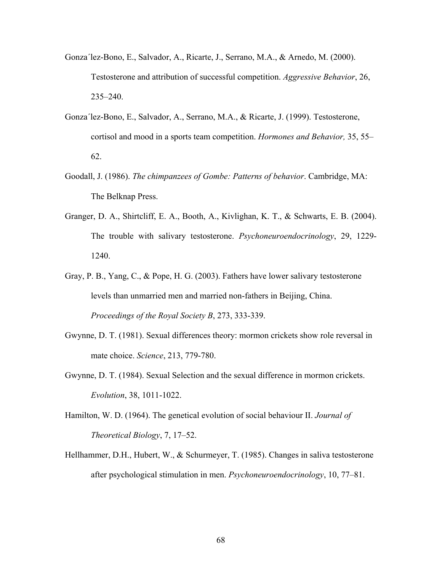- Gonza´lez-Bono, E., Salvador, A., Ricarte, J., Serrano, M.A., & Arnedo, M. (2000). Testosterone and attribution of successful competition. *Aggressive Behavior*, 26, 235–240.
- Gonza´lez-Bono, E., Salvador, A., Serrano, M.A., & Ricarte, J. (1999). Testosterone, cortisol and mood in a sports team competition. *Hormones and Behavior,* 35, 55– 62.
- Goodall, J. (1986). *The chimpanzees of Gombe: Patterns of behavior*. Cambridge, MA: The Belknap Press.
- Granger, D. A., Shirtcliff, E. A., Booth, A., Kivlighan, K. T., & Schwarts, E. B. (2004). The trouble with salivary testosterone. *Psychoneuroendocrinology*, 29, 1229- 1240.
- Gray, P. B., Yang, C., & Pope, H. G. (2003). Fathers have lower salivary testosterone levels than unmarried men and married non-fathers in Beijing, China. *Proceedings of the Royal Society B*, 273, 333-339.
- Gwynne, D. T. (1981). Sexual differences theory: mormon crickets show role reversal in mate choice. *Science*, 213, 779-780.
- Gwynne, D. T. (1984). Sexual Selection and the sexual difference in mormon crickets. *Evolution*, 38, 1011-1022.
- Hamilton, W. D. (1964). The genetical evolution of social behaviour II. *Journal of Theoretical Biology*, 7, 17–52.
- Hellhammer, D.H., Hubert, W., & Schurmeyer, T. (1985). Changes in saliva testosterone after psychological stimulation in men. *Psychoneuroendocrinology*, 10, 77–81.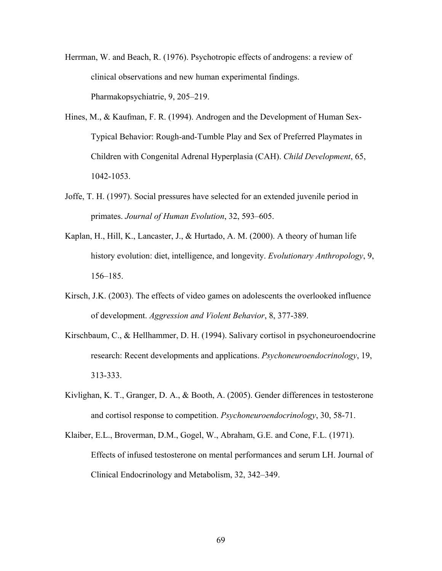- Herrman, W. and Beach, R. (1976). Psychotropic effects of androgens: a review of clinical observations and new human experimental findings. Pharmakopsychiatrie, 9, 205–219.
- Hines, M., & Kaufman, F. R. (1994). Androgen and the Development of Human Sex-Typical Behavior: Rough-and-Tumble Play and Sex of Preferred Playmates in Children with Congenital Adrenal Hyperplasia (CAH). *Child Development*, 65, 1042-1053.
- Joffe, T. H. (1997). Social pressures have selected for an extended juvenile period in primates. *Journal of Human Evolution*, 32, 593–605.
- Kaplan, H., Hill, K., Lancaster, J., & Hurtado, A. M. (2000). A theory of human life history evolution: diet, intelligence, and longevity. *Evolutionary Anthropology*, 9, 156–185.
- Kirsch, J.K. (2003). The effects of video games on adolescents the overlooked influence of development. *Aggression and Violent Behavior*, 8, 377-389.
- Kirschbaum, C., & Hellhammer, D. H. (1994). Salivary cortisol in psychoneuroendocrine research: Recent developments and applications. *Psychoneuroendocrinology*, 19, 313-333.
- Kivlighan, K. T., Granger, D. A., & Booth, A. (2005). Gender differences in testosterone and cortisol response to competition. *Psychoneuroendocrinology*, 30, 58-71.
- Klaiber, E.L., Broverman, D.M., Gogel, W., Abraham, G.E. and Cone, F.L. (1971). Effects of infused testosterone on mental performances and serum LH. Journal of Clinical Endocrinology and Metabolism, 32, 342–349.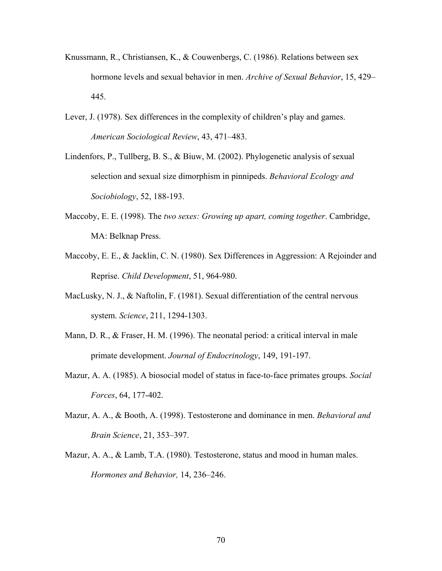- Knussmann, R., Christiansen, K., & Couwenbergs, C. (1986). Relations between sex hormone levels and sexual behavior in men. *Archive of Sexual Behavior*, 15, 429– 445.
- Lever, J. (1978). Sex differences in the complexity of children's play and games. *American Sociological Review*, 43, 471–483.
- Lindenfors, P., Tullberg, B. S., & Biuw, M. (2002). Phylogenetic analysis of sexual selection and sexual size dimorphism in pinnipeds. *Behavioral Ecology and Sociobiology*, 52, 188-193.
- Maccoby, E. E. (1998). The *two sexes: Growing up apart, coming together*. Cambridge, MA: Belknap Press.
- Maccoby, E. E., & Jacklin, C. N. (1980). Sex Differences in Aggression: A Rejoinder and Reprise. *Child Development*, 51, 964-980.
- MacLusky, N. J., & Naftolin, F. (1981). Sexual differentiation of the central nervous system. *Science*, 211, 1294-1303.
- Mann, D. R., & Fraser, H. M. (1996). The neonatal period: a critical interval in male primate development. *Journal of Endocrinology*, 149, 191-197.
- Mazur, A. A. (1985). A biosocial model of status in face-to-face primates groups. *Social Forces*, 64, 177-402.
- Mazur, A. A., & Booth, A. (1998). Testosterone and dominance in men. *Behavioral and Brain Science*, 21, 353–397.
- Mazur, A. A., & Lamb, T.A. (1980). Testosterone, status and mood in human males. *Hormones and Behavior,* 14, 236–246.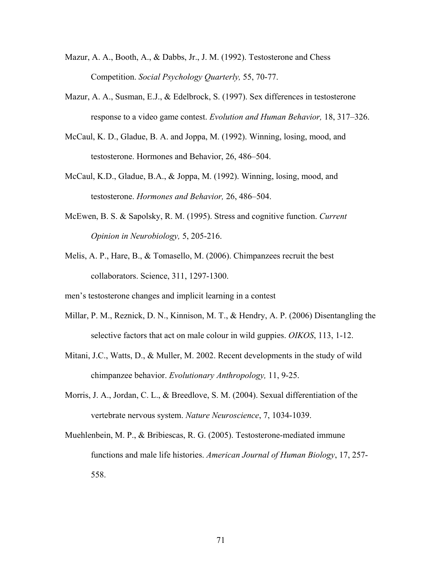- Mazur, A. A., Booth, A., & Dabbs, Jr., J. M. (1992). Testosterone and Chess Competition. *Social Psychology Quarterly,* 55, 70-77.
- Mazur, A. A., Susman, E.J., & Edelbrock, S. (1997). Sex differences in testosterone response to a video game contest. *Evolution and Human Behavior,* 18, 317–326.
- McCaul, K. D., Gladue, B. A. and Joppa, M. (1992). Winning, losing, mood, and testosterone. Hormones and Behavior, 26, 486–504.
- McCaul, K.D., Gladue, B.A., & Joppa, M. (1992). Winning, losing, mood, and testosterone. *Hormones and Behavior,* 26, 486–504.
- McEwen, B. S. & Sapolsky, R. M. (1995). Stress and cognitive function. *Current Opinion in Neurobiology,* 5, 205-216.
- Melis, A. P., Hare, B., & Tomasello, M. (2006). Chimpanzees recruit the best collaborators. Science, 311, 1297-1300.

men's testosterone changes and implicit learning in a contest

- Millar, P. M., Reznick, D. N., Kinnison, M. T., & Hendry, A. P. (2006) Disentangling the selective factors that act on male colour in wild guppies. *OIKOS*, 113, 1-12.
- Mitani, J.C., Watts, D., & Muller, M. 2002. Recent developments in the study of wild chimpanzee behavior. *Evolutionary Anthropology,* 11, 9-25.
- Morris, J. A., Jordan, C. L., & Breedlove, S. M. (2004). Sexual differentiation of the vertebrate nervous system. *Nature Neuroscience*, 7, 1034-1039.
- Muehlenbein, M. P., & Bribiescas, R. G. (2005). Testosterone-mediated immune functions and male life histories. *American Journal of Human Biology*, 17, 257- 558.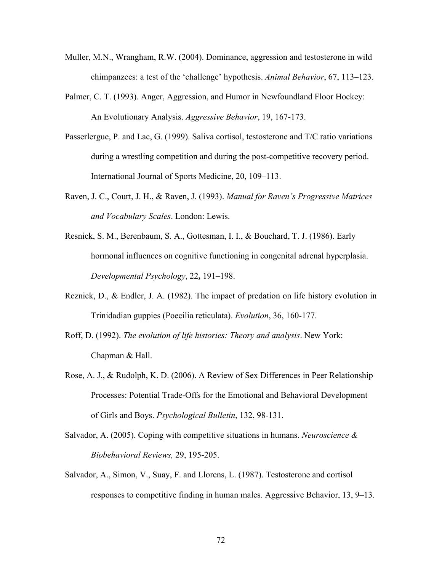- Muller, M.N., Wrangham, R.W. (2004). Dominance, aggression and testosterone in wild chimpanzees: a test of the 'challenge' hypothesis. *Animal Behavior*, 67, 113–123.
- Palmer, C. T. (1993). Anger, Aggression, and Humor in Newfoundland Floor Hockey: An Evolutionary Analysis. *Aggressive Behavior*, 19, 167-173.
- Passerlergue, P. and Lac, G. (1999). Saliva cortisol, testosterone and T/C ratio variations during a wrestling competition and during the post-competitive recovery period. International Journal of Sports Medicine, 20, 109–113.
- Raven, J. C., Court, J. H., & Raven, J. (1993). *Manual for Raven's Progressive Matrices and Vocabulary Scales*. London: Lewis.
- Resnick, S. M., Berenbaum, S. A., Gottesman, I. I., & Bouchard, T. J. (1986). Early hormonal influences on cognitive functioning in congenital adrenal hyperplasia. *Developmental Psychology*, 22**,** 191–198.
- Reznick, D., & Endler, J. A. (1982). The impact of predation on life history evolution in Trinidadian guppies (Poecilia reticulata). *Evolution*, 36, 160-177.
- Roff, D. (1992). *The evolution of life histories: Theory and analysis*. New York: Chapman & Hall.
- Rose, A. J., & Rudolph, K. D. (2006). A Review of Sex Differences in Peer Relationship Processes: Potential Trade-Offs for the Emotional and Behavioral Development of Girls and Boys. *Psychological Bulletin*, 132, 98-131.
- Salvador, A. (2005). Coping with competitive situations in humans. *Neuroscience & Biobehavioral Reviews,* 29, 195-205.
- Salvador, A., Simon, V., Suay, F. and Llorens, L. (1987). Testosterone and cortisol responses to competitive finding in human males. Aggressive Behavior, 13, 9–13.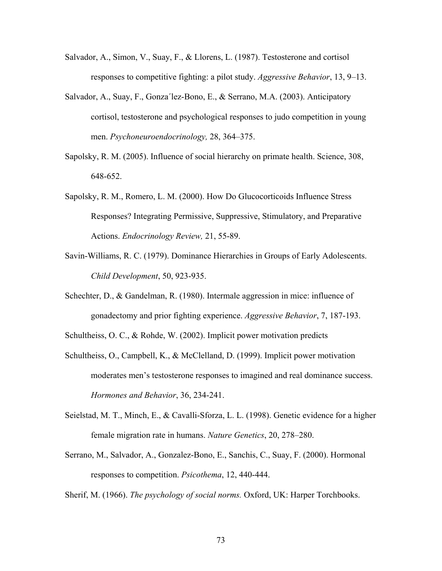- Salvador, A., Simon, V., Suay, F., & Llorens, L. (1987). Testosterone and cortisol responses to competitive fighting: a pilot study. *Aggressive Behavior*, 13, 9–13.
- Salvador, A., Suay, F., Gonza´lez-Bono, E., & Serrano, M.A. (2003). Anticipatory cortisol, testosterone and psychological responses to judo competition in young men. *Psychoneuroendocrinology,* 28, 364–375.
- Sapolsky, R. M. (2005). Influence of social hierarchy on primate health. Science, 308, 648-652.
- Sapolsky, R. M., Romero, L. M. (2000). How Do Glucocorticoids Influence Stress Responses? Integrating Permissive, Suppressive, Stimulatory, and Preparative Actions. *Endocrinology Review,* 21, 55-89.
- Savin-Williams, R. C. (1979). Dominance Hierarchies in Groups of Early Adolescents. *Child Development*, 50, 923-935.
- Schechter, D., & Gandelman, R. (1980). Intermale aggression in mice: influence of gonadectomy and prior fighting experience. *Aggressive Behavior*, 7, 187-193.
- Schultheiss, O. C., & Rohde, W. (2002). Implicit power motivation predicts
- Schultheiss, O., Campbell, K., & McClelland, D. (1999). Implicit power motivation moderates men's testosterone responses to imagined and real dominance success. *Hormones and Behavior*, 36, 234-241.
- Seielstad, M. T., Minch, E., & Cavalli-Sforza, L. L. (1998). Genetic evidence for a higher female migration rate in humans. *Nature Genetics*, 20, 278–280.
- Serrano, M., Salvador, A., Gonzalez-Bono, E., Sanchis, C., Suay, F. (2000). Hormonal responses to competition. *Psicothema*, 12, 440-444.

Sherif, M. (1966). *The psychology of social norms.* Oxford, UK: Harper Torchbooks.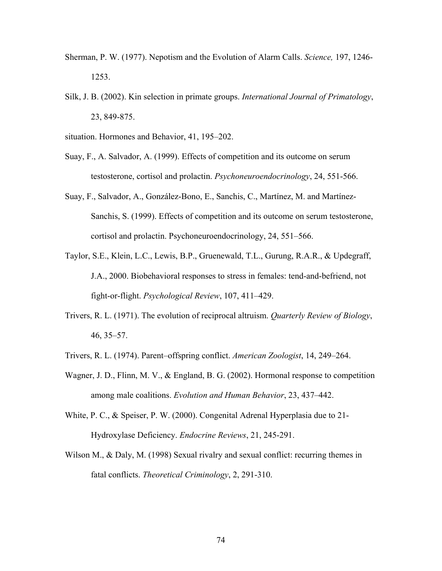- Sherman, P. W. (1977). Nepotism and the Evolution of Alarm Calls. *Science,* 197, 1246- 1253.
- Silk, J. B. (2002). Kin selection in primate groups. *International Journal of Primatology*, 23, 849-875.

situation. Hormones and Behavior, 41, 195–202.

- Suay, F., A. Salvador, A. (1999). Effects of competition and its outcome on serum testosterone, cortisol and prolactin. *Psychoneuroendocrinology*, 24, 551-566.
- Suay, F., Salvador, A., González-Bono, E., Sanchis, C., Martínez, M. and Martínez-Sanchis, S. (1999). Effects of competition and its outcome on serum testosterone, cortisol and prolactin. Psychoneuroendocrinology, 24, 551–566.
- Taylor, S.E., Klein, L.C., Lewis, B.P., Gruenewald, T.L., Gurung, R.A.R., & Updegraff, J.A., 2000. Biobehavioral responses to stress in females: tend-and-befriend, not fight-or-flight. *Psychological Review*, 107, 411–429.
- Trivers, R. L. (1971). The evolution of reciprocal altruism. *Quarterly Review of Biology*, 46, 35–57.
- Trivers, R. L. (1974). Parent–offspring conflict. *American Zoologist*, 14, 249–264.
- Wagner, J. D., Flinn, M. V., & England, B. G. (2002). Hormonal response to competition among male coalitions. *Evolution and Human Behavior*, 23, 437–442.
- White, P. C., & Speiser, P. W. (2000). Congenital Adrenal Hyperplasia due to 21- Hydroxylase Deficiency. *Endocrine Reviews*, 21, 245-291.
- Wilson M., & Daly, M. (1998) Sexual rivalry and sexual conflict: recurring themes in fatal conflicts. *Theoretical Criminology*, 2, 291-310.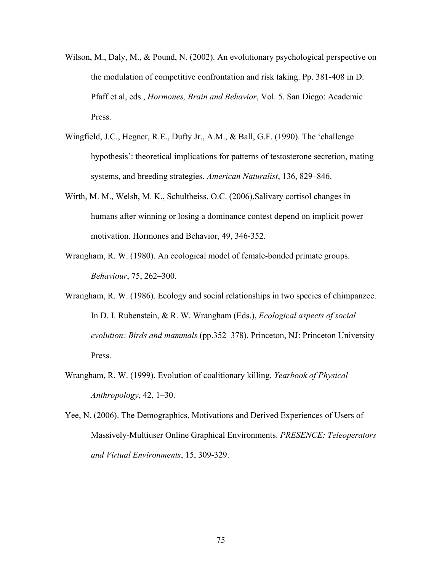- Wilson, M., Daly, M., & Pound, N. (2002). An evolutionary psychological perspective on the modulation of competitive confrontation and risk taking. Pp. 381-408 in D. Pfaff et al, eds., *Hormones, Brain and Behavior*, Vol. 5. San Diego: Academic Press.
- Wingfield, J.C., Hegner, R.E., Dufty Jr., A.M., & Ball, G.F. (1990). The 'challenge hypothesis': theoretical implications for patterns of testosterone secretion, mating systems, and breeding strategies. *American Naturalist*, 136, 829–846.
- Wirth, M. M., Welsh, M. K., Schultheiss, O.C. (2006).Salivary cortisol changes in humans after winning or losing a dominance contest depend on implicit power motivation. Hormones and Behavior, 49, 346-352.
- Wrangham, R. W. (1980). An ecological model of female-bonded primate groups. *Behaviour*, 75, 262–300.
- Wrangham, R. W. (1986). Ecology and social relationships in two species of chimpanzee. In D. I. Rubenstein, & R. W. Wrangham (Eds.), *Ecological aspects of social evolution: Birds and mammals* (pp.352–378). Princeton, NJ: Princeton University Press.
- Wrangham, R. W. (1999). Evolution of coalitionary killing. *Yearbook of Physical Anthropology*, 42, 1–30.
- Yee, N. (2006). The Demographics, Motivations and Derived Experiences of Users of Massively-Multiuser Online Graphical Environments. *PRESENCE: Teleoperators and Virtual Environments*, 15, 309-329.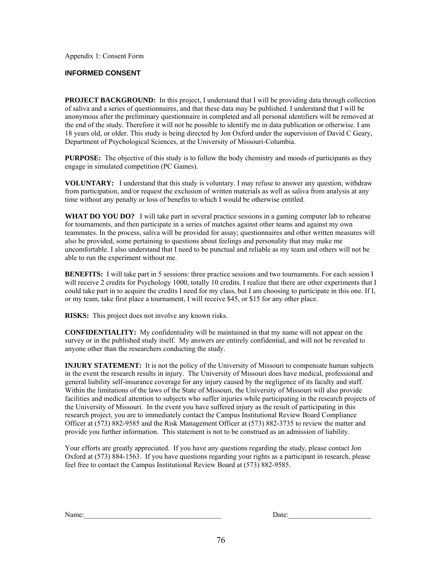Appendix 1: Consent Form

#### **INFORMED CONSENT**

**PROJECT BACKGROUND:** In this project, I understand that I will be providing data through collection of saliva and a series of questionnaires, and that these data may be published. I understand that I will be anonymous after the preliminary questionnaire in completed and all personal identifiers will be removed at the end of the study. Therefore it will not be possible to identify me in data publication or otherwise. I am 18 years old, or older. This study is being directed by Jon Oxford under the supervision of David C Geary, Department of Psychological Sciences, at the University of Missouri-Columbia.

**PURPOSE:** The objective of this study is to follow the body chemistry and moods of participants as they engage in simulated competition (PC Games).

**VOLUNTARY:** I understand that this study is voluntary. I may refuse to answer any question, withdraw from participation, and/or request the exclusion of written materials as well as saliva from analysis at any time without any penalty or loss of benefits to which I would be otherwise entitled.

**WHAT DO YOU DO?** I will take part in several practice sessions in a gaming computer lab to rehearse for tournaments, and then participate in a series of matches against other teams and against my own teammates. In the process, saliva will be provided for assay; questionnaires and other written measures will also be provided, some pertaining to questions about feelings and personality that may make me uncomfortable. I also understand that I need to be punctual and reliable as my team and others will not be able to run the experiment without me.

**BENEFITS:** I will take part in 5 sessions: three practice sessions and two tournaments. For each session I will receive 2 credits for Psychology 1000, totally 10 credits. I realize that there are other experiments that I could take part in to acquire the credits I need for my class, but I am choosing to participate in this one. If I, or my team, take first place a tournament, I will receive \$45, or \$15 for any other place.

**RISKS:** This project does not involve any known risks.

**CONFIDENTIALITY:** My confidentiality will be maintained in that my name will not appear on the survey or in the published study itself. My answers are entirely confidential, and will not be revealed to anyone other than the researchers conducting the study.

**INJURY STATEMENT:** It is not the policy of the University of Missouri to compensate human subjects in the event the research results in injury. The University of Missouri does have medical, professional and general liability self-insurance coverage for any injury caused by the negligence of its faculty and staff. Within the limitations of the laws of the State of Missouri, the University of Missouri will also provide facilities and medical attention to subjects who suffer injuries while participating in the research projects of the University of Missouri. In the event you have suffered injury as the result of participating in this research project, you are to immediately contact the Campus Institutional Review Board Compliance Officer at (573) 882-9585 and the Risk Management Officer at (573) 882-3735 to review the matter and provide you further information. This statement is not to be construed as an admission of liability.

Your efforts are greatly appreciated. If you have any questions regarding the study, please contact Jon Oxford at (573) 884-1563. If you have questions regarding your rights as a participant in research, please feel free to contact the Campus Institutional Review Board at (573) 882-9585.

| $\sim$ $\sim$<br>Name: | )ate: |
|------------------------|-------|
|                        |       |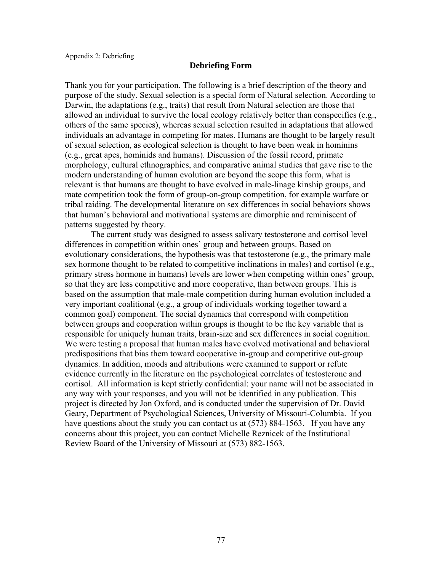#### **Debriefing Form**

Thank you for your participation. The following is a brief description of the theory and purpose of the study. Sexual selection is a special form of Natural selection. According to Darwin, the adaptations (e.g., traits) that result from Natural selection are those that allowed an individual to survive the local ecology relatively better than conspecifics (e.g., others of the same species), whereas sexual selection resulted in adaptations that allowed individuals an advantage in competing for mates. Humans are thought to be largely result of sexual selection, as ecological selection is thought to have been weak in hominins (e.g., great apes, hominids and humans). Discussion of the fossil record, primate morphology, cultural ethnographies, and comparative animal studies that gave rise to the modern understanding of human evolution are beyond the scope this form, what is relevant is that humans are thought to have evolved in male-linage kinship groups, and mate competition took the form of group-on-group competition, for example warfare or tribal raiding. The developmental literature on sex differences in social behaviors shows that human's behavioral and motivational systems are dimorphic and reminiscent of patterns suggested by theory.

The current study was designed to assess salivary testosterone and cortisol level differences in competition within ones' group and between groups. Based on evolutionary considerations, the hypothesis was that testosterone (e.g., the primary male sex hormone thought to be related to competitive inclinations in males) and cortisol (e.g., primary stress hormone in humans) levels are lower when competing within ones' group, so that they are less competitive and more cooperative, than between groups. This is based on the assumption that male-male competition during human evolution included a very important coalitional (e.g., a group of individuals working together toward a common goal) component. The social dynamics that correspond with competition between groups and cooperation within groups is thought to be the key variable that is responsible for uniquely human traits, brain-size and sex differences in social cognition. We were testing a proposal that human males have evolved motivational and behavioral predispositions that bias them toward cooperative in-group and competitive out-group dynamics. In addition, moods and attributions were examined to support or refute evidence currently in the literature on the psychological correlates of testosterone and cortisol. All information is kept strictly confidential: your name will not be associated in any way with your responses, and you will not be identified in any publication. This project is directed by Jon Oxford, and is conducted under the supervision of Dr. David Geary, Department of Psychological Sciences, University of Missouri-Columbia. If you have questions about the study you can contact us at (573) 884-1563. If you have any concerns about this project, you can contact Michelle Reznicek of the Institutional Review Board of the University of Missouri at (573) 882-1563.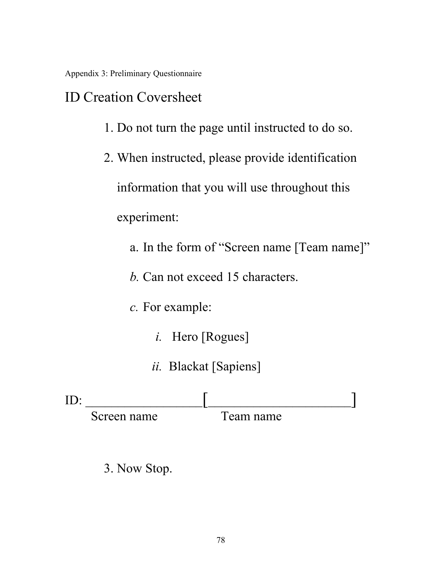Appendix 3: Preliminary Questionnaire

### ID Creation Coversheet

- 1. Do not turn the page until instructed to do so.
- 2. When instructed, please provide identification information that you will use throughout this experiment:
	- a. In the form of "Screen name [Team name]"
	- *b.* Can not exceed 15 characters.
	- *c.* For example:
		- *i.* Hero [Rogues]
		- *ii.* Blackat [Sapiens]

| ID          |            |
|-------------|------------|
| Screen name | l'eam name |

3. Now Stop.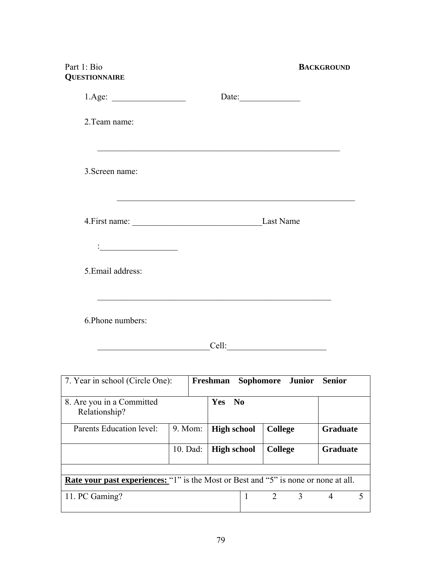## Part 1: Bio<br>**BACKGROUND QUESTIONNAIRE**

|                                                                 | Date:     |
|-----------------------------------------------------------------|-----------|
| 2. Team name:                                                   |           |
|                                                                 |           |
| 3. Screen name:                                                 |           |
|                                                                 |           |
|                                                                 | Last Name |
| $\frac{1}{2}$ . The contract of the contract of $\mathcal{L}_1$ |           |
| 5. Email address:                                               |           |
|                                                                 |           |
| 6. Phone numbers:                                               |           |

 $Cell:$ 

| 7. Year in school (Circle One):                                                            |          | Freshman                             |                             | Sophomore Junior | <b>Senior</b>   |  |
|--------------------------------------------------------------------------------------------|----------|--------------------------------------|-----------------------------|------------------|-----------------|--|
| 8. Are you in a Committed<br>Relationship?                                                 |          | <b>Yes</b><br>$\mathbf{N}\mathbf{0}$ |                             |                  |                 |  |
| Parents Education level:                                                                   | 9. Mom:  | <b>High school</b>                   | <b>College</b>              |                  | <b>Graduate</b> |  |
|                                                                                            | 10. Dad: | <b>High school</b>                   | <b>College</b>              |                  | <b>Graduate</b> |  |
|                                                                                            |          |                                      |                             |                  |                 |  |
| <b>Rate your past experiences:</b> "1" is the Most or Best and "5" is none or none at all. |          |                                      |                             |                  |                 |  |
| 11. PC Gaming?                                                                             |          |                                      | $\mathcal{D}_{\mathcal{L}}$ | 3                | $\overline{4}$  |  |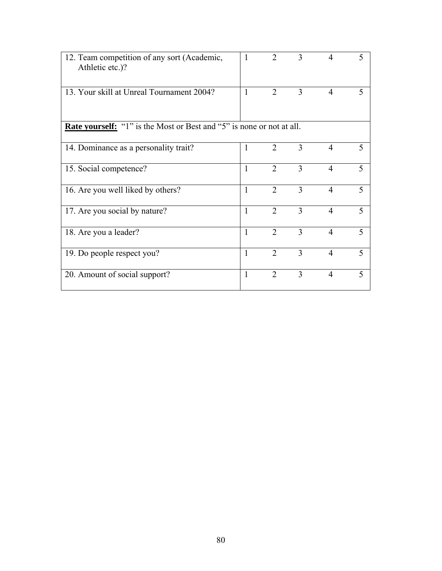| 12. Team competition of any sort (Academic,<br>Athletic etc.)?               | $\mathbf{1}$ | $\overline{2}$ | 3 | $\overline{4}$ | 5                        |
|------------------------------------------------------------------------------|--------------|----------------|---|----------------|--------------------------|
| 13. Your skill at Unreal Tournament 2004?                                    | $\mathbf{1}$ | $\overline{2}$ | 3 | $\overline{4}$ | 5                        |
| <b>Rate yourself:</b> "1" is the Most or Best and "5" is none or not at all. |              |                |   |                |                          |
| 14. Dominance as a personality trait?                                        | $\mathbf{1}$ | 2              | 3 | 4              | 5                        |
| 15. Social competence?                                                       | $\mathbf{1}$ | $\overline{2}$ | 3 | $\overline{4}$ | $\overline{\mathcal{L}}$ |
| 16. Are you well liked by others?                                            | $\mathbf{1}$ | $\overline{2}$ | 3 | $\overline{4}$ | 5                        |
| 17. Are you social by nature?                                                | $\mathbf{1}$ | $\overline{2}$ | 3 | $\overline{4}$ | 5                        |
| 18. Are you a leader?                                                        | $\mathbf{1}$ | $\overline{2}$ | 3 | $\overline{4}$ | 5                        |
| 19. Do people respect you?                                                   | $\mathbf{1}$ | $\overline{2}$ | 3 | 4              | $\overline{\mathcal{L}}$ |
| 20. Amount of social support?                                                | $\mathbf{1}$ | $\overline{2}$ | 3 | $\overline{4}$ | 5                        |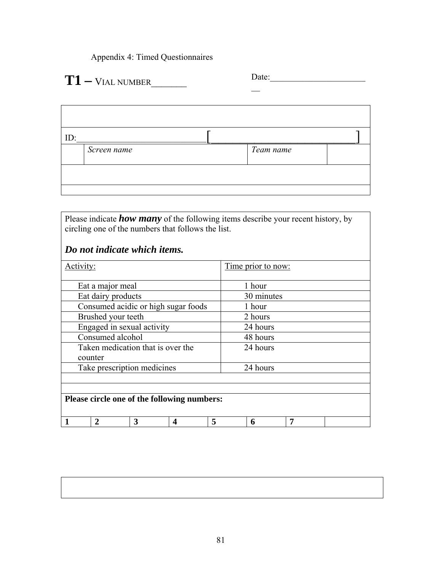Appendix 4: Timed Questionnaires

# Date:\_\_\_\_\_\_\_\_\_\_\_\_\_\_\_\_\_\_\_\_\_\_ **T1** \_\_ **–** VIAL NUMBER\_\_\_\_\_\_\_

 $\overline{\mathbf{u}}$ 

| ID: |             |           |  |
|-----|-------------|-----------|--|
|     | Screen name | Team name |  |
|     |             |           |  |
|     |             |           |  |

Please indicate *how many* of the following items describe your recent history, by circling one of the numbers that follows the list.

### *Do not indicate which items.*

| Activity:                                    |        | <u>Time</u> prior to now: |   |  |
|----------------------------------------------|--------|---------------------------|---|--|
| Eat a major meal                             |        | 1 hour                    |   |  |
| Eat dairy products                           |        | 30 minutes                |   |  |
| Consumed acidic or high sugar foods          |        | 1 hour                    |   |  |
| Brushed your teeth                           |        | 2 hours                   |   |  |
| Engaged in sexual activity                   |        | 24 hours                  |   |  |
| Consumed alcohol                             |        | 48 hours                  |   |  |
| Taken medication that is over the<br>counter |        | 24 hours                  |   |  |
| Take prescription medicines                  |        | 24 hours                  |   |  |
| Please circle one of the following numbers:  |        |                           |   |  |
| 3<br>$\mathcal{D}_{\cdot}$                   | 5<br>4 | 6                         | 7 |  |

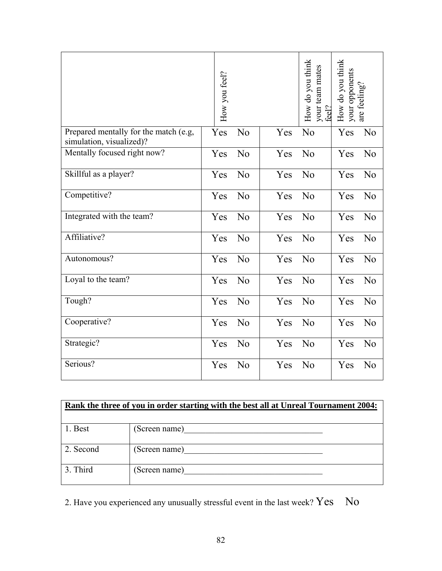|                             |                                                                                      | How you feel? |                |                                                                                                                       | How do you think<br>your team mates<br>feel? | How do you think<br>your opponents | are feeling?   |
|-----------------------------|--------------------------------------------------------------------------------------|---------------|----------------|-----------------------------------------------------------------------------------------------------------------------|----------------------------------------------|------------------------------------|----------------|
| simulation, visualized)?    | Prepared mentally for the match (e.g,                                                | Yes           | N <sub>0</sub> | Yes                                                                                                                   | N <sub>0</sub>                               | Yes                                | N <sub>0</sub> |
| Mentally focused right now? |                                                                                      | Yes           | N <sub>0</sub> | Yes                                                                                                                   | No                                           | Yes                                | No             |
| Skillful as a player?       |                                                                                      | Yes           | N <sub>0</sub> | Yes                                                                                                                   | N <sub>0</sub>                               | Yes                                | N <sub>0</sub> |
| Competitive?                |                                                                                      | Yes           | N <sub>0</sub> | Yes                                                                                                                   | No                                           | Yes                                | No             |
| Integrated with the team?   |                                                                                      | Yes           | N <sub>0</sub> | Yes                                                                                                                   | N <sub>0</sub>                               | Yes                                | N <sub>0</sub> |
| Affiliative?                |                                                                                      | Yes           | N <sub>0</sub> | Yes                                                                                                                   | No                                           | Yes                                | N <sub>0</sub> |
| Autonomous?                 |                                                                                      | Yes           | N <sub>0</sub> | Yes                                                                                                                   | N <sub>0</sub>                               | Yes                                | No             |
| Loyal to the team?          |                                                                                      | Yes           | N <sub>0</sub> | Yes                                                                                                                   | N <sub>0</sub>                               | Yes                                | N <sub>0</sub> |
| Tough?                      |                                                                                      | Yes           | N <sub>0</sub> | Yes                                                                                                                   | N <sub>0</sub>                               | Yes                                | N <sub>0</sub> |
| Cooperative?                |                                                                                      | Yes           | N <sub>0</sub> | Yes                                                                                                                   | N <sub>0</sub>                               | Yes                                | N <sub>0</sub> |
| Strategic?                  |                                                                                      | Yes           | N <sub>0</sub> | Yes                                                                                                                   | N <sub>0</sub>                               | Yes                                | N <sub>0</sub> |
| Serious?                    |                                                                                      | Yes           | N <sub>0</sub> | Yes                                                                                                                   | N <sub>0</sub>                               | Yes                                | N <sub>0</sub> |
|                             |                                                                                      |               |                |                                                                                                                       |                                              |                                    |                |
|                             | Rank the three of you in order starting with the best all at Unreal Tournament 2004: |               |                |                                                                                                                       |                                              |                                    |                |
| 1. Best                     | (Screen name)                                                                        |               |                |                                                                                                                       |                                              |                                    |                |
| 2. Second                   | (Screen name)                                                                        |               |                |                                                                                                                       |                                              |                                    |                |
| 3. Third                    | (Screen name)                                                                        |               |                | <u> 1980 - Johann Barbara, martin amerikan basal dan berasal dalam basal dalam basal dalam basal dalam basal dala</u> |                                              |                                    |                |
|                             | 2. Have you experienced any unusually stressful event in the last week? $Yes$        | 82            |                |                                                                                                                       |                                              | N <sub>0</sub>                     |                |

| Rank the three of you in order starting with the best all at Unreal Tournament 2004: |               |  |  |  |
|--------------------------------------------------------------------------------------|---------------|--|--|--|
|                                                                                      |               |  |  |  |
| 1. Best                                                                              | (Screen name) |  |  |  |
|                                                                                      |               |  |  |  |
| 2. Second                                                                            | (Screen name) |  |  |  |
|                                                                                      |               |  |  |  |
| 3. Third                                                                             | (Screen name) |  |  |  |
|                                                                                      |               |  |  |  |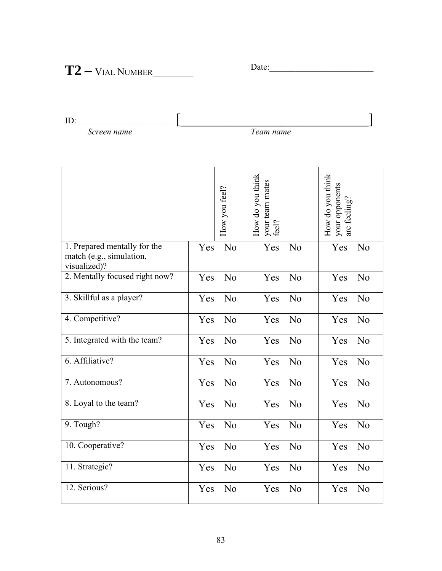## Date:\_\_\_\_\_\_\_\_\_\_\_\_\_\_\_\_\_\_\_\_\_\_\_\_ **T2 –** VIAL NUMBER\_\_\_\_\_\_\_\_

ID: Screen name  $\left[\frac{1}{\sqrt{1-\frac{1}{2}}\left\lceil \frac{1}{2(1-\frac{1}{2})^2}\right\rceil\right]}$ *Screen name* 

|                                                                          |     | How you feel? | How do you think<br>your team mates<br>feel? |    | How do you think<br>your opponents<br>are feeling? |                |
|--------------------------------------------------------------------------|-----|---------------|----------------------------------------------|----|----------------------------------------------------|----------------|
| 1. Prepared mentally for the<br>match (e.g., simulation,<br>visualized)? | Yes | No            | Yes                                          | No | Yes                                                | No             |
| 2. Mentally focused right now?                                           | Yes | No            | Yes                                          | No | Yes                                                | No             |
| 3. Skillful as a player?                                                 | Yes | No            | Yes                                          | No | Yes                                                | N <sub>0</sub> |
| 4. Competitive?                                                          | Yes | No            | Yes                                          | No | Yes                                                | No             |
| 5. Integrated with the team?                                             | Yes | No            | Yes                                          | No | Yes                                                | No             |
| 6. Affiliative?                                                          | Yes | No            | Yes                                          | No | Yes                                                | No             |
| 7. Autonomous?                                                           | Yes | No            | Yes                                          | No | Yes                                                | No             |
| 8. Loyal to the team?                                                    | Yes | No            | Yes                                          | No | Yes                                                | No             |
| 9. Tough?                                                                | Yes | No            | Yes                                          | No | Yes                                                | No             |
| 10. Cooperative?                                                         | Yes | No            | Yes                                          | No | Yes                                                | No             |
| 11. Strategic?                                                           | Yes | No            | Yes                                          | No | Yes                                                | No             |
| 12. Serious?                                                             | Yes | No            | Yes                                          | No | Yes                                                | N <sub>0</sub> |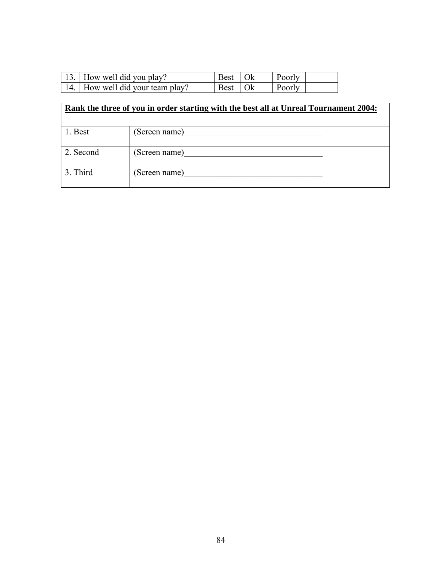| 13. How well did you play?       | Best   Ok | <b>Poorly</b> |
|----------------------------------|-----------|---------------|
| 14. How well did your team play? | Best   Ok | Poorly        |

|           | Rank the three of you in order starting with the best all at Unreal Tournament 2004: |
|-----------|--------------------------------------------------------------------------------------|
| 1. Best   | (Screen name)                                                                        |
| 2. Second | (Screen name)                                                                        |
| 3. Third  | (Screen name)                                                                        |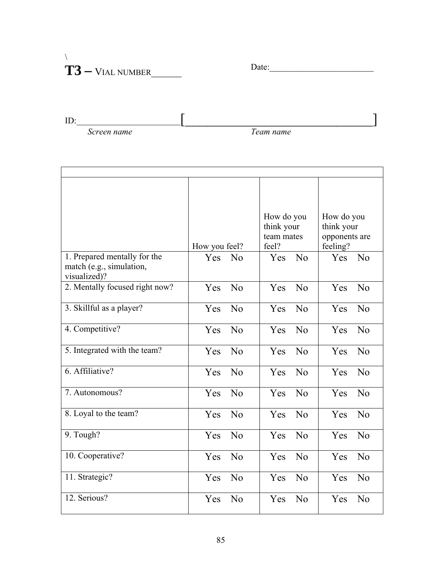### $\lambda$ Date:\_\_\_\_\_\_\_\_\_\_\_\_\_\_\_\_\_\_\_\_\_\_\_\_ **T3 –** VIAL NUMBER\_\_\_\_\_\_

ID: Screen name  $\left[\frac{1}{2}\right]$ *Screen name* 

| 1. Prepared mentally for the<br>match (e.g., simulation,<br>visualized)? | How you feel?<br>Yes No |                | How do you<br>think your<br>team mates<br>feel?<br>Yes No |                | How do you<br>think your<br>opponents are<br>feeling?<br>Yes No |                |
|--------------------------------------------------------------------------|-------------------------|----------------|-----------------------------------------------------------|----------------|-----------------------------------------------------------------|----------------|
| 2. Mentally focused right now?                                           | <b>Yes</b>              | $\overline{N}$ | Yes                                                       | $\overline{N}$ | Yes                                                             | No             |
| 3. Skillful as a player?                                                 | Yes                     | $\overline{N}$ | <b>Yes</b>                                                | $\rm No$       | Yes                                                             | No             |
| 4. Competitive?                                                          | Yes                     | No             | <b>Yes</b>                                                | No             | Yes                                                             | No             |
| 5. Integrated with the team?                                             | <b>Yes</b>              | No             | <b>Yes</b>                                                | $\overline{N}$ | <b>Yes</b>                                                      | No             |
| 6. Affiliative?                                                          | <b>Yes</b>              | $\overline{N}$ | <b>Yes</b>                                                | $\overline{N}$ | Yes                                                             | $\rm No$       |
| 7. Autonomous?                                                           | Yes                     | No             | <b>Yes</b>                                                | No             | Yes                                                             | No             |
| 8. Loyal to the team?                                                    | <b>Yes</b>              | No             | <b>Yes</b>                                                | No             | <b>Yes</b>                                                      | No             |
| 9. Tough?                                                                | <b>Yes</b>              | No             | <b>Yes</b>                                                | $\rm No$       | <b>Yes</b>                                                      | No             |
| 10. Cooperative?                                                         | Yes                     | No             | <b>Yes</b>                                                | $\rm No$       | <b>Yes</b>                                                      | $\overline{N}$ |
| 11. Strategic?                                                           | Yes                     | No             | Yes                                                       | No             | Yes                                                             | No             |
| 12. Serious?                                                             | Yes                     | No             | Yes                                                       | No             | Yes                                                             | No             |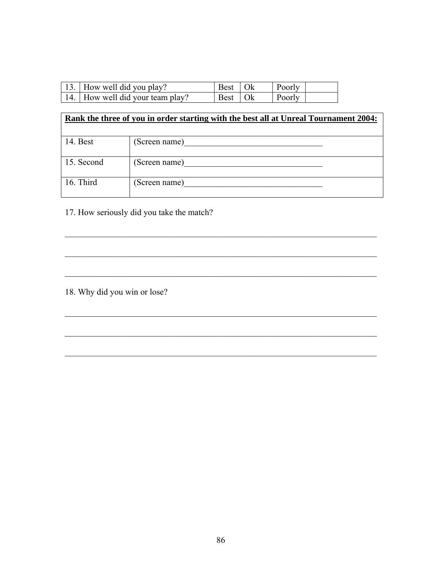| 13. How well did you play?       | Best   Ok       | Poorly |  |
|----------------------------------|-----------------|--------|--|
| 14. How well did your team play? | Best $\vert$ Ok | Poorly |  |

# **Rank the three of you in order starting with the best all at Unreal Tournament 2004:**  14. Best (Screen name) 15. Second (Screen name) 16. Third (Screen name)

 $\mathcal{L}_\text{max}$  , and the contribution of the contribution of the contribution of the contribution of the contribution of the contribution of the contribution of the contribution of the contribution of the contribution of t

 $\mathcal{L}_\text{max}$  , and the contribution of the contribution of the contribution of the contribution of the contribution of the contribution of the contribution of the contribution of the contribution of the contribution of t

 $\mathcal{L}_\text{max}$  , and the contribution of the contribution of the contribution of the contribution of the contribution of the contribution of the contribution of the contribution of the contribution of the contribution of t

 $\mathcal{L}_\text{max} = \mathcal{L}_\text{max} = \mathcal{L}_\text{max} = \mathcal{L}_\text{max} = \mathcal{L}_\text{max} = \mathcal{L}_\text{max} = \mathcal{L}_\text{max} = \mathcal{L}_\text{max} = \mathcal{L}_\text{max} = \mathcal{L}_\text{max} = \mathcal{L}_\text{max} = \mathcal{L}_\text{max} = \mathcal{L}_\text{max} = \mathcal{L}_\text{max} = \mathcal{L}_\text{max} = \mathcal{L}_\text{max} = \mathcal{L}_\text{max} = \mathcal{L}_\text{max} = \mathcal{$ 

 $\mathcal{L}_\text{max}$  , and the contribution of the contribution of the contribution of the contribution of the contribution of the contribution of the contribution of the contribution of the contribution of the contribution of t

 $\mathcal{L}_\text{max}$  , and the contribution of the contribution of the contribution of the contribution of the contribution of the contribution of the contribution of the contribution of the contribution of the contribution of t

17. How seriously did you take the match?

18. Why did you win or lose?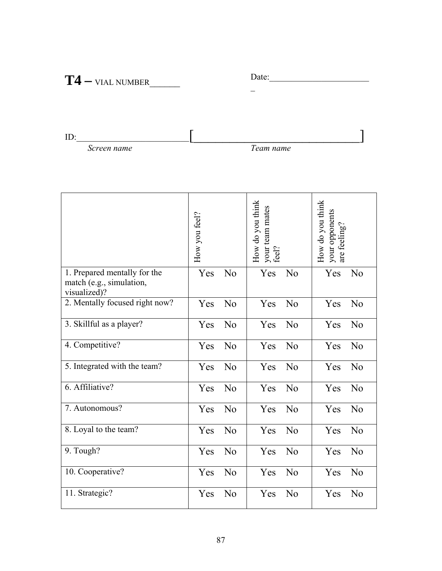## Date:\_\_\_\_\_\_\_\_\_\_\_\_\_\_\_\_\_\_\_\_\_\_\_ **T4** \_ **–** VIAL NUMBER\_\_\_\_\_\_

ID: Screen name  $\left[\frac{1}{\sqrt{1-\frac{1}{2}}}\right]$ 

*<u>Screen name</u>* 

|                                                                          | How you feel? |                | How do you think<br>your team mates<br>feel? |                | How do you think<br>your opponents<br>are feeling? |                |
|--------------------------------------------------------------------------|---------------|----------------|----------------------------------------------|----------------|----------------------------------------------------|----------------|
| 1. Prepared mentally for the<br>match (e.g., simulation,<br>visualized)? | Yes           | N <sub>0</sub> | Yes                                          | N <sub>0</sub> | Yes                                                | N <sub>0</sub> |
| 2. Mentally focused right now?                                           | Yes           | No             | Yes                                          | No             | Yes                                                | No             |
| 3. Skillful as a player?                                                 | Yes           | No             | Yes                                          | No             | Yes                                                | No             |
| 4. Competitive?                                                          | Yes           | N <sub>0</sub> | Yes                                          | No             | Yes                                                | N <sub>0</sub> |
| 5. Integrated with the team?                                             | Yes           | No             | Yes                                          | No             | Yes                                                | N <sub>0</sub> |
| 6. Affiliative?                                                          | Yes           | No             | Yes                                          | No             | Yes                                                | No             |
| 7. Autonomous?                                                           | Yes           | No             | Yes                                          | No             | Yes                                                | No             |
| 8. Loyal to the team?                                                    | Yes           | N <sub>0</sub> | Yes                                          | No             | Yes                                                | N <sub>0</sub> |
| 9. Tough?                                                                | Yes           | No             | Yes                                          | No             | Yes                                                | N <sub>0</sub> |
| 10. Cooperative?                                                         | Yes           | No             | Yes                                          | No             | Yes                                                | N <sub>0</sub> |
| 11. Strategic?                                                           | Yes           | N <sub>0</sub> | Yes                                          | N <sub>0</sub> | Yes                                                | N <sub>0</sub> |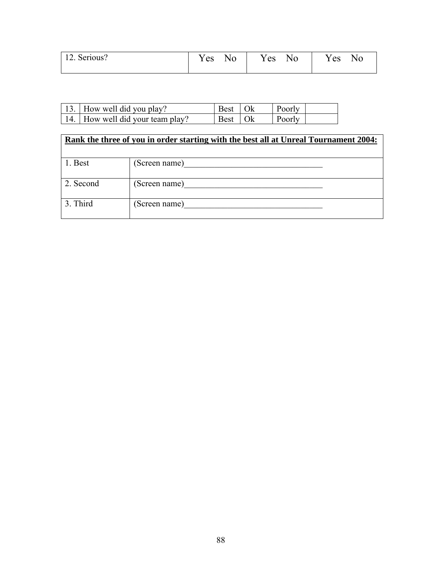| 12. Serious? | Y es | N <sub>0</sub> | Y es | No | Y es | No |
|--------------|------|----------------|------|----|------|----|
|              |      |                |      |    |      |    |

| 13. How well did you play?       | Best   Ok      | Poorly        |  |
|----------------------------------|----------------|---------------|--|
| 14. How well did your team play? | $Best \mid OK$ | <b>Poorly</b> |  |

|           | Rank the three of you in order starting with the best all at Unreal Tournament 2004: |
|-----------|--------------------------------------------------------------------------------------|
| 1. Best   | (Screen name)                                                                        |
| 2. Second | (Screen name)                                                                        |
| 3. Third  | (Screen name)                                                                        |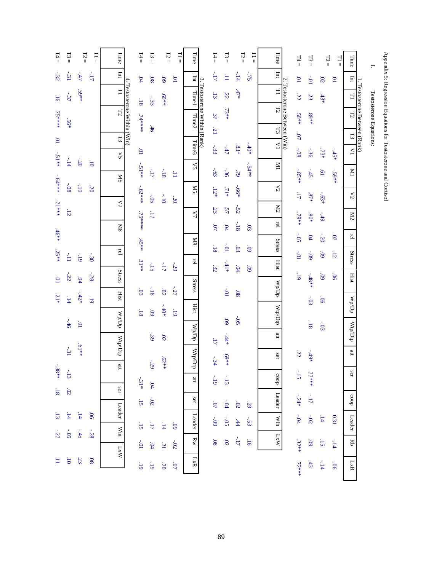| $T4 =$          | $13 =$         | $\Gamma2=$         | $\Xi$           | Time                      |                              | $T4 =$                     | $-5 =$                  | $T2 =$                  | $\overline{11}$          | Time                                             |                               | $T4 =$              | $-53$                 | $T2 =$           | $\overline{\Box}$ | Time                             |                               | $T4 =$          | $13 =$                           | $\Gamma2=$                | $=11$          | Time                                                                                                            | Н.                      |
|-----------------|----------------|--------------------|-----------------|---------------------------|------------------------------|----------------------------|-------------------------|-------------------------|--------------------------|--------------------------------------------------|-------------------------------|---------------------|-----------------------|------------------|-------------------|----------------------------------|-------------------------------|-----------------|----------------------------------|---------------------------|----------------|-----------------------------------------------------------------------------------------------------------------|-------------------------|
| $-32$           | $\textbf{-31}$ | $-47$              | $\pm11^\circ$   | Int                       |                              | .04                        | $80^{\circ}$            | $60^{\circ}$            | $\overline{10}$          | $\ln$                                            |                               | $-17$               | H                     | $-14$            | $-32$             | $\rm{Int}$                       |                               | $\overline{10}$ | $10^{\circ}\text{--}$            | $\overline{\mathrm{SO}}$  | $\overline{5}$ | $\rm{Im}$                                                                                                       |                         |
| $-16$           | $-37$          | $-59**$            |                 | $\overline{\mathbf{r}}$   |                              | $\overline{\phantom{0}}$   | $\div 33$               | $*809*$                 |                          | Time1                                            |                               | $-13$               | 32                    | $.47*$           |                   | $\Xi$                            |                               | 22              | 23                               | $.43*$                    |                |                                                                                                                 |                         |
| $.75***$        |                |                    |                 | E <sub>2</sub>            | 4. Testosterone Within (Win) | *******                    |                         |                         |                          | Time <sub>2</sub>                                | 3. Testosterone Within (Rank) | 37                  | $.73**$               |                  |                   | $\Gamma\!2$                      | 2. Testosterone Between (Win) | $.50**$         | $.89**$                          |                           |                | 1. Testosterone Between (Rank)<br>$\frac{1}{2}$ T1 $\left[\frac{12}{12} \right]$ T3 $\left[\frac{1}{2} \right]$ | Testosterone Equations: |
|                 | $.56*$         |                    |                 | $\mathbb{Z}$              |                              |                            | $-46$                   |                         |                          |                                                  |                               | $\overline{21}$     |                       |                  |                   | $F_3$                            |                               | $\overline{10}$ |                                  |                           |                |                                                                                                                 |                         |
| $\overline{10}$ |                |                    |                 | ζŠ                        |                              | $\overline{10}$            |                         |                         |                          | Time3                                            |                               | $-33$               | $\mathcal{L}t^{+-}$   | $.83*$           | $-40*$            | $\overline{\Sigma}$              |                               | $-0.8$          | $-36$                            | $.73*$                    | $-45*$         | $\leq$                                                                                                          |                         |
| $-51**$         | $-14$          | $-20$              | $0^{\circ}$     |                           |                              | $-51**$                    | $\mathbin{\rlap{-}} 17$ | $-18$                   | Ë                        | Š,                                               |                               | $-03$               | $-36$                 | 6L               | $-54**$           | $\overline{M}$                   |                               |                 | $-45$                            | $\overline{19}$           | $-59**$        | $\overline{M}$                                                                                                  |                         |
| $-64***$        | $-0.80$        | $-10$              | $\ddot{\delta}$ | <b>XIS</b>                |                              |                            |                         |                         |                          | <b>ZK</b>                                        |                               | $.12*$              | $.71\ast$             | $-0.66*$         |                   | $\lesssim$                       |                               | $-0.85**$       |                                  |                           |                |                                                                                                                 |                         |
| $71***$         |                |                    |                 | $\mathcal{L}$             |                              | $-62***$                   | $-05$                   | $01$ <sup>-1</sup>      | 50                       |                                                  |                               | 23                  | 57                    | $-52$            |                   | $\rm \stackrel{1}{\sim}$         |                               | $11^{\circ}$    | $\cdot$ 87*                      | $-03*$                    |                | $\lesssim$                                                                                                      |                         |
|                 | 12             |                    |                 | $_{8N}$                   |                              | $75***$                    | $11^{\circ}$            |                         |                          | $\mathcal{L}\Lambda$                             |                               | $\overline{07}$     | 04                    | $-18$            | 50                | rel                              |                               | $+64$           | $.80*$                           | $-49$                     |                | $\rm{M2}$                                                                                                       |                         |
| $.46**$         |                |                    |                 |                           |                              | $.45**$                    |                         |                         |                          | 8M                                               |                               |                     |                       |                  |                   | <b>Stress</b>                    |                               | $-0.5$          | $.04\,$                          | $-20$                     | $\overline{0}$ | $\mathop{\rm rel}\nolimits$                                                                                     |                         |
| $.25**$         | Ě              | $61$ <sup>-1</sup> | $-30$           | rel                       |                              |                            |                         |                         |                          | rel                                              |                               | $\overline{18}$     | $10^{\circ}\text{--}$ | 50               | $60^{\circ}$      |                                  |                               | $10^{\circ}$    | $60 -$                           | 60                        | 12             | <b>Stress</b>                                                                                                   |                         |
| $\Xi$           | 32             | $.04\,$            | 38              | <b>Stress</b>             |                              | $31**$                     | $-15$                   | $\sim\!17$              | $-29$                    |                                                  |                               | 32                  | $^{\ast14}$           | $04$             | $60^{\circ}$      | Hist                             |                               | $-19$           | $-48**$                          | 60'                       | $90^\circ$     | Hist                                                                                                            |                         |
| $31*$           | $-14$          | $-42*$             | 61              | <b>Hist</b>               |                              | 03                         | $\sim 18$               | 02                      | $-27$                    | <b>Stress</b>                                    |                               |                     | $10^{\circ}\text{--}$ | $80^{\circ}$     |                   | $\mathbb{W}_{\mathbf{p}}$ op     |                               |                 |                                  | $90^\circ$                |                |                                                                                                                 |                         |
|                 |                |                    |                 |                           |                              | $\overline{\phantom{0}}$ 8 | 60                      | $+0+$                   | 61                       | Hist                                             |                               |                     |                       |                  |                   | $\rm Mrdq$                       |                               |                 | $-03$                            |                           |                | WpDp                                                                                                            |                         |
|                 | $-46$          | $\overline{10}$    |                 | $\mathbb{A}^{p \times p}$ |                              |                            |                         |                         |                          | $\mathbf{W}_{\mathbf{p}}\mathbf{D}_{\mathbf{p}}$ |                               |                     | $60^{\circ}$          | $-05$            |                   | $\mathop{\mathrm{m}}$            |                               |                 | $-18$                            | $-03$                     |                | WtpDtp                                                                                                          |                         |
|                 | $-31$          | $*19$              |                 | $\mathbf{q} \mathbf{q}$   |                              |                            | $-39$                   | 02                      |                          |                                                  |                               | ЦÌ                  | $4.44*$               |                  |                   |                                  |                               |                 |                                  |                           |                | $\mathfrak{m}$                                                                                                  |                         |
| $-0.38**$       |                |                    |                 | $\mathfrak{m}$            |                              |                            | $-29$                   | $*2*29$                 |                          | WtpDtp                                           |                               | $-34$               | $*69*$                |                  |                   | ser                              |                               | 32              | $*6t -$                          |                           |                |                                                                                                                 |                         |
|                 | $-13$          |                    |                 |                           |                              | $-31*$                     | $.04\,$                 |                         |                          | $\mathfrak{m}$                                   |                               | $-19$               | $\sim\!13$            |                  |                   | doos                             |                               | $\sim\!15$      | $24**L$                          |                           |                | ser                                                                                                             |                         |
| $\cdot 18$      | .02            |                    |                 | ser                       |                              | $-15$                      | $-02$                   |                         |                          | ser                                              |                               | $\overline{\omega}$ | $\mathbf{-}.04$       | $30^{\circ}$     | 59                | Leader                           |                               | $-24*$          | $\mathbb{E} \Gamma^{\mathbb{Z}}$ |                           |                | $\rm{do}$                                                                                                       |                         |
| $\overline{13}$ | 14             | $\mathbf{14}$      | $90^\circ$      | Leader                    |                              |                            |                         |                         |                          | Leader                                           |                               | $60^\circ$          | $-05$                 | $\ddot{4}$       | $-33$             | Win                              |                               | $-04$           | $-02$                            | $14\,$                    | 0.31           | Leader                                                                                                          |                         |
| $-27$           | $-05$          | $-45$              | $-28$           | Win                       |                              | $5^{\circ}$                | $\Box$                  | $14$                    | $60^{\circ}$             | $_{\rm RW}$                                      |                               | $80^{\circ}$        | 02                    | $\gamma\Gamma^+$ | 91                | $\mathbf{L}\mathbf{X}\mathbf{W}$ |                               |                 | $60^{\circ}$                     | $\mathbf{S}^{\mathbf{r}}$ |                | Rb                                                                                                              |                         |
| Ξ               | $\overline{0}$ | $23\,$             | $80^{\circ}$    | $\overline{M}$            |                              | $10^{\circ}\text{--}$      | $.04\,$                 | $\overline{\mathbb{Z}}$ | $-02$                    |                                                  |                               |                     |                       |                  |                   |                                  |                               | $.32**$         |                                  |                           | $-14$          |                                                                                                                 |                         |
|                 |                |                    |                 |                           |                              | $-19$                      | $61$                    | 30                      | $\overline{\mathcal{O}}$ | LxR                                              |                               |                     |                       |                  |                   |                                  |                               | $.72***$        | $-43$                            | $-14$                     | $-06$          | $_{\rm LxR}$                                                                                                    |                         |

Appendix 5: Regression Equations for Testosterone and Cortisol

Appendix 5: Regression Equations for Testosterone and Cortisol

89